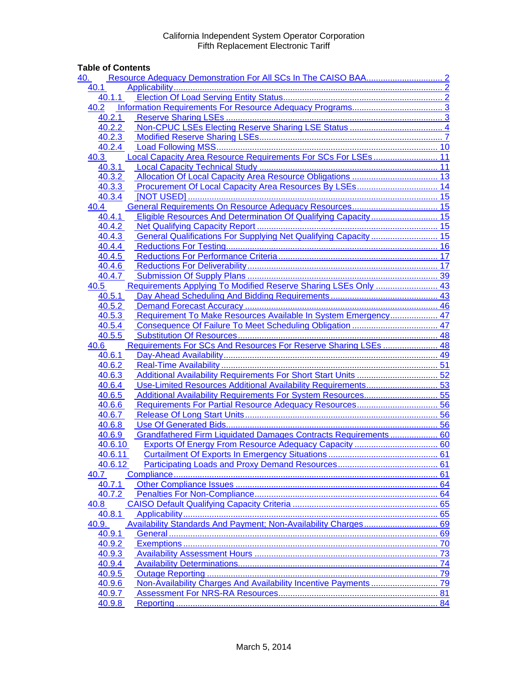## **Table of Contents**

| <u>40.</u>       |                                                                  |    |
|------------------|------------------------------------------------------------------|----|
| 40.1             |                                                                  |    |
| 40.1.1           |                                                                  |    |
| 40.2             |                                                                  |    |
|                  |                                                                  |    |
| 40.2.2           |                                                                  |    |
| 40.2.3           |                                                                  |    |
| 40.2.4           |                                                                  |    |
| 40.3             | Local Capacity Area Resource Requirements For SCs For LSEs 11    |    |
| 40.3.1           |                                                                  |    |
| 40.3.2           |                                                                  |    |
| 40.3.3           |                                                                  |    |
| 40.3.4           |                                                                  |    |
| 40.4             |                                                                  |    |
| 40.4.1           | Eligible Resources And Determination Of Qualifying Capacity 15   |    |
| 40.4.2           |                                                                  |    |
| 40.4.3           | General Qualifications For Supplying Net Qualifying Capacity  15 |    |
| 40.4.4<br>40.4.5 |                                                                  |    |
| 40.4.6           |                                                                  |    |
| 40.4.7           |                                                                  |    |
| 40.5             | Requirements Applying To Modified Reserve Sharing LSEs Only  43  |    |
| 40.5.1           |                                                                  |    |
| 40.5.2           |                                                                  |    |
| 40.5.3           | Requirement To Make Resources Available In System Emergency 47   |    |
| 40.5.4           |                                                                  |    |
| 40.5.5           |                                                                  |    |
| 40.6             | Requirements For SCs And Resources For Reserve Sharing LSEs  48  |    |
| 40.6.1           |                                                                  |    |
| 40.6.2           |                                                                  |    |
| 40.6.3           |                                                                  |    |
| 40.6.4           | Use-Limited Resources Additional Availability Requirements 53    |    |
| 40.6.5           |                                                                  |    |
| 40.6.6           |                                                                  |    |
| 40.6.7           |                                                                  |    |
| 40.6.8           |                                                                  |    |
| 40.6.9           | Grandfathered Firm Liquidated Damages Contracts Requirements 60  |    |
| 40.6.10          |                                                                  |    |
| 40.6.11          |                                                                  |    |
| 40.6.12          |                                                                  |    |
| 40.7             |                                                                  |    |
| 40.7.1           |                                                                  |    |
| 40.7.2           |                                                                  |    |
| 40.8             |                                                                  |    |
| 40.8.1           |                                                                  |    |
| 40.9.            |                                                                  |    |
| 40.9.1           |                                                                  | 69 |
| 40.9.2           |                                                                  |    |
| 40.9.3           |                                                                  |    |
| 40.9.4<br>40.9.5 |                                                                  |    |
| 40.9.6           |                                                                  |    |
| 40.9.7           |                                                                  |    |
| 40.9.8           |                                                                  |    |
|                  |                                                                  |    |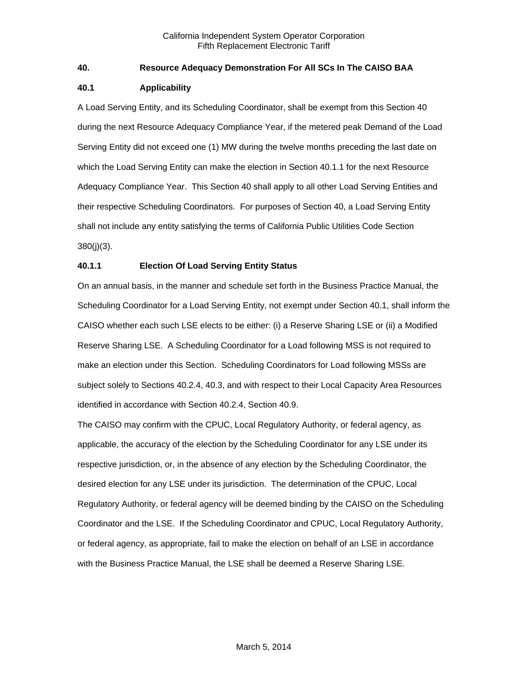## <span id="page-1-0"></span>**40. Resource Adequacy Demonstration For All SCs In The CAISO BAA**

#### <span id="page-1-1"></span>**40.1 Applicability**

A Load Serving Entity, and its Scheduling Coordinator, shall be exempt from this Section 40 during the next Resource Adequacy Compliance Year, if the metered peak Demand of the Load Serving Entity did not exceed one (1) MW during the twelve months preceding the last date on which the Load Serving Entity can make the election in Section 40.1.1 for the next Resource Adequacy Compliance Year. This Section 40 shall apply to all other Load Serving Entities and their respective Scheduling Coordinators. For purposes of Section 40, a Load Serving Entity shall not include any entity satisfying the terms of California Public Utilities Code Section 380(j)(3).

## <span id="page-1-2"></span>**40.1.1 Election Of Load Serving Entity Status**

On an annual basis, in the manner and schedule set forth in the Business Practice Manual, the Scheduling Coordinator for a Load Serving Entity, not exempt under Section 40.1, shall inform the CAISO whether each such LSE elects to be either: (i) a Reserve Sharing LSE or (ii) a Modified Reserve Sharing LSE. A Scheduling Coordinator for a Load following MSS is not required to make an election under this Section. Scheduling Coordinators for Load following MSSs are subject solely to Sections 40.2.4, 40.3, and with respect to their Local Capacity Area Resources identified in accordance with Section 40.2.4, Section 40.9.

The CAISO may confirm with the CPUC, Local Regulatory Authority, or federal agency, as applicable, the accuracy of the election by the Scheduling Coordinator for any LSE under its respective jurisdiction, or, in the absence of any election by the Scheduling Coordinator, the desired election for any LSE under its jurisdiction. The determination of the CPUC, Local Regulatory Authority, or federal agency will be deemed binding by the CAISO on the Scheduling Coordinator and the LSE. If the Scheduling Coordinator and CPUC, Local Regulatory Authority, or federal agency, as appropriate, fail to make the election on behalf of an LSE in accordance with the Business Practice Manual, the LSE shall be deemed a Reserve Sharing LSE.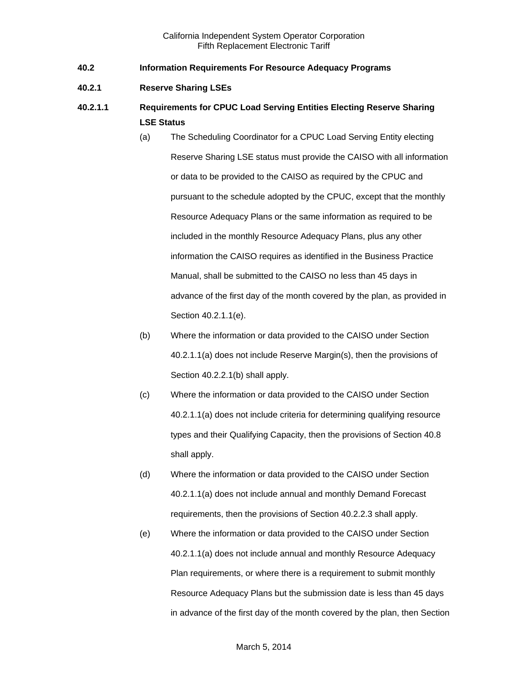- <span id="page-2-0"></span>**40.2 Information Requirements For Resource Adequacy Programs**
- <span id="page-2-1"></span>**40.2.1 Reserve Sharing LSEs**
- **40.2.1.1 Requirements for CPUC Load Serving Entities Electing Reserve Sharing LSE Status**
	- (a) The Scheduling Coordinator for a CPUC Load Serving Entity electing Reserve Sharing LSE status must provide the CAISO with all information or data to be provided to the CAISO as required by the CPUC and pursuant to the schedule adopted by the CPUC, except that the monthly Resource Adequacy Plans or the same information as required to be included in the monthly Resource Adequacy Plans, plus any other information the CAISO requires as identified in the Business Practice Manual, shall be submitted to the CAISO no less than 45 days in advance of the first day of the month covered by the plan, as provided in Section 40.2.1.1(e).
	- (b) Where the information or data provided to the CAISO under Section 40.2.1.1(a) does not include Reserve Margin(s), then the provisions of Section 40.2.2.1(b) shall apply.
	- (c) Where the information or data provided to the CAISO under Section 40.2.1.1(a) does not include criteria for determining qualifying resource types and their Qualifying Capacity, then the provisions of Section 40.8 shall apply.
	- (d) Where the information or data provided to the CAISO under Section 40.2.1.1(a) does not include annual and monthly Demand Forecast requirements, then the provisions of Section 40.2.2.3 shall apply.
	- (e) Where the information or data provided to the CAISO under Section 40.2.1.1(a) does not include annual and monthly Resource Adequacy Plan requirements, or where there is a requirement to submit monthly Resource Adequacy Plans but the submission date is less than 45 days in advance of the first day of the month covered by the plan, then Section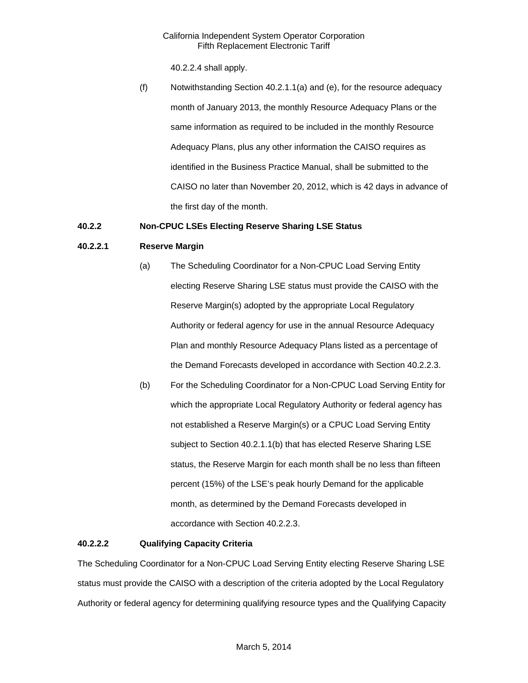40.2.2.4 shall apply.

(f) Notwithstanding Section 40.2.1.1(a) and (e), for the resource adequacy month of January 2013, the monthly Resource Adequacy Plans or the same information as required to be included in the monthly Resource Adequacy Plans, plus any other information the CAISO requires as identified in the Business Practice Manual, shall be submitted to the CAISO no later than November 20, 2012, which is 42 days in advance of the first day of the month.

## <span id="page-3-0"></span>**40.2.2 Non-CPUC LSEs Electing Reserve Sharing LSE Status**

## **40.2.2.1 Reserve Margin**

- (a) The Scheduling Coordinator for a Non-CPUC Load Serving Entity electing Reserve Sharing LSE status must provide the CAISO with the Reserve Margin(s) adopted by the appropriate Local Regulatory Authority or federal agency for use in the annual Resource Adequacy Plan and monthly Resource Adequacy Plans listed as a percentage of the Demand Forecasts developed in accordance with Section 40.2.2.3.
- (b) For the Scheduling Coordinator for a Non-CPUC Load Serving Entity for which the appropriate Local Regulatory Authority or federal agency has not established a Reserve Margin(s) or a CPUC Load Serving Entity subject to Section 40.2.1.1(b) that has elected Reserve Sharing LSE status, the Reserve Margin for each month shall be no less than fifteen percent (15%) of the LSE's peak hourly Demand for the applicable month, as determined by the Demand Forecasts developed in accordance with Section 40.2.2.3.

#### **40.2.2.2 Qualifying Capacity Criteria**

The Scheduling Coordinator for a Non-CPUC Load Serving Entity electing Reserve Sharing LSE status must provide the CAISO with a description of the criteria adopted by the Local Regulatory Authority or federal agency for determining qualifying resource types and the Qualifying Capacity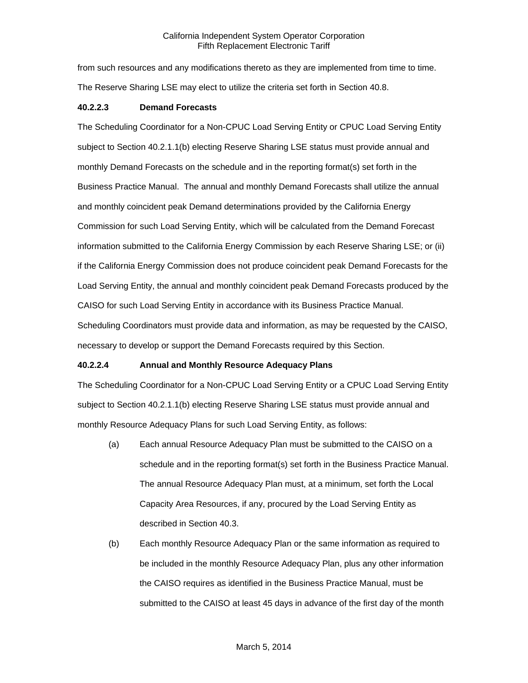from such resources and any modifications thereto as they are implemented from time to time. The Reserve Sharing LSE may elect to utilize the criteria set forth in Section 40.8.

#### **40.2.2.3 Demand Forecasts**

The Scheduling Coordinator for a Non-CPUC Load Serving Entity or CPUC Load Serving Entity subject to Section 40.2.1.1(b) electing Reserve Sharing LSE status must provide annual and monthly Demand Forecasts on the schedule and in the reporting format(s) set forth in the Business Practice Manual. The annual and monthly Demand Forecasts shall utilize the annual and monthly coincident peak Demand determinations provided by the California Energy Commission for such Load Serving Entity, which will be calculated from the Demand Forecast information submitted to the California Energy Commission by each Reserve Sharing LSE; or (ii) if the California Energy Commission does not produce coincident peak Demand Forecasts for the Load Serving Entity, the annual and monthly coincident peak Demand Forecasts produced by the CAISO for such Load Serving Entity in accordance with its Business Practice Manual. Scheduling Coordinators must provide data and information, as may be requested by the CAISO, necessary to develop or support the Demand Forecasts required by this Section.

#### **40.2.2.4 Annual and Monthly Resource Adequacy Plans**

The Scheduling Coordinator for a Non-CPUC Load Serving Entity or a CPUC Load Serving Entity subject to Section 40.2.1.1(b) electing Reserve Sharing LSE status must provide annual and monthly Resource Adequacy Plans for such Load Serving Entity, as follows:

- (a) Each annual Resource Adequacy Plan must be submitted to the CAISO on a schedule and in the reporting format(s) set forth in the Business Practice Manual. The annual Resource Adequacy Plan must, at a minimum, set forth the Local Capacity Area Resources, if any, procured by the Load Serving Entity as described in Section 40.3.
- (b) Each monthly Resource Adequacy Plan or the same information as required to be included in the monthly Resource Adequacy Plan, plus any other information the CAISO requires as identified in the Business Practice Manual, must be submitted to the CAISO at least 45 days in advance of the first day of the month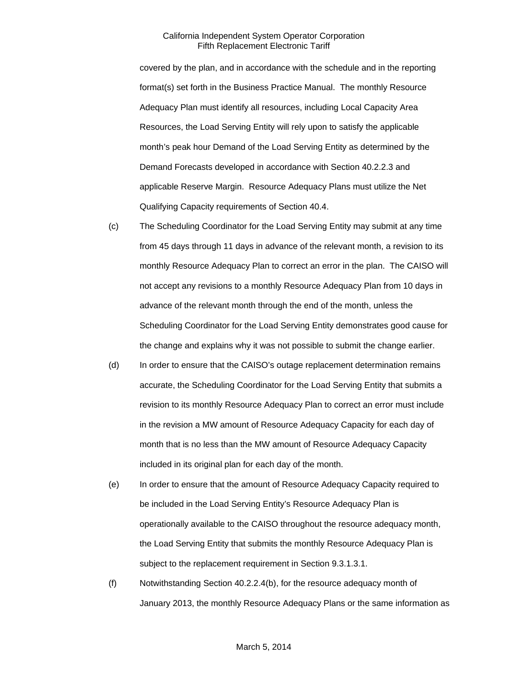covered by the plan, and in accordance with the schedule and in the reporting format(s) set forth in the Business Practice Manual. The monthly Resource Adequacy Plan must identify all resources, including Local Capacity Area Resources, the Load Serving Entity will rely upon to satisfy the applicable month's peak hour Demand of the Load Serving Entity as determined by the Demand Forecasts developed in accordance with Section 40.2.2.3 and applicable Reserve Margin. Resource Adequacy Plans must utilize the Net Qualifying Capacity requirements of Section 40.4.

- (c) The Scheduling Coordinator for the Load Serving Entity may submit at any time from 45 days through 11 days in advance of the relevant month, a revision to its monthly Resource Adequacy Plan to correct an error in the plan. The CAISO will not accept any revisions to a monthly Resource Adequacy Plan from 10 days in advance of the relevant month through the end of the month, unless the Scheduling Coordinator for the Load Serving Entity demonstrates good cause for the change and explains why it was not possible to submit the change earlier.
- (d) In order to ensure that the CAISO's outage replacement determination remains accurate, the Scheduling Coordinator for the Load Serving Entity that submits a revision to its monthly Resource Adequacy Plan to correct an error must include in the revision a MW amount of Resource Adequacy Capacity for each day of month that is no less than the MW amount of Resource Adequacy Capacity included in its original plan for each day of the month.
- (e) In order to ensure that the amount of Resource Adequacy Capacity required to be included in the Load Serving Entity's Resource Adequacy Plan is operationally available to the CAISO throughout the resource adequacy month, the Load Serving Entity that submits the monthly Resource Adequacy Plan is subject to the replacement requirement in Section 9.3.1.3.1.
- (f) Notwithstanding Section 40.2.2.4(b), for the resource adequacy month of January 2013, the monthly Resource Adequacy Plans or the same information as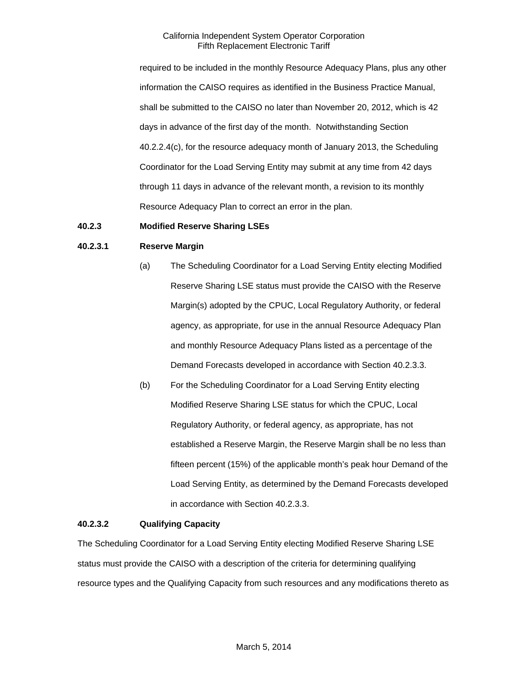required to be included in the monthly Resource Adequacy Plans, plus any other information the CAISO requires as identified in the Business Practice Manual, shall be submitted to the CAISO no later than November 20, 2012, which is 42 days in advance of the first day of the month. Notwithstanding Section 40.2.2.4(c), for the resource adequacy month of January 2013, the Scheduling Coordinator for the Load Serving Entity may submit at any time from 42 days through 11 days in advance of the relevant month, a revision to its monthly Resource Adequacy Plan to correct an error in the plan.

#### <span id="page-6-0"></span>**40.2.3 Modified Reserve Sharing LSEs**

#### **40.2.3.1 Reserve Margin**

- (a) The Scheduling Coordinator for a Load Serving Entity electing Modified Reserve Sharing LSE status must provide the CAISO with the Reserve Margin(s) adopted by the CPUC, Local Regulatory Authority, or federal agency, as appropriate, for use in the annual Resource Adequacy Plan and monthly Resource Adequacy Plans listed as a percentage of the Demand Forecasts developed in accordance with Section 40.2.3.3.
- (b) For the Scheduling Coordinator for a Load Serving Entity electing Modified Reserve Sharing LSE status for which the CPUC, Local Regulatory Authority, or federal agency, as appropriate, has not established a Reserve Margin, the Reserve Margin shall be no less than fifteen percent (15%) of the applicable month's peak hour Demand of the Load Serving Entity, as determined by the Demand Forecasts developed in accordance with Section 40.2.3.3.

#### **40.2.3.2 Qualifying Capacity**

The Scheduling Coordinator for a Load Serving Entity electing Modified Reserve Sharing LSE status must provide the CAISO with a description of the criteria for determining qualifying resource types and the Qualifying Capacity from such resources and any modifications thereto as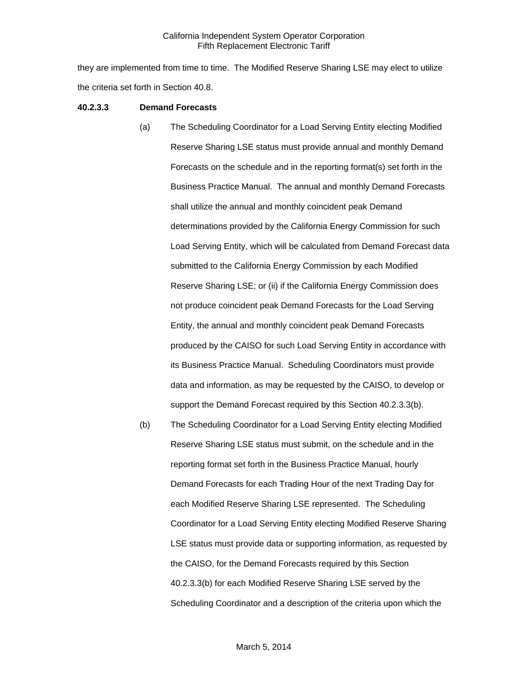they are implemented from time to time. The Modified Reserve Sharing LSE may elect to utilize the criteria set forth in Section 40.8.

#### **40.2.3.3 Demand Forecasts**

- (a) The Scheduling Coordinator for a Load Serving Entity electing Modified Reserve Sharing LSE status must provide annual and monthly Demand Forecasts on the schedule and in the reporting format(s) set forth in the Business Practice Manual. The annual and monthly Demand Forecasts shall utilize the annual and monthly coincident peak Demand determinations provided by the California Energy Commission for such Load Serving Entity, which will be calculated from Demand Forecast data submitted to the California Energy Commission by each Modified Reserve Sharing LSE; or (ii) if the California Energy Commission does not produce coincident peak Demand Forecasts for the Load Serving Entity, the annual and monthly coincident peak Demand Forecasts produced by the CAISO for such Load Serving Entity in accordance with its Business Practice Manual. Scheduling Coordinators must provide data and information, as may be requested by the CAISO, to develop or support the Demand Forecast required by this Section 40.2.3.3(b).
- (b) The Scheduling Coordinator for a Load Serving Entity electing Modified Reserve Sharing LSE status must submit, on the schedule and in the reporting format set forth in the Business Practice Manual, hourly Demand Forecasts for each Trading Hour of the next Trading Day for each Modified Reserve Sharing LSE represented. The Scheduling Coordinator for a Load Serving Entity electing Modified Reserve Sharing LSE status must provide data or supporting information, as requested by the CAISO, for the Demand Forecasts required by this Section 40.2.3.3(b) for each Modified Reserve Sharing LSE served by the Scheduling Coordinator and a description of the criteria upon which the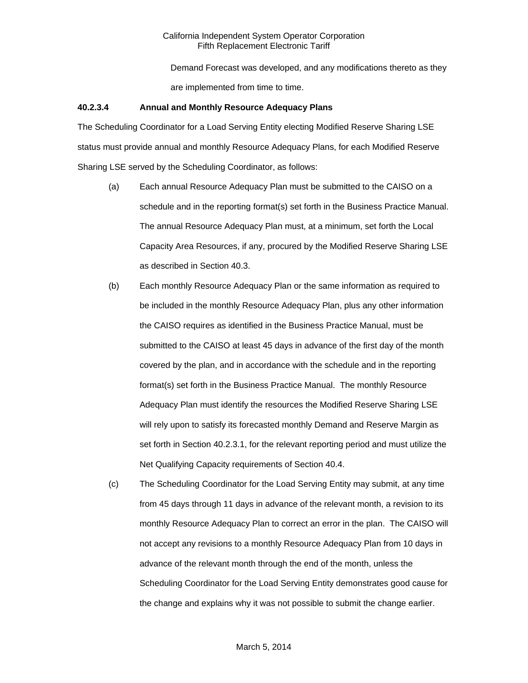Demand Forecast was developed, and any modifications thereto as they are implemented from time to time.

#### **40.2.3.4 Annual and Monthly Resource Adequacy Plans**

The Scheduling Coordinator for a Load Serving Entity electing Modified Reserve Sharing LSE status must provide annual and monthly Resource Adequacy Plans, for each Modified Reserve Sharing LSE served by the Scheduling Coordinator, as follows:

- (a) Each annual Resource Adequacy Plan must be submitted to the CAISO on a schedule and in the reporting format(s) set forth in the Business Practice Manual. The annual Resource Adequacy Plan must, at a minimum, set forth the Local Capacity Area Resources, if any, procured by the Modified Reserve Sharing LSE as described in Section 40.3.
- (b) Each monthly Resource Adequacy Plan or the same information as required to be included in the monthly Resource Adequacy Plan, plus any other information the CAISO requires as identified in the Business Practice Manual, must be submitted to the CAISO at least 45 days in advance of the first day of the month covered by the plan, and in accordance with the schedule and in the reporting format(s) set forth in the Business Practice Manual. The monthly Resource Adequacy Plan must identify the resources the Modified Reserve Sharing LSE will rely upon to satisfy its forecasted monthly Demand and Reserve Margin as set forth in Section 40.2.3.1, for the relevant reporting period and must utilize the Net Qualifying Capacity requirements of Section 40.4.
- (c) The Scheduling Coordinator for the Load Serving Entity may submit, at any time from 45 days through 11 days in advance of the relevant month, a revision to its monthly Resource Adequacy Plan to correct an error in the plan. The CAISO will not accept any revisions to a monthly Resource Adequacy Plan from 10 days in advance of the relevant month through the end of the month, unless the Scheduling Coordinator for the Load Serving Entity demonstrates good cause for the change and explains why it was not possible to submit the change earlier.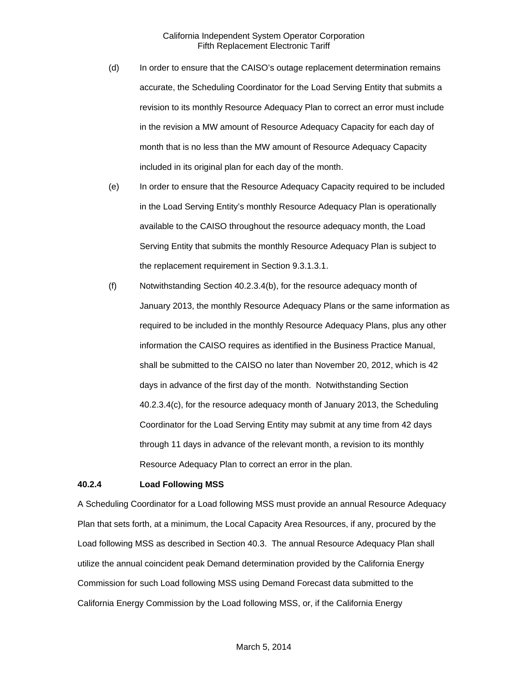- (d) In order to ensure that the CAISO's outage replacement determination remains accurate, the Scheduling Coordinator for the Load Serving Entity that submits a revision to its monthly Resource Adequacy Plan to correct an error must include in the revision a MW amount of Resource Adequacy Capacity for each day of month that is no less than the MW amount of Resource Adequacy Capacity included in its original plan for each day of the month.
- (e) In order to ensure that the Resource Adequacy Capacity required to be included in the Load Serving Entity's monthly Resource Adequacy Plan is operationally available to the CAISO throughout the resource adequacy month, the Load Serving Entity that submits the monthly Resource Adequacy Plan is subject to the replacement requirement in Section 9.3.1.3.1.
- (f) Notwithstanding Section 40.2.3.4(b), for the resource adequacy month of January 2013, the monthly Resource Adequacy Plans or the same information as required to be included in the monthly Resource Adequacy Plans, plus any other information the CAISO requires as identified in the Business Practice Manual, shall be submitted to the CAISO no later than November 20, 2012, which is 42 days in advance of the first day of the month. Notwithstanding Section 40.2.3.4(c), for the resource adequacy month of January 2013, the Scheduling Coordinator for the Load Serving Entity may submit at any time from 42 days through 11 days in advance of the relevant month, a revision to its monthly Resource Adequacy Plan to correct an error in the plan.

#### <span id="page-9-0"></span>**40.2.4 Load Following MSS**

A Scheduling Coordinator for a Load following MSS must provide an annual Resource Adequacy Plan that sets forth, at a minimum, the Local Capacity Area Resources, if any, procured by the Load following MSS as described in Section 40.3. The annual Resource Adequacy Plan shall utilize the annual coincident peak Demand determination provided by the California Energy Commission for such Load following MSS using Demand Forecast data submitted to the California Energy Commission by the Load following MSS, or, if the California Energy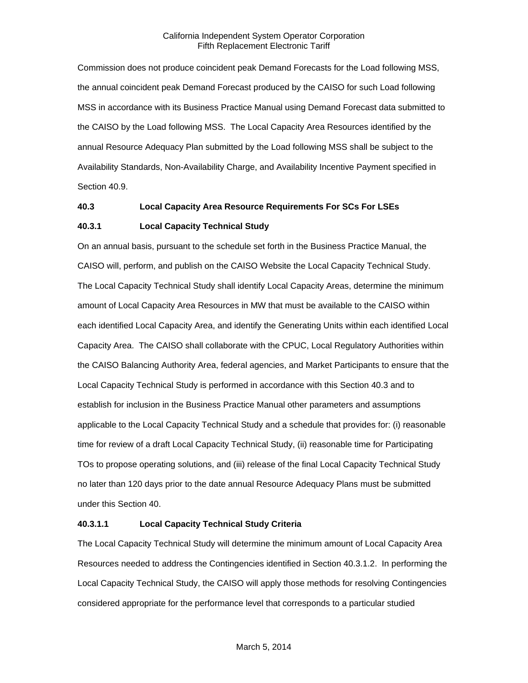Commission does not produce coincident peak Demand Forecasts for the Load following MSS, the annual coincident peak Demand Forecast produced by the CAISO for such Load following MSS in accordance with its Business Practice Manual using Demand Forecast data submitted to the CAISO by the Load following MSS. The Local Capacity Area Resources identified by the annual Resource Adequacy Plan submitted by the Load following MSS shall be subject to the Availability Standards, Non-Availability Charge, and Availability Incentive Payment specified in Section 40.9.

#### <span id="page-10-0"></span>**40.3 Local Capacity Area Resource Requirements For SCs For LSEs**

#### <span id="page-10-1"></span>**40.3.1 Local Capacity Technical Study**

On an annual basis, pursuant to the schedule set forth in the Business Practice Manual, the CAISO will, perform, and publish on the CAISO Website the Local Capacity Technical Study. The Local Capacity Technical Study shall identify Local Capacity Areas, determine the minimum amount of Local Capacity Area Resources in MW that must be available to the CAISO within each identified Local Capacity Area, and identify the Generating Units within each identified Local Capacity Area. The CAISO shall collaborate with the CPUC, Local Regulatory Authorities within the CAISO Balancing Authority Area, federal agencies, and Market Participants to ensure that the Local Capacity Technical Study is performed in accordance with this Section 40.3 and to establish for inclusion in the Business Practice Manual other parameters and assumptions applicable to the Local Capacity Technical Study and a schedule that provides for: (i) reasonable time for review of a draft Local Capacity Technical Study, (ii) reasonable time for Participating TOs to propose operating solutions, and (iii) release of the final Local Capacity Technical Study no later than 120 days prior to the date annual Resource Adequacy Plans must be submitted under this Section 40.

## **40.3.1.1 Local Capacity Technical Study Criteria**

The Local Capacity Technical Study will determine the minimum amount of Local Capacity Area Resources needed to address the Contingencies identified in Section 40.3.1.2. In performing the Local Capacity Technical Study, the CAISO will apply those methods for resolving Contingencies considered appropriate for the performance level that corresponds to a particular studied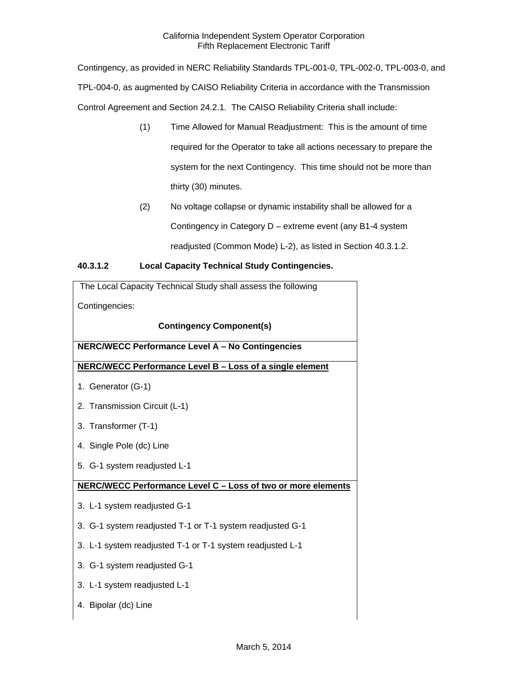Contingency, as provided in NERC Reliability Standards TPL-001-0, TPL-002-0, TPL-003-0, and TPL-004-0, as augmented by CAISO Reliability Criteria in accordance with the Transmission Control Agreement and Section 24.2.1. The CAISO Reliability Criteria shall include:

- (1) Time Allowed for Manual Readjustment: This is the amount of time required for the Operator to take all actions necessary to prepare the system for the next Contingency. This time should not be more than thirty (30) minutes.
- (2) No voltage collapse or dynamic instability shall be allowed for a Contingency in Category D – extreme event (any B1-4 system readjusted (Common Mode) L-2), as listed in Section 40.3.1.2.

## **40.3.1.2 Local Capacity Technical Study Contingencies.**

| The Local Capacity Technical Study shall assess the following |  |  |
|---------------------------------------------------------------|--|--|
| Contingencies:                                                |  |  |
| <b>Contingency Component(s)</b>                               |  |  |
| NERC/WECC Performance Level A - No Contingencies              |  |  |
| NERC/WECC Performance Level B - Loss of a single element      |  |  |
| 1. Generator (G-1)                                            |  |  |
| 2. Transmission Circuit (L-1)                                 |  |  |
| 3. Transformer (T-1)                                          |  |  |
| 4. Single Pole (dc) Line                                      |  |  |
| 5. G-1 system readjusted L-1                                  |  |  |
| NERC/WECC Performance Level C - Loss of two or more elements  |  |  |
| 3. L-1 system readjusted G-1                                  |  |  |
| 3. G-1 system readjusted T-1 or T-1 system readjusted G-1     |  |  |
| 3. L-1 system readjusted T-1 or T-1 system readjusted L-1     |  |  |
| 3. G-1 system readjusted G-1                                  |  |  |
| 3. L-1 system readjusted L-1                                  |  |  |
| 4. Bipolar (dc) Line                                          |  |  |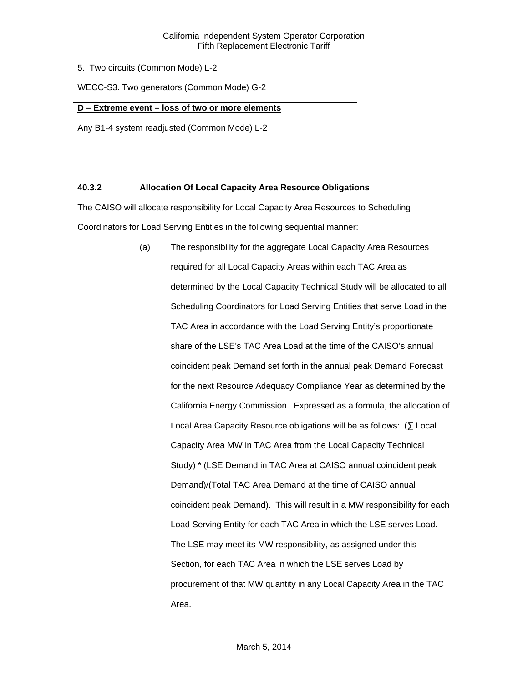5. Two circuits (Common Mode) L-2

WECC-S3. Two generators (Common Mode) G-2

## **D – Extreme event – loss of two or more elements**

Any B1-4 system readjusted (Common Mode) L-2

## <span id="page-12-0"></span>**40.3.2 Allocation Of Local Capacity Area Resource Obligations**

The CAISO will allocate responsibility for Local Capacity Area Resources to Scheduling Coordinators for Load Serving Entities in the following sequential manner:

> (a) The responsibility for the aggregate Local Capacity Area Resources required for all Local Capacity Areas within each TAC Area as determined by the Local Capacity Technical Study will be allocated to all Scheduling Coordinators for Load Serving Entities that serve Load in the TAC Area in accordance with the Load Serving Entity's proportionate share of the LSE's TAC Area Load at the time of the CAISO's annual coincident peak Demand set forth in the annual peak Demand Forecast for the next Resource Adequacy Compliance Year as determined by the California Energy Commission. Expressed as a formula, the allocation of Local Area Capacity Resource obligations will be as follows: (∑ Local Capacity Area MW in TAC Area from the Local Capacity Technical Study) \* (LSE Demand in TAC Area at CAISO annual coincident peak Demand)/(Total TAC Area Demand at the time of CAISO annual coincident peak Demand). This will result in a MW responsibility for each Load Serving Entity for each TAC Area in which the LSE serves Load. The LSE may meet its MW responsibility, as assigned under this Section, for each TAC Area in which the LSE serves Load by procurement of that MW quantity in any Local Capacity Area in the TAC Area.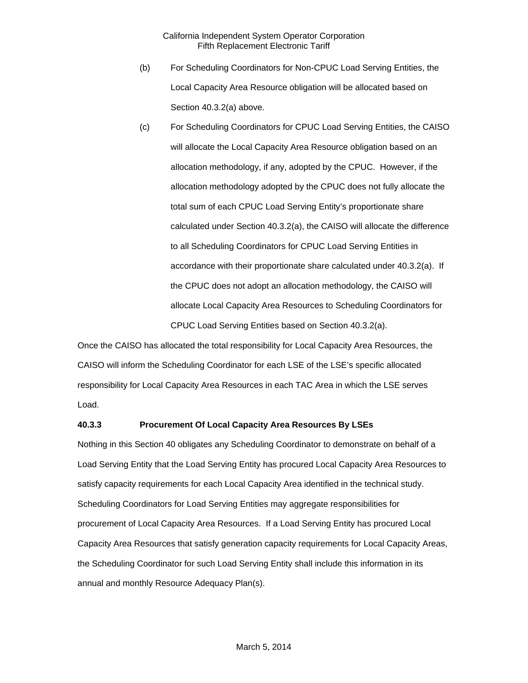- (b) For Scheduling Coordinators for Non-CPUC Load Serving Entities, the Local Capacity Area Resource obligation will be allocated based on Section 40.3.2(a) above.
- (c) For Scheduling Coordinators for CPUC Load Serving Entities, the CAISO will allocate the Local Capacity Area Resource obligation based on an allocation methodology, if any, adopted by the CPUC. However, if the allocation methodology adopted by the CPUC does not fully allocate the total sum of each CPUC Load Serving Entity's proportionate share calculated under Section 40.3.2(a), the CAISO will allocate the difference to all Scheduling Coordinators for CPUC Load Serving Entities in accordance with their proportionate share calculated under 40.3.2(a). If the CPUC does not adopt an allocation methodology, the CAISO will allocate Local Capacity Area Resources to Scheduling Coordinators for CPUC Load Serving Entities based on Section 40.3.2(a).

Once the CAISO has allocated the total responsibility for Local Capacity Area Resources, the CAISO will inform the Scheduling Coordinator for each LSE of the LSE's specific allocated responsibility for Local Capacity Area Resources in each TAC Area in which the LSE serves Load.

#### <span id="page-13-0"></span>**40.3.3 Procurement Of Local Capacity Area Resources By LSEs**

Nothing in this Section 40 obligates any Scheduling Coordinator to demonstrate on behalf of a Load Serving Entity that the Load Serving Entity has procured Local Capacity Area Resources to satisfy capacity requirements for each Local Capacity Area identified in the technical study. Scheduling Coordinators for Load Serving Entities may aggregate responsibilities for procurement of Local Capacity Area Resources. If a Load Serving Entity has procured Local Capacity Area Resources that satisfy generation capacity requirements for Local Capacity Areas, the Scheduling Coordinator for such Load Serving Entity shall include this information in its annual and monthly Resource Adequacy Plan(s).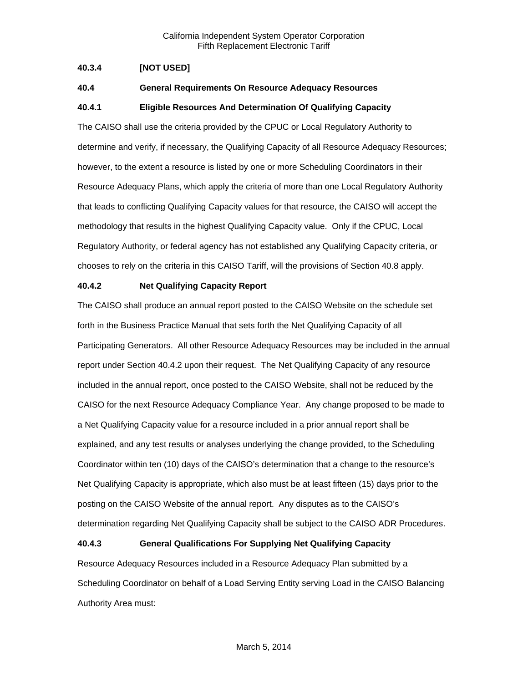## <span id="page-14-0"></span>**40.3.4 [NOT USED]**

#### <span id="page-14-1"></span>**40.4 General Requirements On Resource Adequacy Resources**

#### <span id="page-14-2"></span>**40.4.1 Eligible Resources And Determination Of Qualifying Capacity**

The CAISO shall use the criteria provided by the CPUC or Local Regulatory Authority to determine and verify, if necessary, the Qualifying Capacity of all Resource Adequacy Resources; however, to the extent a resource is listed by one or more Scheduling Coordinators in their Resource Adequacy Plans, which apply the criteria of more than one Local Regulatory Authority that leads to conflicting Qualifying Capacity values for that resource, the CAISO will accept the methodology that results in the highest Qualifying Capacity value. Only if the CPUC, Local Regulatory Authority, or federal agency has not established any Qualifying Capacity criteria, or chooses to rely on the criteria in this CAISO Tariff, will the provisions of Section 40.8 apply.

#### <span id="page-14-3"></span>**40.4.2 Net Qualifying Capacity Report**

The CAISO shall produce an annual report posted to the CAISO Website on the schedule set forth in the Business Practice Manual that sets forth the Net Qualifying Capacity of all Participating Generators. All other Resource Adequacy Resources may be included in the annual report under Section 40.4.2 upon their request. The Net Qualifying Capacity of any resource included in the annual report, once posted to the CAISO Website, shall not be reduced by the CAISO for the next Resource Adequacy Compliance Year. Any change proposed to be made to a Net Qualifying Capacity value for a resource included in a prior annual report shall be explained, and any test results or analyses underlying the change provided, to the Scheduling Coordinator within ten (10) days of the CAISO's determination that a change to the resource's Net Qualifying Capacity is appropriate, which also must be at least fifteen (15) days prior to the posting on the CAISO Website of the annual report. Any disputes as to the CAISO's determination regarding Net Qualifying Capacity shall be subject to the CAISO ADR Procedures.

#### <span id="page-14-4"></span>**40.4.3 General Qualifications For Supplying Net Qualifying Capacity**

Resource Adequacy Resources included in a Resource Adequacy Plan submitted by a Scheduling Coordinator on behalf of a Load Serving Entity serving Load in the CAISO Balancing Authority Area must: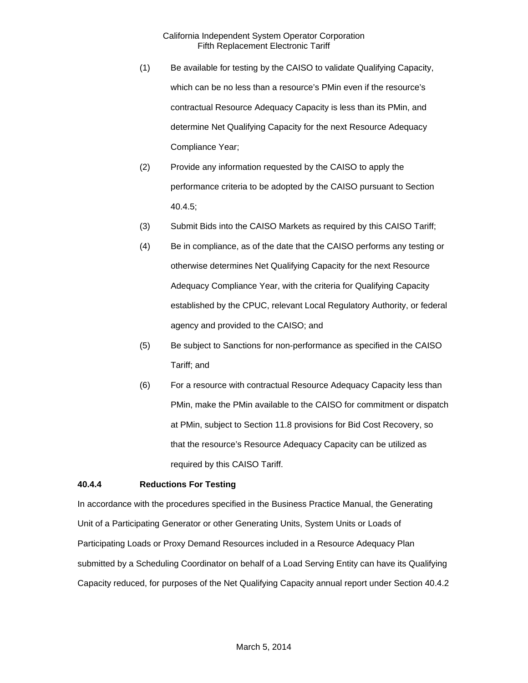- (1) Be available for testing by the CAISO to validate Qualifying Capacity, which can be no less than a resource's PMin even if the resource's contractual Resource Adequacy Capacity is less than its PMin, and determine Net Qualifying Capacity for the next Resource Adequacy Compliance Year;
- (2) Provide any information requested by the CAISO to apply the performance criteria to be adopted by the CAISO pursuant to Section 40.4.5;
- (3) Submit Bids into the CAISO Markets as required by this CAISO Tariff;
- (4) Be in compliance, as of the date that the CAISO performs any testing or otherwise determines Net Qualifying Capacity for the next Resource Adequacy Compliance Year, with the criteria for Qualifying Capacity established by the CPUC, relevant Local Regulatory Authority, or federal agency and provided to the CAISO; and
- (5) Be subject to Sanctions for non-performance as specified in the CAISO Tariff; and
- (6) For a resource with contractual Resource Adequacy Capacity less than PMin, make the PMin available to the CAISO for commitment or dispatch at PMin, subject to Section 11.8 provisions for Bid Cost Recovery, so that the resource's Resource Adequacy Capacity can be utilized as required by this CAISO Tariff.

## <span id="page-15-0"></span>**40.4.4 Reductions For Testing**

In accordance with the procedures specified in the Business Practice Manual, the Generating Unit of a Participating Generator or other Generating Units, System Units or Loads of Participating Loads or Proxy Demand Resources included in a Resource Adequacy Plan submitted by a Scheduling Coordinator on behalf of a Load Serving Entity can have its Qualifying Capacity reduced, for purposes of the Net Qualifying Capacity annual report under Section 40.4.2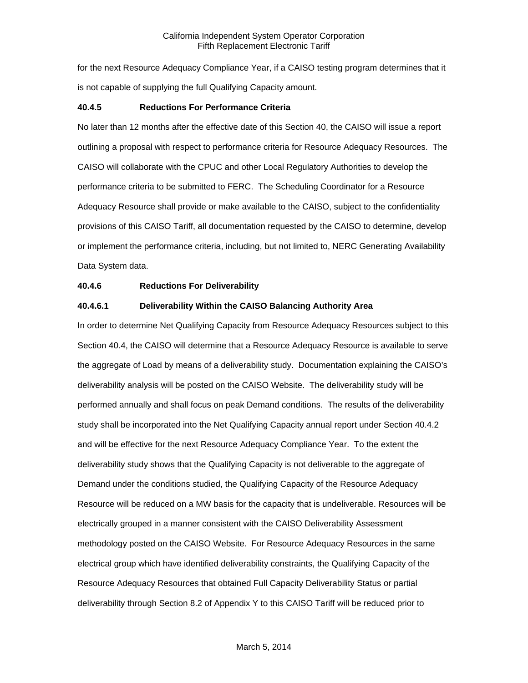for the next Resource Adequacy Compliance Year, if a CAISO testing program determines that it is not capable of supplying the full Qualifying Capacity amount.

#### <span id="page-16-0"></span>**40.4.5 Reductions For Performance Criteria**

No later than 12 months after the effective date of this Section 40, the CAISO will issue a report outlining a proposal with respect to performance criteria for Resource Adequacy Resources. The CAISO will collaborate with the CPUC and other Local Regulatory Authorities to develop the performance criteria to be submitted to FERC. The Scheduling Coordinator for a Resource Adequacy Resource shall provide or make available to the CAISO, subject to the confidentiality provisions of this CAISO Tariff, all documentation requested by the CAISO to determine, develop or implement the performance criteria, including, but not limited to, NERC Generating Availability Data System data.

#### <span id="page-16-1"></span>**40.4.6 Reductions For Deliverability**

#### **40.4.6.1 Deliverability Within the CAISO Balancing Authority Area**

In order to determine Net Qualifying Capacity from Resource Adequacy Resources subject to this Section 40.4, the CAISO will determine that a Resource Adequacy Resource is available to serve the aggregate of Load by means of a deliverability study. Documentation explaining the CAISO's deliverability analysis will be posted on the CAISO Website. The deliverability study will be performed annually and shall focus on peak Demand conditions. The results of the deliverability study shall be incorporated into the Net Qualifying Capacity annual report under Section 40.4.2 and will be effective for the next Resource Adequacy Compliance Year. To the extent the deliverability study shows that the Qualifying Capacity is not deliverable to the aggregate of Demand under the conditions studied, the Qualifying Capacity of the Resource Adequacy Resource will be reduced on a MW basis for the capacity that is undeliverable. Resources will be electrically grouped in a manner consistent with the CAISO Deliverability Assessment methodology posted on the CAISO Website. For Resource Adequacy Resources in the same electrical group which have identified deliverability constraints, the Qualifying Capacity of the Resource Adequacy Resources that obtained Full Capacity Deliverability Status or partial deliverability through Section 8.2 of Appendix Y to this CAISO Tariff will be reduced prior to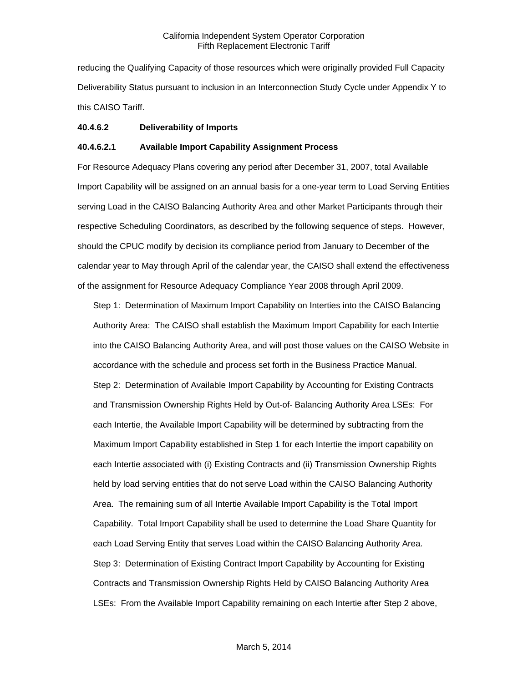reducing the Qualifying Capacity of those resources which were originally provided Full Capacity Deliverability Status pursuant to inclusion in an Interconnection Study Cycle under Appendix Y to this CAISO Tariff.

#### **40.4.6.2 Deliverability of Imports**

#### **40.4.6.2.1 Available Import Capability Assignment Process**

For Resource Adequacy Plans covering any period after December 31, 2007, total Available Import Capability will be assigned on an annual basis for a one-year term to Load Serving Entities serving Load in the CAISO Balancing Authority Area and other Market Participants through their respective Scheduling Coordinators, as described by the following sequence of steps. However, should the CPUC modify by decision its compliance period from January to December of the calendar year to May through April of the calendar year, the CAISO shall extend the effectiveness of the assignment for Resource Adequacy Compliance Year 2008 through April 2009.

Step 1: Determination of Maximum Import Capability on Interties into the CAISO Balancing Authority Area: The CAISO shall establish the Maximum Import Capability for each Intertie into the CAISO Balancing Authority Area, and will post those values on the CAISO Website in accordance with the schedule and process set forth in the Business Practice Manual. Step 2: Determination of Available Import Capability by Accounting for Existing Contracts and Transmission Ownership Rights Held by Out-of- Balancing Authority Area LSEs: For each Intertie, the Available Import Capability will be determined by subtracting from the Maximum Import Capability established in Step 1 for each Intertie the import capability on each Intertie associated with (i) Existing Contracts and (ii) Transmission Ownership Rights held by load serving entities that do not serve Load within the CAISO Balancing Authority Area. The remaining sum of all Intertie Available Import Capability is the Total Import Capability. Total Import Capability shall be used to determine the Load Share Quantity for each Load Serving Entity that serves Load within the CAISO Balancing Authority Area. Step 3: Determination of Existing Contract Import Capability by Accounting for Existing Contracts and Transmission Ownership Rights Held by CAISO Balancing Authority Area LSEs: From the Available Import Capability remaining on each Intertie after Step 2 above,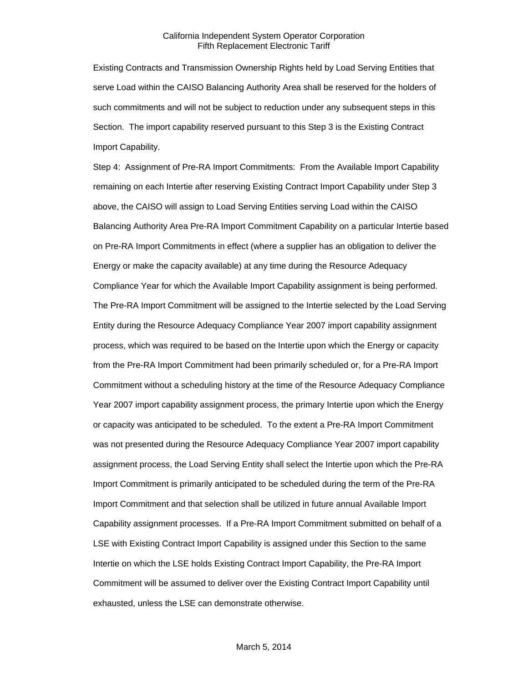Existing Contracts and Transmission Ownership Rights held by Load Serving Entities that serve Load within the CAISO Balancing Authority Area shall be reserved for the holders of such commitments and will not be subject to reduction under any subsequent steps in this Section. The import capability reserved pursuant to this Step 3 is the Existing Contract Import Capability.

Step 4: Assignment of Pre-RA Import Commitments: From the Available Import Capability remaining on each Intertie after reserving Existing Contract Import Capability under Step 3 above, the CAISO will assign to Load Serving Entities serving Load within the CAISO Balancing Authority Area Pre-RA Import Commitment Capability on a particular Intertie based on Pre-RA Import Commitments in effect (where a supplier has an obligation to deliver the Energy or make the capacity available) at any time during the Resource Adequacy Compliance Year for which the Available Import Capability assignment is being performed. The Pre-RA Import Commitment will be assigned to the Intertie selected by the Load Serving Entity during the Resource Adequacy Compliance Year 2007 import capability assignment process, which was required to be based on the Intertie upon which the Energy or capacity from the Pre-RA Import Commitment had been primarily scheduled or, for a Pre-RA Import Commitment without a scheduling history at the time of the Resource Adequacy Compliance Year 2007 import capability assignment process, the primary Intertie upon which the Energy or capacity was anticipated to be scheduled. To the extent a Pre-RA Import Commitment was not presented during the Resource Adequacy Compliance Year 2007 import capability assignment process, the Load Serving Entity shall select the Intertie upon which the Pre-RA Import Commitment is primarily anticipated to be scheduled during the term of the Pre-RA Import Commitment and that selection shall be utilized in future annual Available Import Capability assignment processes. If a Pre-RA Import Commitment submitted on behalf of a LSE with Existing Contract Import Capability is assigned under this Section to the same Intertie on which the LSE holds Existing Contract Import Capability, the Pre-RA Import Commitment will be assumed to deliver over the Existing Contract Import Capability until exhausted, unless the LSE can demonstrate otherwise.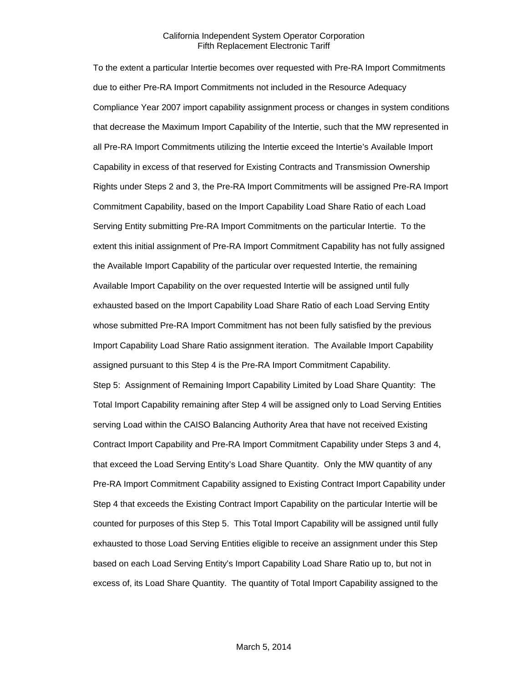To the extent a particular Intertie becomes over requested with Pre-RA Import Commitments due to either Pre-RA Import Commitments not included in the Resource Adequacy Compliance Year 2007 import capability assignment process or changes in system conditions that decrease the Maximum Import Capability of the Intertie, such that the MW represented in all Pre-RA Import Commitments utilizing the Intertie exceed the Intertie's Available Import Capability in excess of that reserved for Existing Contracts and Transmission Ownership Rights under Steps 2 and 3, the Pre-RA Import Commitments will be assigned Pre-RA Import Commitment Capability, based on the Import Capability Load Share Ratio of each Load Serving Entity submitting Pre-RA Import Commitments on the particular Intertie. To the extent this initial assignment of Pre-RA Import Commitment Capability has not fully assigned the Available Import Capability of the particular over requested Intertie, the remaining Available Import Capability on the over requested Intertie will be assigned until fully exhausted based on the Import Capability Load Share Ratio of each Load Serving Entity whose submitted Pre-RA Import Commitment has not been fully satisfied by the previous Import Capability Load Share Ratio assignment iteration. The Available Import Capability assigned pursuant to this Step 4 is the Pre-RA Import Commitment Capability. Step 5: Assignment of Remaining Import Capability Limited by Load Share Quantity: The Total Import Capability remaining after Step 4 will be assigned only to Load Serving Entities serving Load within the CAISO Balancing Authority Area that have not received Existing Contract Import Capability and Pre-RA Import Commitment Capability under Steps 3 and 4, that exceed the Load Serving Entity's Load Share Quantity. Only the MW quantity of any Pre-RA Import Commitment Capability assigned to Existing Contract Import Capability under Step 4 that exceeds the Existing Contract Import Capability on the particular Intertie will be counted for purposes of this Step 5. This Total Import Capability will be assigned until fully exhausted to those Load Serving Entities eligible to receive an assignment under this Step based on each Load Serving Entity's Import Capability Load Share Ratio up to, but not in excess of, its Load Share Quantity. The quantity of Total Import Capability assigned to the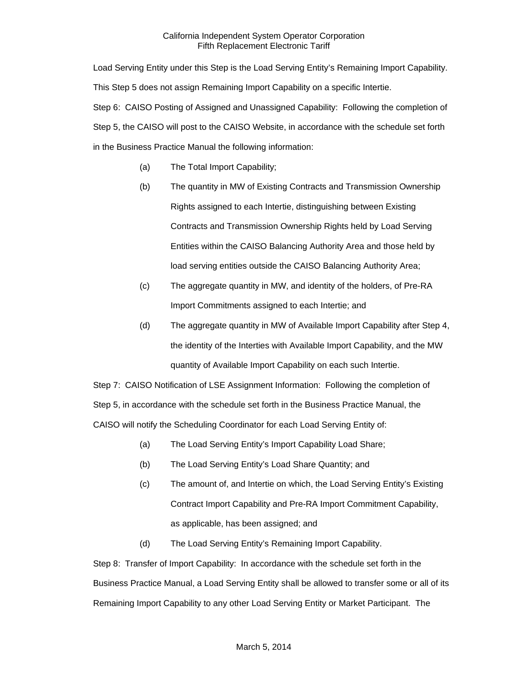Load Serving Entity under this Step is the Load Serving Entity's Remaining Import Capability. This Step 5 does not assign Remaining Import Capability on a specific Intertie. Step 6: CAISO Posting of Assigned and Unassigned Capability: Following the completion of Step 5, the CAISO will post to the CAISO Website, in accordance with the schedule set forth in the Business Practice Manual the following information:

- (a) The Total Import Capability;
- (b) The quantity in MW of Existing Contracts and Transmission Ownership Rights assigned to each Intertie, distinguishing between Existing Contracts and Transmission Ownership Rights held by Load Serving Entities within the CAISO Balancing Authority Area and those held by load serving entities outside the CAISO Balancing Authority Area;
- (c) The aggregate quantity in MW, and identity of the holders, of Pre-RA Import Commitments assigned to each Intertie; and
- (d) The aggregate quantity in MW of Available Import Capability after Step 4, the identity of the Interties with Available Import Capability, and the MW quantity of Available Import Capability on each such Intertie.

Step 7: CAISO Notification of LSE Assignment Information: Following the completion of Step 5, in accordance with the schedule set forth in the Business Practice Manual, the CAISO will notify the Scheduling Coordinator for each Load Serving Entity of:

- (a) The Load Serving Entity's Import Capability Load Share;
- (b) The Load Serving Entity's Load Share Quantity; and
- (c) The amount of, and Intertie on which, the Load Serving Entity's Existing Contract Import Capability and Pre-RA Import Commitment Capability, as applicable, has been assigned; and
- (d) The Load Serving Entity's Remaining Import Capability.

Step 8: Transfer of Import Capability: In accordance with the schedule set forth in the Business Practice Manual, a Load Serving Entity shall be allowed to transfer some or all of its Remaining Import Capability to any other Load Serving Entity or Market Participant. The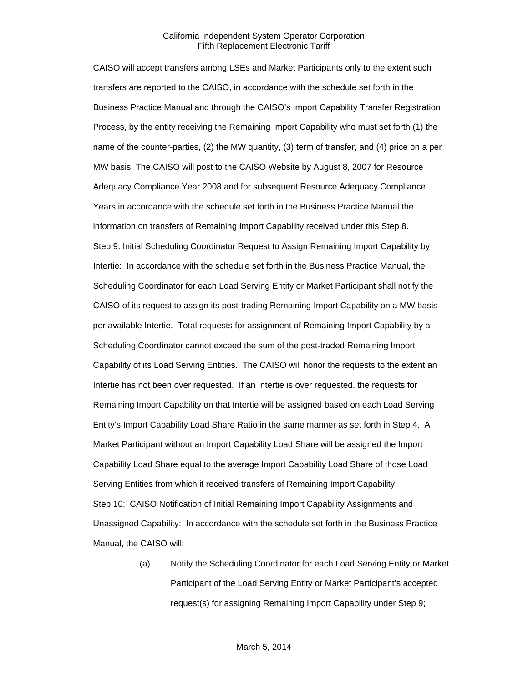CAISO will accept transfers among LSEs and Market Participants only to the extent such transfers are reported to the CAISO, in accordance with the schedule set forth in the Business Practice Manual and through the CAISO's Import Capability Transfer Registration Process, by the entity receiving the Remaining Import Capability who must set forth (1) the name of the counter-parties, (2) the MW quantity, (3) term of transfer, and (4) price on a per MW basis. The CAISO will post to the CAISO Website by August 8, 2007 for Resource Adequacy Compliance Year 2008 and for subsequent Resource Adequacy Compliance Years in accordance with the schedule set forth in the Business Practice Manual the information on transfers of Remaining Import Capability received under this Step 8. Step 9: Initial Scheduling Coordinator Request to Assign Remaining Import Capability by Intertie: In accordance with the schedule set forth in the Business Practice Manual, the Scheduling Coordinator for each Load Serving Entity or Market Participant shall notify the CAISO of its request to assign its post-trading Remaining Import Capability on a MW basis per available Intertie. Total requests for assignment of Remaining Import Capability by a Scheduling Coordinator cannot exceed the sum of the post-traded Remaining Import Capability of its Load Serving Entities. The CAISO will honor the requests to the extent an Intertie has not been over requested. If an Intertie is over requested, the requests for Remaining Import Capability on that Intertie will be assigned based on each Load Serving Entity's Import Capability Load Share Ratio in the same manner as set forth in Step 4. A Market Participant without an Import Capability Load Share will be assigned the Import Capability Load Share equal to the average Import Capability Load Share of those Load Serving Entities from which it received transfers of Remaining Import Capability. Step 10: CAISO Notification of Initial Remaining Import Capability Assignments and Unassigned Capability: In accordance with the schedule set forth in the Business Practice Manual, the CAISO will:

> (a) Notify the Scheduling Coordinator for each Load Serving Entity or Market Participant of the Load Serving Entity or Market Participant's accepted request(s) for assigning Remaining Import Capability under Step 9;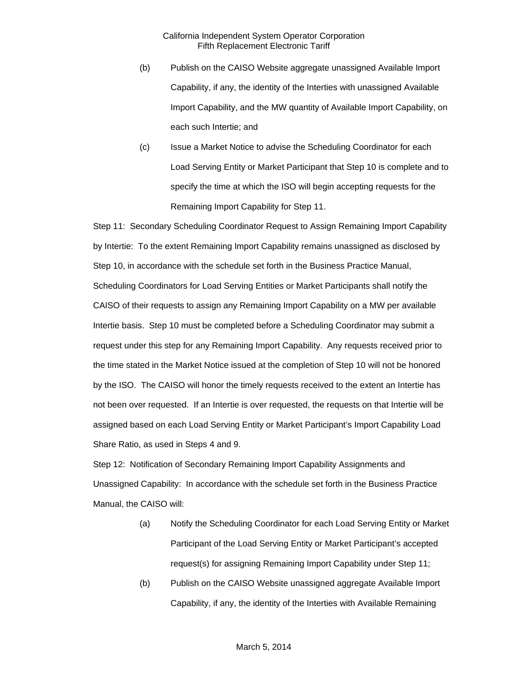- (b) Publish on the CAISO Website aggregate unassigned Available Import Capability, if any, the identity of the Interties with unassigned Available Import Capability, and the MW quantity of Available Import Capability, on each such Intertie; and
- (c) Issue a Market Notice to advise the Scheduling Coordinator for each Load Serving Entity or Market Participant that Step 10 is complete and to specify the time at which the ISO will begin accepting requests for the Remaining Import Capability for Step 11.

Step 11: Secondary Scheduling Coordinator Request to Assign Remaining Import Capability by Intertie: To the extent Remaining Import Capability remains unassigned as disclosed by Step 10, in accordance with the schedule set forth in the Business Practice Manual, Scheduling Coordinators for Load Serving Entities or Market Participants shall notify the CAISO of their requests to assign any Remaining Import Capability on a MW per available Intertie basis. Step 10 must be completed before a Scheduling Coordinator may submit a request under this step for any Remaining Import Capability. Any requests received prior to the time stated in the Market Notice issued at the completion of Step 10 will not be honored by the ISO. The CAISO will honor the timely requests received to the extent an Intertie has not been over requested. If an Intertie is over requested, the requests on that Intertie will be assigned based on each Load Serving Entity or Market Participant's Import Capability Load Share Ratio, as used in Steps 4 and 9.

Step 12: Notification of Secondary Remaining Import Capability Assignments and Unassigned Capability: In accordance with the schedule set forth in the Business Practice Manual, the CAISO will:

- (a) Notify the Scheduling Coordinator for each Load Serving Entity or Market Participant of the Load Serving Entity or Market Participant's accepted request(s) for assigning Remaining Import Capability under Step 11;
- (b) Publish on the CAISO Website unassigned aggregate Available Import Capability, if any, the identity of the Interties with Available Remaining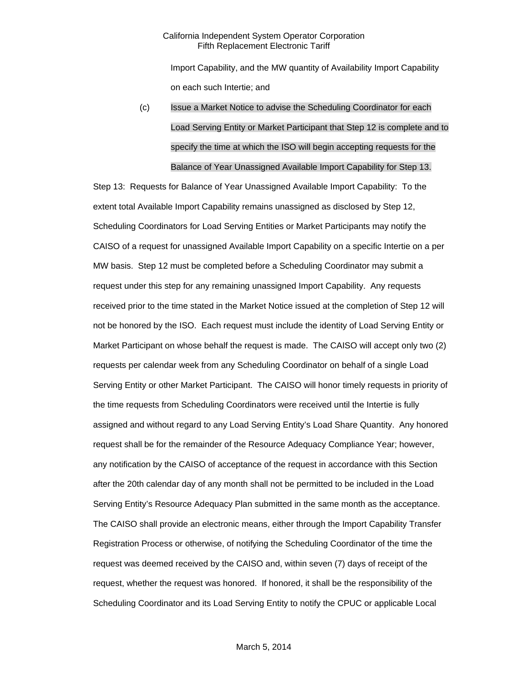Import Capability, and the MW quantity of Availability Import Capability on each such Intertie; and

(c) Issue a Market Notice to advise the Scheduling Coordinator for each Load Serving Entity or Market Participant that Step 12 is complete and to specify the time at which the ISO will begin accepting requests for the Balance of Year Unassigned Available Import Capability for Step 13.

Step 13: Requests for Balance of Year Unassigned Available Import Capability: To the extent total Available Import Capability remains unassigned as disclosed by Step 12, Scheduling Coordinators for Load Serving Entities or Market Participants may notify the CAISO of a request for unassigned Available Import Capability on a specific Intertie on a per MW basis. Step 12 must be completed before a Scheduling Coordinator may submit a request under this step for any remaining unassigned Import Capability. Any requests received prior to the time stated in the Market Notice issued at the completion of Step 12 will not be honored by the ISO. Each request must include the identity of Load Serving Entity or Market Participant on whose behalf the request is made. The CAISO will accept only two (2) requests per calendar week from any Scheduling Coordinator on behalf of a single Load Serving Entity or other Market Participant. The CAISO will honor timely requests in priority of the time requests from Scheduling Coordinators were received until the Intertie is fully assigned and without regard to any Load Serving Entity's Load Share Quantity. Any honored request shall be for the remainder of the Resource Adequacy Compliance Year; however, any notification by the CAISO of acceptance of the request in accordance with this Section after the 20th calendar day of any month shall not be permitted to be included in the Load Serving Entity's Resource Adequacy Plan submitted in the same month as the acceptance. The CAISO shall provide an electronic means, either through the Import Capability Transfer Registration Process or otherwise, of notifying the Scheduling Coordinator of the time the request was deemed received by the CAISO and, within seven (7) days of receipt of the request, whether the request was honored. If honored, it shall be the responsibility of the Scheduling Coordinator and its Load Serving Entity to notify the CPUC or applicable Local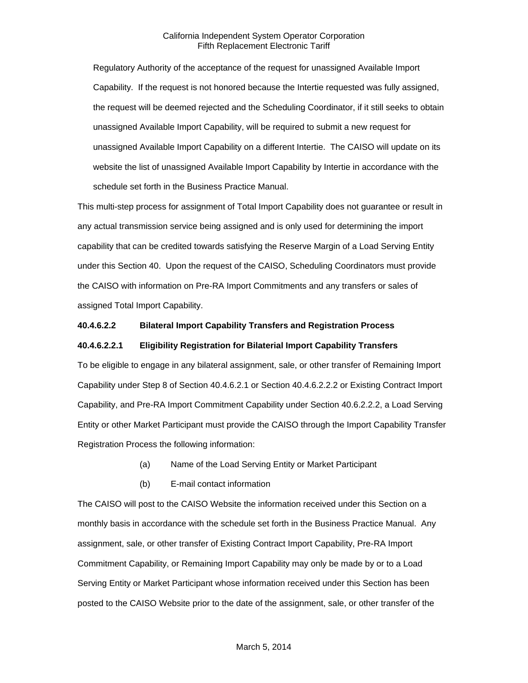Regulatory Authority of the acceptance of the request for unassigned Available Import Capability. If the request is not honored because the Intertie requested was fully assigned, the request will be deemed rejected and the Scheduling Coordinator, if it still seeks to obtain unassigned Available Import Capability, will be required to submit a new request for unassigned Available Import Capability on a different Intertie. The CAISO will update on its website the list of unassigned Available Import Capability by Intertie in accordance with the schedule set forth in the Business Practice Manual.

This multi-step process for assignment of Total Import Capability does not guarantee or result in any actual transmission service being assigned and is only used for determining the import capability that can be credited towards satisfying the Reserve Margin of a Load Serving Entity under this Section 40. Upon the request of the CAISO, Scheduling Coordinators must provide the CAISO with information on Pre-RA Import Commitments and any transfers or sales of assigned Total Import Capability.

### **40.4.6.2.2 Bilateral Import Capability Transfers and Registration Process**

#### **40.4.6.2.2.1 Eligibility Registration for Bilaterial Import Capability Transfers**

To be eligible to engage in any bilateral assignment, sale, or other transfer of Remaining Import Capability under Step 8 of Section 40.4.6.2.1 or Section 40.4.6.2.2.2 or Existing Contract Import Capability, and Pre-RA Import Commitment Capability under Section 40.6.2.2.2, a Load Serving Entity or other Market Participant must provide the CAISO through the Import Capability Transfer Registration Process the following information:

- (a) Name of the Load Serving Entity or Market Participant
- (b) E-mail contact information

The CAISO will post to the CAISO Website the information received under this Section on a monthly basis in accordance with the schedule set forth in the Business Practice Manual. Any assignment, sale, or other transfer of Existing Contract Import Capability, Pre-RA Import Commitment Capability, or Remaining Import Capability may only be made by or to a Load Serving Entity or Market Participant whose information received under this Section has been posted to the CAISO Website prior to the date of the assignment, sale, or other transfer of the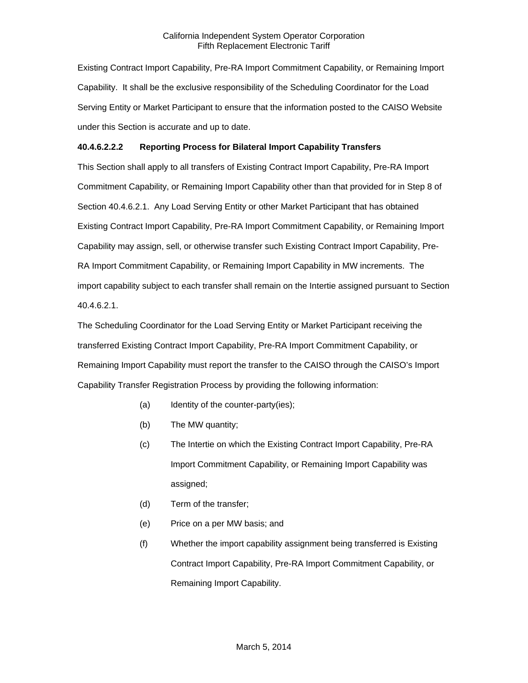Existing Contract Import Capability, Pre-RA Import Commitment Capability, or Remaining Import Capability. It shall be the exclusive responsibility of the Scheduling Coordinator for the Load Serving Entity or Market Participant to ensure that the information posted to the CAISO Website under this Section is accurate and up to date.

## **40.4.6.2.2.2 Reporting Process for Bilateral Import Capability Transfers**

This Section shall apply to all transfers of Existing Contract Import Capability, Pre-RA Import Commitment Capability, or Remaining Import Capability other than that provided for in Step 8 of Section 40.4.6.2.1. Any Load Serving Entity or other Market Participant that has obtained Existing Contract Import Capability, Pre-RA Import Commitment Capability, or Remaining Import Capability may assign, sell, or otherwise transfer such Existing Contract Import Capability, Pre-RA Import Commitment Capability, or Remaining Import Capability in MW increments. The import capability subject to each transfer shall remain on the Intertie assigned pursuant to Section 40.4.6.2.1.

The Scheduling Coordinator for the Load Serving Entity or Market Participant receiving the transferred Existing Contract Import Capability, Pre-RA Import Commitment Capability, or Remaining Import Capability must report the transfer to the CAISO through the CAISO's Import Capability Transfer Registration Process by providing the following information:

- (a) Identity of the counter-party(ies);
- (b) The MW quantity;
- (c) The Intertie on which the Existing Contract Import Capability, Pre-RA Import Commitment Capability, or Remaining Import Capability was assigned;
- (d) Term of the transfer;
- (e) Price on a per MW basis; and
- (f) Whether the import capability assignment being transferred is Existing Contract Import Capability, Pre-RA Import Commitment Capability, or Remaining Import Capability.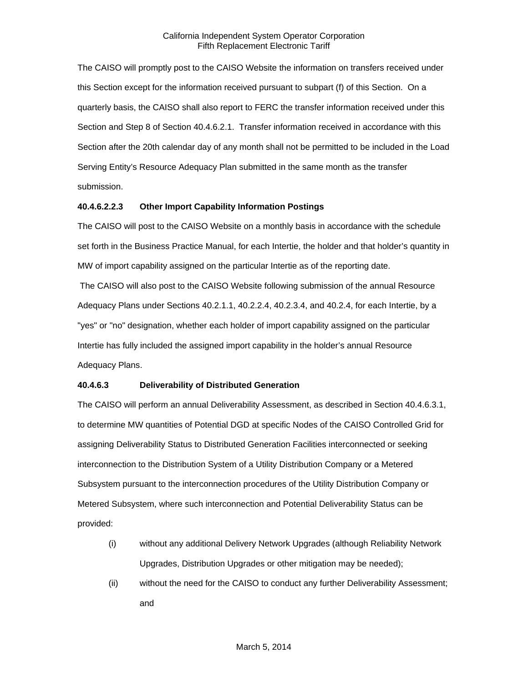The CAISO will promptly post to the CAISO Website the information on transfers received under this Section except for the information received pursuant to subpart (f) of this Section. On a quarterly basis, the CAISO shall also report to FERC the transfer information received under this Section and Step 8 of Section 40.4.6.2.1. Transfer information received in accordance with this Section after the 20th calendar day of any month shall not be permitted to be included in the Load Serving Entity's Resource Adequacy Plan submitted in the same month as the transfer submission.

## **40.4.6.2.2.3 Other Import Capability Information Postings**

The CAISO will post to the CAISO Website on a monthly basis in accordance with the schedule set forth in the Business Practice Manual, for each Intertie, the holder and that holder's quantity in MW of import capability assigned on the particular Intertie as of the reporting date.

The CAISO will also post to the CAISO Website following submission of the annual Resource Adequacy Plans under Sections 40.2.1.1, 40.2.2.4, 40.2.3.4, and 40.2.4, for each Intertie, by a "yes" or "no" designation, whether each holder of import capability assigned on the particular Intertie has fully included the assigned import capability in the holder's annual Resource Adequacy Plans.

## **40.4.6.3 Deliverability of Distributed Generation**

The CAISO will perform an annual Deliverability Assessment, as described in Section 40.4.6.3.1, to determine MW quantities of Potential DGD at specific Nodes of the CAISO Controlled Grid for assigning Deliverability Status to Distributed Generation Facilities interconnected or seeking interconnection to the Distribution System of a Utility Distribution Company or a Metered Subsystem pursuant to the interconnection procedures of the Utility Distribution Company or Metered Subsystem, where such interconnection and Potential Deliverability Status can be provided:

- (i) without any additional Delivery Network Upgrades (although Reliability Network Upgrades, Distribution Upgrades or other mitigation may be needed);
- (ii) without the need for the CAISO to conduct any further Deliverability Assessment; and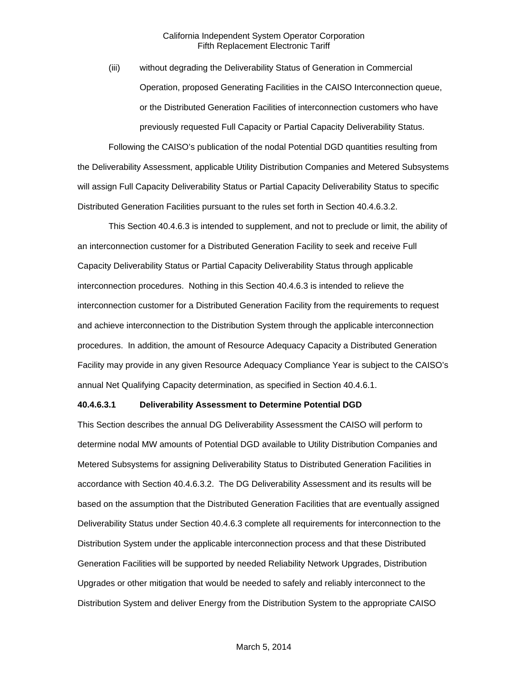(iii) without degrading the Deliverability Status of Generation in Commercial Operation, proposed Generating Facilities in the CAISO Interconnection queue, or the Distributed Generation Facilities of interconnection customers who have previously requested Full Capacity or Partial Capacity Deliverability Status.

Following the CAISO's publication of the nodal Potential DGD quantities resulting from the Deliverability Assessment, applicable Utility Distribution Companies and Metered Subsystems will assign Full Capacity Deliverability Status or Partial Capacity Deliverability Status to specific Distributed Generation Facilities pursuant to the rules set forth in Section 40.4.6.3.2.

This Section 40.4.6.3 is intended to supplement, and not to preclude or limit, the ability of an interconnection customer for a Distributed Generation Facility to seek and receive Full Capacity Deliverability Status or Partial Capacity Deliverability Status through applicable interconnection procedures. Nothing in this Section 40.4.6.3 is intended to relieve the interconnection customer for a Distributed Generation Facility from the requirements to request and achieve interconnection to the Distribution System through the applicable interconnection procedures. In addition, the amount of Resource Adequacy Capacity a Distributed Generation Facility may provide in any given Resource Adequacy Compliance Year is subject to the CAISO's annual Net Qualifying Capacity determination, as specified in Section 40.4.6.1.

#### **40.4.6.3.1 Deliverability Assessment to Determine Potential DGD**

This Section describes the annual DG Deliverability Assessment the CAISO will perform to determine nodal MW amounts of Potential DGD available to Utility Distribution Companies and Metered Subsystems for assigning Deliverability Status to Distributed Generation Facilities in accordance with Section 40.4.6.3.2. The DG Deliverability Assessment and its results will be based on the assumption that the Distributed Generation Facilities that are eventually assigned Deliverability Status under Section 40.4.6.3 complete all requirements for interconnection to the Distribution System under the applicable interconnection process and that these Distributed Generation Facilities will be supported by needed Reliability Network Upgrades, Distribution Upgrades or other mitigation that would be needed to safely and reliably interconnect to the Distribution System and deliver Energy from the Distribution System to the appropriate CAISO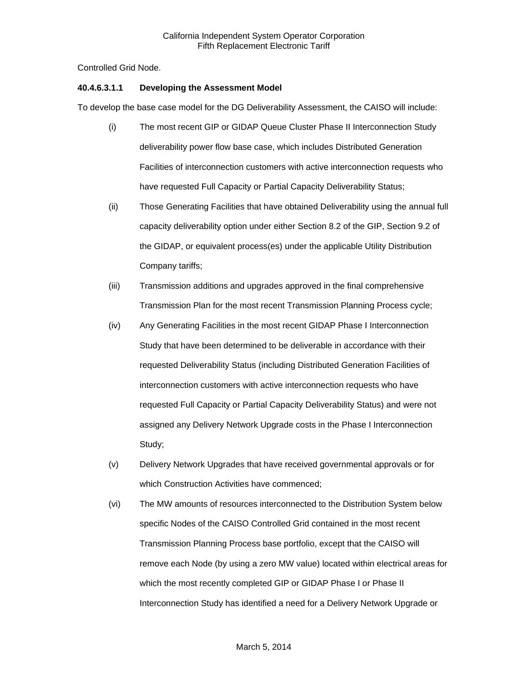Controlled Grid Node.

## **40.4.6.3.1.1 Developing the Assessment Model**

To develop the base case model for the DG Deliverability Assessment, the CAISO will include:

- (i) The most recent GIP or GIDAP Queue Cluster Phase II Interconnection Study deliverability power flow base case, which includes Distributed Generation Facilities of interconnection customers with active interconnection requests who have requested Full Capacity or Partial Capacity Deliverability Status;
- (ii) Those Generating Facilities that have obtained Deliverability using the annual full capacity deliverability option under either Section 8.2 of the GIP, Section 9.2 of the GIDAP, or equivalent process(es) under the applicable Utility Distribution Company tariffs;
- (iii) Transmission additions and upgrades approved in the final comprehensive Transmission Plan for the most recent Transmission Planning Process cycle;
- (iv) Any Generating Facilities in the most recent GIDAP Phase I Interconnection Study that have been determined to be deliverable in accordance with their requested Deliverability Status (including Distributed Generation Facilities of interconnection customers with active interconnection requests who have requested Full Capacity or Partial Capacity Deliverability Status) and were not assigned any Delivery Network Upgrade costs in the Phase I Interconnection Study;
- (v) Delivery Network Upgrades that have received governmental approvals or for which Construction Activities have commenced;
- (vi) The MW amounts of resources interconnected to the Distribution System below specific Nodes of the CAISO Controlled Grid contained in the most recent Transmission Planning Process base portfolio, except that the CAISO will remove each Node (by using a zero MW value) located within electrical areas for which the most recently completed GIP or GIDAP Phase I or Phase II Interconnection Study has identified a need for a Delivery Network Upgrade or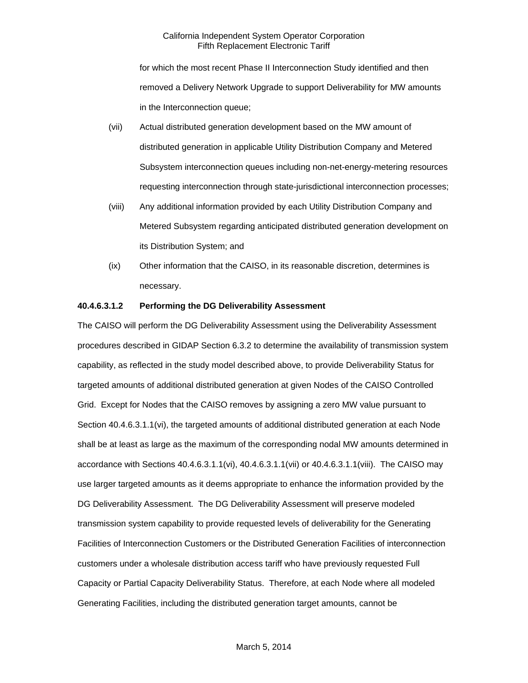for which the most recent Phase II Interconnection Study identified and then removed a Delivery Network Upgrade to support Deliverability for MW amounts in the Interconnection queue;

- (vii) Actual distributed generation development based on the MW amount of distributed generation in applicable Utility Distribution Company and Metered Subsystem interconnection queues including non-net-energy-metering resources requesting interconnection through state-jurisdictional interconnection processes;
- (viii) Any additional information provided by each Utility Distribution Company and Metered Subsystem regarding anticipated distributed generation development on its Distribution System; and
- (ix) Other information that the CAISO, in its reasonable discretion, determines is necessary.

#### **40.4.6.3.1.2 Performing the DG Deliverability Assessment**

The CAISO will perform the DG Deliverability Assessment using the Deliverability Assessment procedures described in GIDAP Section 6.3.2 to determine the availability of transmission system capability, as reflected in the study model described above, to provide Deliverability Status for targeted amounts of additional distributed generation at given Nodes of the CAISO Controlled Grid. Except for Nodes that the CAISO removes by assigning a zero MW value pursuant to Section 40.4.6.3.1.1(vi), the targeted amounts of additional distributed generation at each Node shall be at least as large as the maximum of the corresponding nodal MW amounts determined in accordance with Sections 40.4.6.3.1.1(vi), 40.4.6.3.1.1(vii) or 40.4.6.3.1.1(viii). The CAISO may use larger targeted amounts as it deems appropriate to enhance the information provided by the DG Deliverability Assessment. The DG Deliverability Assessment will preserve modeled transmission system capability to provide requested levels of deliverability for the Generating Facilities of Interconnection Customers or the Distributed Generation Facilities of interconnection customers under a wholesale distribution access tariff who have previously requested Full Capacity or Partial Capacity Deliverability Status. Therefore, at each Node where all modeled Generating Facilities, including the distributed generation target amounts, cannot be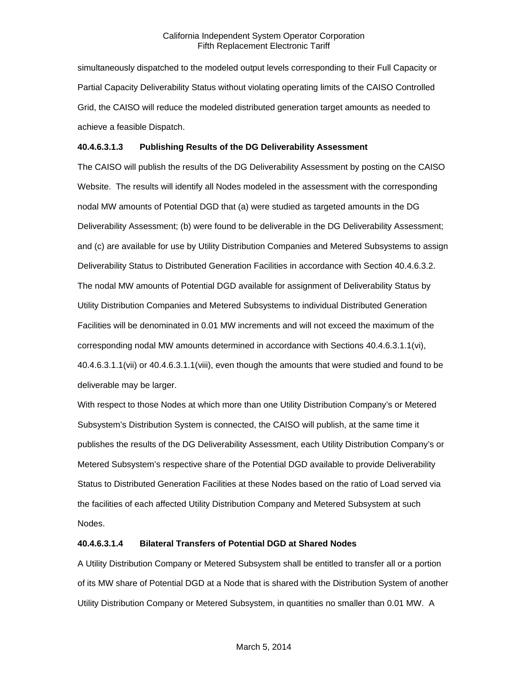simultaneously dispatched to the modeled output levels corresponding to their Full Capacity or Partial Capacity Deliverability Status without violating operating limits of the CAISO Controlled Grid, the CAISO will reduce the modeled distributed generation target amounts as needed to achieve a feasible Dispatch.

#### **40.4.6.3.1.3 Publishing Results of the DG Deliverability Assessment**

The CAISO will publish the results of the DG Deliverability Assessment by posting on the CAISO Website. The results will identify all Nodes modeled in the assessment with the corresponding nodal MW amounts of Potential DGD that (a) were studied as targeted amounts in the DG Deliverability Assessment; (b) were found to be deliverable in the DG Deliverability Assessment; and (c) are available for use by Utility Distribution Companies and Metered Subsystems to assign Deliverability Status to Distributed Generation Facilities in accordance with Section 40.4.6.3.2. The nodal MW amounts of Potential DGD available for assignment of Deliverability Status by Utility Distribution Companies and Metered Subsystems to individual Distributed Generation Facilities will be denominated in 0.01 MW increments and will not exceed the maximum of the corresponding nodal MW amounts determined in accordance with Sections 40.4.6.3.1.1(vi), 40.4.6.3.1.1(vii) or 40.4.6.3.1.1(viii), even though the amounts that were studied and found to be deliverable may be larger.

With respect to those Nodes at which more than one Utility Distribution Company's or Metered Subsystem's Distribution System is connected, the CAISO will publish, at the same time it publishes the results of the DG Deliverability Assessment, each Utility Distribution Company's or Metered Subsystem's respective share of the Potential DGD available to provide Deliverability Status to Distributed Generation Facilities at these Nodes based on the ratio of Load served via the facilities of each affected Utility Distribution Company and Metered Subsystem at such Nodes.

#### **40.4.6.3.1.4 Bilateral Transfers of Potential DGD at Shared Nodes**

A Utility Distribution Company or Metered Subsystem shall be entitled to transfer all or a portion of its MW share of Potential DGD at a Node that is shared with the Distribution System of another Utility Distribution Company or Metered Subsystem, in quantities no smaller than 0.01 MW. A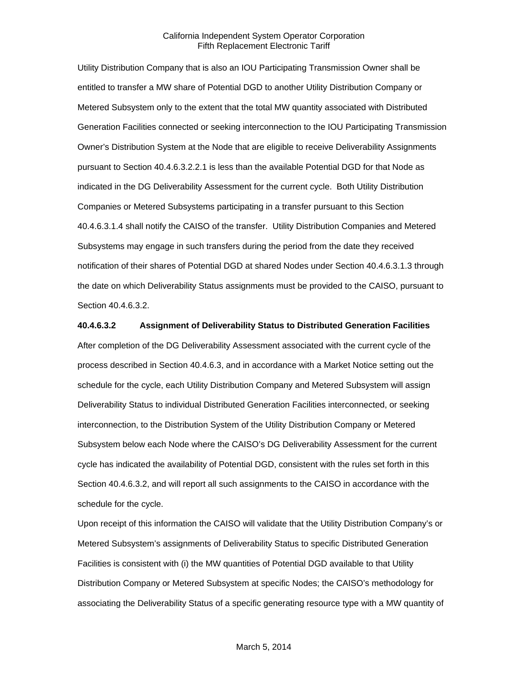Utility Distribution Company that is also an IOU Participating Transmission Owner shall be entitled to transfer a MW share of Potential DGD to another Utility Distribution Company or Metered Subsystem only to the extent that the total MW quantity associated with Distributed Generation Facilities connected or seeking interconnection to the IOU Participating Transmission Owner's Distribution System at the Node that are eligible to receive Deliverability Assignments pursuant to Section 40.4.6.3.2.2.1 is less than the available Potential DGD for that Node as indicated in the DG Deliverability Assessment for the current cycle. Both Utility Distribution Companies or Metered Subsystems participating in a transfer pursuant to this Section 40.4.6.3.1.4 shall notify the CAISO of the transfer. Utility Distribution Companies and Metered Subsystems may engage in such transfers during the period from the date they received notification of their shares of Potential DGD at shared Nodes under Section 40.4.6.3.1.3 through the date on which Deliverability Status assignments must be provided to the CAISO, pursuant to Section 40.4.6.3.2.

#### **40.4.6.3.2 Assignment of Deliverability Status to Distributed Generation Facilities**

After completion of the DG Deliverability Assessment associated with the current cycle of the process described in Section 40.4.6.3, and in accordance with a Market Notice setting out the schedule for the cycle, each Utility Distribution Company and Metered Subsystem will assign Deliverability Status to individual Distributed Generation Facilities interconnected, or seeking interconnection, to the Distribution System of the Utility Distribution Company or Metered Subsystem below each Node where the CAISO's DG Deliverability Assessment for the current cycle has indicated the availability of Potential DGD, consistent with the rules set forth in this Section 40.4.6.3.2, and will report all such assignments to the CAISO in accordance with the schedule for the cycle.

Upon receipt of this information the CAISO will validate that the Utility Distribution Company's or Metered Subsystem's assignments of Deliverability Status to specific Distributed Generation Facilities is consistent with (i) the MW quantities of Potential DGD available to that Utility Distribution Company or Metered Subsystem at specific Nodes; the CAISO's methodology for associating the Deliverability Status of a specific generating resource type with a MW quantity of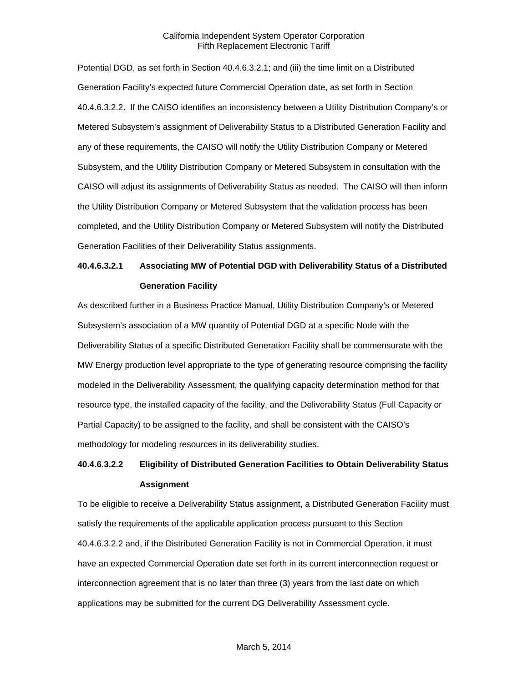Potential DGD, as set forth in Section 40.4.6.3.2.1; and (iii) the time limit on a Distributed Generation Facility's expected future Commercial Operation date, as set forth in Section 40.4.6.3.2.2. If the CAISO identifies an inconsistency between a Utility Distribution Company's or Metered Subsystem's assignment of Deliverability Status to a Distributed Generation Facility and any of these requirements, the CAISO will notify the Utility Distribution Company or Metered Subsystem, and the Utility Distribution Company or Metered Subsystem in consultation with the CAISO will adjust its assignments of Deliverability Status as needed. The CAISO will then inform the Utility Distribution Company or Metered Subsystem that the validation process has been completed, and the Utility Distribution Company or Metered Subsystem will notify the Distributed Generation Facilities of their Deliverability Status assignments.

## **40.4.6.3.2.1 Associating MW of Potential DGD with Deliverability Status of a Distributed Generation Facility**

As described further in a Business Practice Manual, Utility Distribution Company's or Metered Subsystem's association of a MW quantity of Potential DGD at a specific Node with the Deliverability Status of a specific Distributed Generation Facility shall be commensurate with the MW Energy production level appropriate to the type of generating resource comprising the facility modeled in the Deliverability Assessment, the qualifying capacity determination method for that resource type, the installed capacity of the facility, and the Deliverability Status (Full Capacity or Partial Capacity) to be assigned to the facility, and shall be consistent with the CAISO's methodology for modeling resources in its deliverability studies.

## **40.4.6.3.2.2 Eligibility of Distributed Generation Facilities to Obtain Deliverability Status Assignment**

To be eligible to receive a Deliverability Status assignment, a Distributed Generation Facility must satisfy the requirements of the applicable application process pursuant to this Section 40.4.6.3.2.2 and, if the Distributed Generation Facility is not in Commercial Operation, it must have an expected Commercial Operation date set forth in its current interconnection request or interconnection agreement that is no later than three (3) years from the last date on which applications may be submitted for the current DG Deliverability Assessment cycle.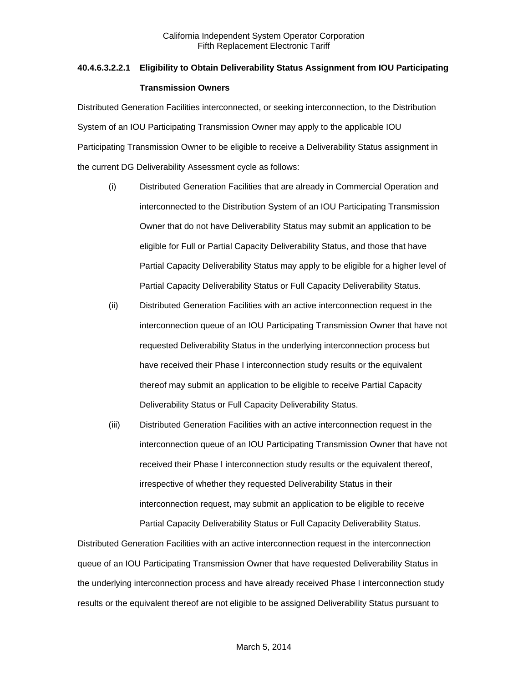# **40.4.6.3.2.2.1 Eligibility to Obtain Deliverability Status Assignment from IOU Participating Transmission Owners**

Distributed Generation Facilities interconnected, or seeking interconnection, to the Distribution System of an IOU Participating Transmission Owner may apply to the applicable IOU Participating Transmission Owner to be eligible to receive a Deliverability Status assignment in the current DG Deliverability Assessment cycle as follows:

- (i) Distributed Generation Facilities that are already in Commercial Operation and interconnected to the Distribution System of an IOU Participating Transmission Owner that do not have Deliverability Status may submit an application to be eligible for Full or Partial Capacity Deliverability Status, and those that have Partial Capacity Deliverability Status may apply to be eligible for a higher level of Partial Capacity Deliverability Status or Full Capacity Deliverability Status.
- (ii) Distributed Generation Facilities with an active interconnection request in the interconnection queue of an IOU Participating Transmission Owner that have not requested Deliverability Status in the underlying interconnection process but have received their Phase I interconnection study results or the equivalent thereof may submit an application to be eligible to receive Partial Capacity Deliverability Status or Full Capacity Deliverability Status.
- (iii) Distributed Generation Facilities with an active interconnection request in the interconnection queue of an IOU Participating Transmission Owner that have not received their Phase I interconnection study results or the equivalent thereof, irrespective of whether they requested Deliverability Status in their interconnection request, may submit an application to be eligible to receive Partial Capacity Deliverability Status or Full Capacity Deliverability Status.

Distributed Generation Facilities with an active interconnection request in the interconnection queue of an IOU Participating Transmission Owner that have requested Deliverability Status in the underlying interconnection process and have already received Phase I interconnection study results or the equivalent thereof are not eligible to be assigned Deliverability Status pursuant to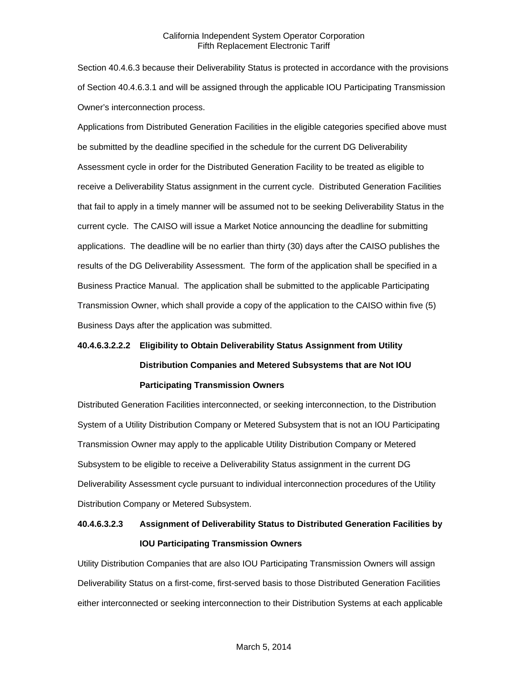Section 40.4.6.3 because their Deliverability Status is protected in accordance with the provisions of Section 40.4.6.3.1 and will be assigned through the applicable IOU Participating Transmission Owner's interconnection process.

Applications from Distributed Generation Facilities in the eligible categories specified above must be submitted by the deadline specified in the schedule for the current DG Deliverability Assessment cycle in order for the Distributed Generation Facility to be treated as eligible to receive a Deliverability Status assignment in the current cycle. Distributed Generation Facilities that fail to apply in a timely manner will be assumed not to be seeking Deliverability Status in the current cycle. The CAISO will issue a Market Notice announcing the deadline for submitting applications. The deadline will be no earlier than thirty (30) days after the CAISO publishes the results of the DG Deliverability Assessment. The form of the application shall be specified in a Business Practice Manual. The application shall be submitted to the applicable Participating Transmission Owner, which shall provide a copy of the application to the CAISO within five (5) Business Days after the application was submitted.

# **40.4.6.3.2.2.2 Eligibility to Obtain Deliverability Status Assignment from Utility Distribution Companies and Metered Subsystems that are Not IOU Participating Transmission Owners**

Distributed Generation Facilities interconnected, or seeking interconnection, to the Distribution System of a Utility Distribution Company or Metered Subsystem that is not an IOU Participating Transmission Owner may apply to the applicable Utility Distribution Company or Metered Subsystem to be eligible to receive a Deliverability Status assignment in the current DG Deliverability Assessment cycle pursuant to individual interconnection procedures of the Utility Distribution Company or Metered Subsystem.

## **40.4.6.3.2.3 Assignment of Deliverability Status to Distributed Generation Facilities by IOU Participating Transmission Owners**

Utility Distribution Companies that are also IOU Participating Transmission Owners will assign Deliverability Status on a first-come, first-served basis to those Distributed Generation Facilities either interconnected or seeking interconnection to their Distribution Systems at each applicable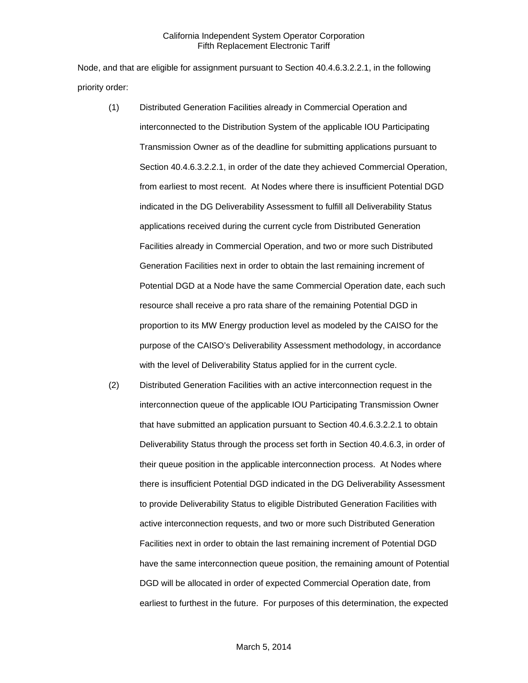Node, and that are eligible for assignment pursuant to Section 40.4.6.3.2.2.1, in the following priority order:

- (1) Distributed Generation Facilities already in Commercial Operation and interconnected to the Distribution System of the applicable IOU Participating Transmission Owner as of the deadline for submitting applications pursuant to Section 40.4.6.3.2.2.1, in order of the date they achieved Commercial Operation, from earliest to most recent. At Nodes where there is insufficient Potential DGD indicated in the DG Deliverability Assessment to fulfill all Deliverability Status applications received during the current cycle from Distributed Generation Facilities already in Commercial Operation, and two or more such Distributed Generation Facilities next in order to obtain the last remaining increment of Potential DGD at a Node have the same Commercial Operation date, each such resource shall receive a pro rata share of the remaining Potential DGD in proportion to its MW Energy production level as modeled by the CAISO for the purpose of the CAISO's Deliverability Assessment methodology, in accordance with the level of Deliverability Status applied for in the current cycle.
- (2) Distributed Generation Facilities with an active interconnection request in the interconnection queue of the applicable IOU Participating Transmission Owner that have submitted an application pursuant to Section 40.4.6.3.2.2.1 to obtain Deliverability Status through the process set forth in Section 40.4.6.3, in order of their queue position in the applicable interconnection process. At Nodes where there is insufficient Potential DGD indicated in the DG Deliverability Assessment to provide Deliverability Status to eligible Distributed Generation Facilities with active interconnection requests, and two or more such Distributed Generation Facilities next in order to obtain the last remaining increment of Potential DGD have the same interconnection queue position, the remaining amount of Potential DGD will be allocated in order of expected Commercial Operation date, from earliest to furthest in the future. For purposes of this determination, the expected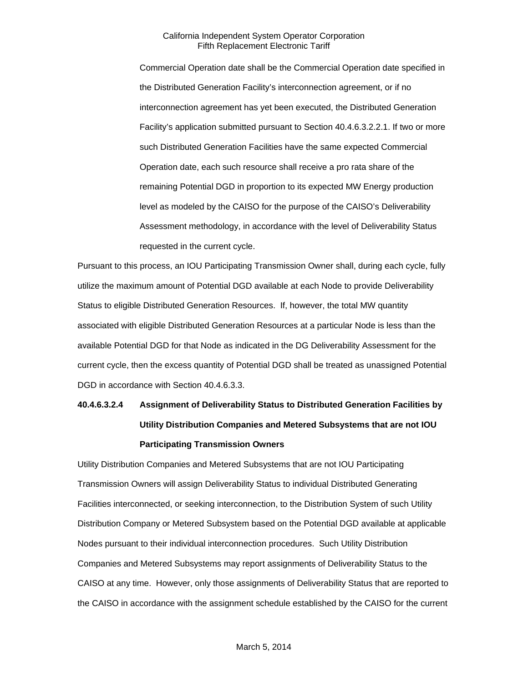Commercial Operation date shall be the Commercial Operation date specified in the Distributed Generation Facility's interconnection agreement, or if no interconnection agreement has yet been executed, the Distributed Generation Facility's application submitted pursuant to Section 40.4.6.3.2.2.1. If two or more such Distributed Generation Facilities have the same expected Commercial Operation date, each such resource shall receive a pro rata share of the remaining Potential DGD in proportion to its expected MW Energy production level as modeled by the CAISO for the purpose of the CAISO's Deliverability Assessment methodology, in accordance with the level of Deliverability Status requested in the current cycle.

Pursuant to this process, an IOU Participating Transmission Owner shall, during each cycle, fully utilize the maximum amount of Potential DGD available at each Node to provide Deliverability Status to eligible Distributed Generation Resources. If, however, the total MW quantity associated with eligible Distributed Generation Resources at a particular Node is less than the available Potential DGD for that Node as indicated in the DG Deliverability Assessment for the current cycle, then the excess quantity of Potential DGD shall be treated as unassigned Potential DGD in accordance with Section 40.4.6.3.3.

# **40.4.6.3.2.4 Assignment of Deliverability Status to Distributed Generation Facilities by Utility Distribution Companies and Metered Subsystems that are not IOU Participating Transmission Owners**

Utility Distribution Companies and Metered Subsystems that are not IOU Participating Transmission Owners will assign Deliverability Status to individual Distributed Generating Facilities interconnected, or seeking interconnection, to the Distribution System of such Utility Distribution Company or Metered Subsystem based on the Potential DGD available at applicable Nodes pursuant to their individual interconnection procedures. Such Utility Distribution Companies and Metered Subsystems may report assignments of Deliverability Status to the CAISO at any time. However, only those assignments of Deliverability Status that are reported to the CAISO in accordance with the assignment schedule established by the CAISO for the current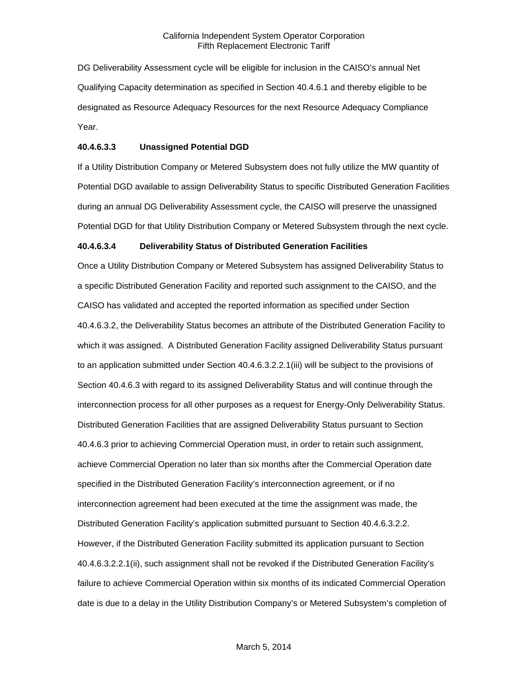DG Deliverability Assessment cycle will be eligible for inclusion in the CAISO's annual Net Qualifying Capacity determination as specified in Section 40.4.6.1 and thereby eligible to be designated as Resource Adequacy Resources for the next Resource Adequacy Compliance Year.

## **40.4.6.3.3 Unassigned Potential DGD**

If a Utility Distribution Company or Metered Subsystem does not fully utilize the MW quantity of Potential DGD available to assign Deliverability Status to specific Distributed Generation Facilities during an annual DG Deliverability Assessment cycle, the CAISO will preserve the unassigned Potential DGD for that Utility Distribution Company or Metered Subsystem through the next cycle.

#### **40.4.6.3.4 Deliverability Status of Distributed Generation Facilities**

Once a Utility Distribution Company or Metered Subsystem has assigned Deliverability Status to a specific Distributed Generation Facility and reported such assignment to the CAISO, and the CAISO has validated and accepted the reported information as specified under Section 40.4.6.3.2, the Deliverability Status becomes an attribute of the Distributed Generation Facility to which it was assigned. A Distributed Generation Facility assigned Deliverability Status pursuant to an application submitted under Section 40.4.6.3.2.2.1(iii) will be subject to the provisions of Section 40.4.6.3 with regard to its assigned Deliverability Status and will continue through the interconnection process for all other purposes as a request for Energy-Only Deliverability Status. Distributed Generation Facilities that are assigned Deliverability Status pursuant to Section 40.4.6.3 prior to achieving Commercial Operation must, in order to retain such assignment, achieve Commercial Operation no later than six months after the Commercial Operation date specified in the Distributed Generation Facility's interconnection agreement, or if no interconnection agreement had been executed at the time the assignment was made, the Distributed Generation Facility's application submitted pursuant to Section 40.4.6.3.2.2. However, if the Distributed Generation Facility submitted its application pursuant to Section 40.4.6.3.2.2.1(ii), such assignment shall not be revoked if the Distributed Generation Facility's failure to achieve Commercial Operation within six months of its indicated Commercial Operation date is due to a delay in the Utility Distribution Company's or Metered Subsystem's completion of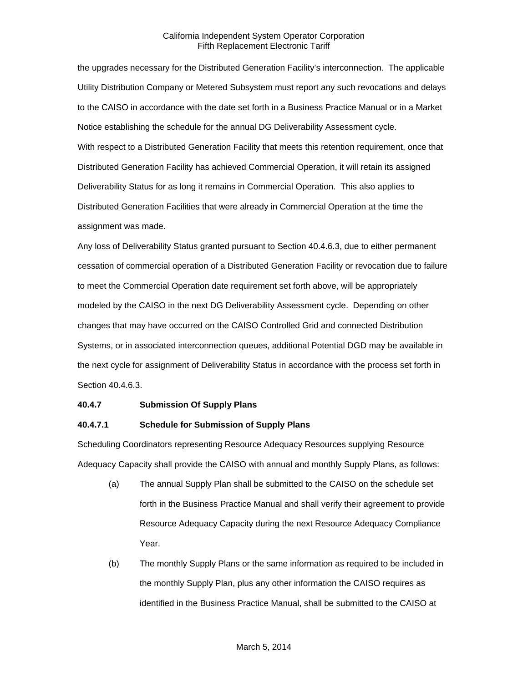the upgrades necessary for the Distributed Generation Facility's interconnection. The applicable Utility Distribution Company or Metered Subsystem must report any such revocations and delays to the CAISO in accordance with the date set forth in a Business Practice Manual or in a Market Notice establishing the schedule for the annual DG Deliverability Assessment cycle. With respect to a Distributed Generation Facility that meets this retention requirement, once that Distributed Generation Facility has achieved Commercial Operation, it will retain its assigned Deliverability Status for as long it remains in Commercial Operation. This also applies to Distributed Generation Facilities that were already in Commercial Operation at the time the assignment was made.

Any loss of Deliverability Status granted pursuant to Section 40.4.6.3, due to either permanent cessation of commercial operation of a Distributed Generation Facility or revocation due to failure to meet the Commercial Operation date requirement set forth above, will be appropriately modeled by the CAISO in the next DG Deliverability Assessment cycle. Depending on other changes that may have occurred on the CAISO Controlled Grid and connected Distribution Systems, or in associated interconnection queues, additional Potential DGD may be available in the next cycle for assignment of Deliverability Status in accordance with the process set forth in Section 40.4.6.3.

#### **40.4.7 Submission Of Supply Plans**

## **40.4.7.1 Schedule for Submission of Supply Plans**

Scheduling Coordinators representing Resource Adequacy Resources supplying Resource Adequacy Capacity shall provide the CAISO with annual and monthly Supply Plans, as follows:

- (a) The annual Supply Plan shall be submitted to the CAISO on the schedule set forth in the Business Practice Manual and shall verify their agreement to provide Resource Adequacy Capacity during the next Resource Adequacy Compliance Year.
- (b) The monthly Supply Plans or the same information as required to be included in the monthly Supply Plan, plus any other information the CAISO requires as identified in the Business Practice Manual, shall be submitted to the CAISO at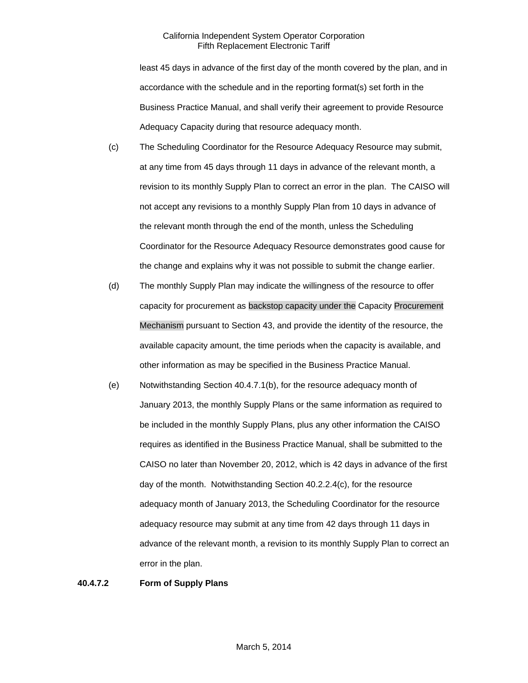least 45 days in advance of the first day of the month covered by the plan, and in accordance with the schedule and in the reporting format(s) set forth in the Business Practice Manual, and shall verify their agreement to provide Resource Adequacy Capacity during that resource adequacy month.

- (c) The Scheduling Coordinator for the Resource Adequacy Resource may submit, at any time from 45 days through 11 days in advance of the relevant month, a revision to its monthly Supply Plan to correct an error in the plan. The CAISO will not accept any revisions to a monthly Supply Plan from 10 days in advance of the relevant month through the end of the month, unless the Scheduling Coordinator for the Resource Adequacy Resource demonstrates good cause for the change and explains why it was not possible to submit the change earlier.
- (d) The monthly Supply Plan may indicate the willingness of the resource to offer capacity for procurement as backstop capacity under the Capacity Procurement Mechanism pursuant to Section 43, and provide the identity of the resource, the available capacity amount, the time periods when the capacity is available, and other information as may be specified in the Business Practice Manual.
- (e) Notwithstanding Section 40.4.7.1(b), for the resource adequacy month of January 2013, the monthly Supply Plans or the same information as required to be included in the monthly Supply Plans, plus any other information the CAISO requires as identified in the Business Practice Manual, shall be submitted to the CAISO no later than November 20, 2012, which is 42 days in advance of the first day of the month. Notwithstanding Section 40.2.2.4(c), for the resource adequacy month of January 2013, the Scheduling Coordinator for the resource adequacy resource may submit at any time from 42 days through 11 days in advance of the relevant month, a revision to its monthly Supply Plan to correct an error in the plan.

#### **40.4.7.2 Form of Supply Plans**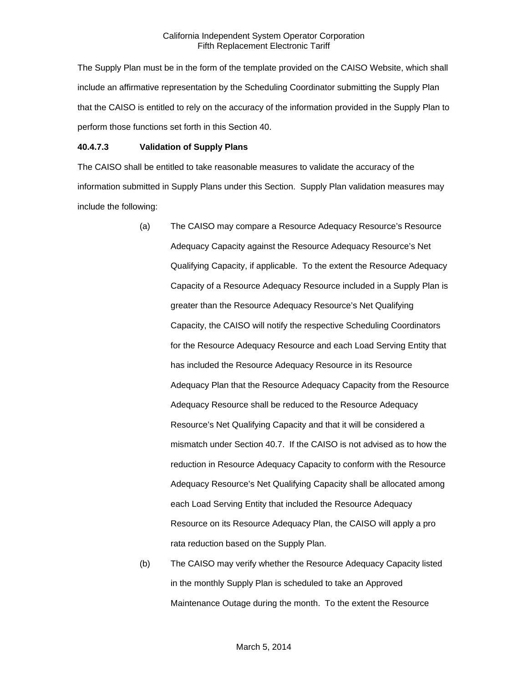The Supply Plan must be in the form of the template provided on the CAISO Website, which shall include an affirmative representation by the Scheduling Coordinator submitting the Supply Plan that the CAISO is entitled to rely on the accuracy of the information provided in the Supply Plan to perform those functions set forth in this Section 40.

#### **40.4.7.3 Validation of Supply Plans**

The CAISO shall be entitled to take reasonable measures to validate the accuracy of the information submitted in Supply Plans under this Section. Supply Plan validation measures may include the following:

- (a) The CAISO may compare a Resource Adequacy Resource's Resource Adequacy Capacity against the Resource Adequacy Resource's Net Qualifying Capacity, if applicable. To the extent the Resource Adequacy Capacity of a Resource Adequacy Resource included in a Supply Plan is greater than the Resource Adequacy Resource's Net Qualifying Capacity, the CAISO will notify the respective Scheduling Coordinators for the Resource Adequacy Resource and each Load Serving Entity that has included the Resource Adequacy Resource in its Resource Adequacy Plan that the Resource Adequacy Capacity from the Resource Adequacy Resource shall be reduced to the Resource Adequacy Resource's Net Qualifying Capacity and that it will be considered a mismatch under Section 40.7. If the CAISO is not advised as to how the reduction in Resource Adequacy Capacity to conform with the Resource Adequacy Resource's Net Qualifying Capacity shall be allocated among each Load Serving Entity that included the Resource Adequacy Resource on its Resource Adequacy Plan, the CAISO will apply a pro rata reduction based on the Supply Plan.
- (b) The CAISO may verify whether the Resource Adequacy Capacity listed in the monthly Supply Plan is scheduled to take an Approved Maintenance Outage during the month. To the extent the Resource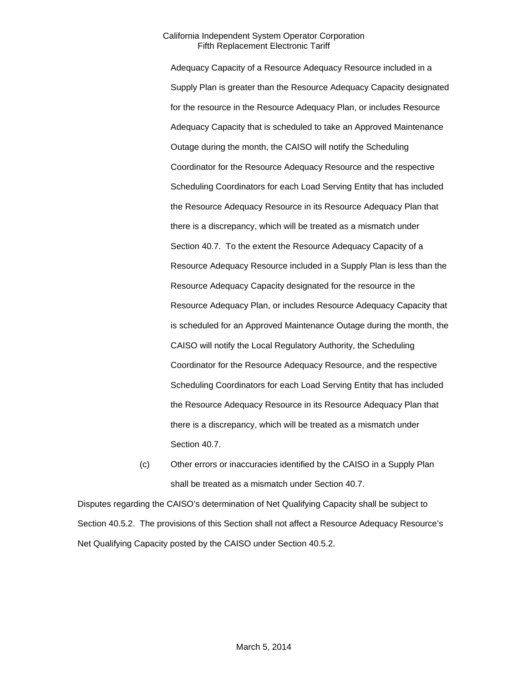Adequacy Capacity of a Resource Adequacy Resource included in a Supply Plan is greater than the Resource Adequacy Capacity designated for the resource in the Resource Adequacy Plan, or includes Resource Adequacy Capacity that is scheduled to take an Approved Maintenance Outage during the month, the CAISO will notify the Scheduling Coordinator for the Resource Adequacy Resource and the respective Scheduling Coordinators for each Load Serving Entity that has included the Resource Adequacy Resource in its Resource Adequacy Plan that there is a discrepancy, which will be treated as a mismatch under Section 40.7. To the extent the Resource Adequacy Capacity of a Resource Adequacy Resource included in a Supply Plan is less than the Resource Adequacy Capacity designated for the resource in the Resource Adequacy Plan, or includes Resource Adequacy Capacity that is scheduled for an Approved Maintenance Outage during the month, the CAISO will notify the Local Regulatory Authority, the Scheduling Coordinator for the Resource Adequacy Resource, and the respective Scheduling Coordinators for each Load Serving Entity that has included the Resource Adequacy Resource in its Resource Adequacy Plan that there is a discrepancy, which will be treated as a mismatch under Section 40.7.

(c) Other errors or inaccuracies identified by the CAISO in a Supply Plan shall be treated as a mismatch under Section 40.7.

Disputes regarding the CAISO's determination of Net Qualifying Capacity shall be subject to Section 40.5.2. The provisions of this Section shall not affect a Resource Adequacy Resource's Net Qualifying Capacity posted by the CAISO under Section 40.5.2.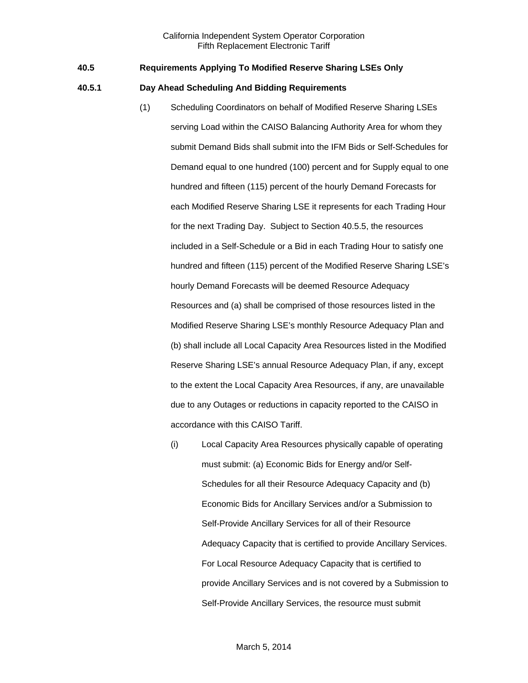## **40.5 Requirements Applying To Modified Reserve Sharing LSEs Only**

## **40.5.1 Day Ahead Scheduling And Bidding Requirements**

- (1) Scheduling Coordinators on behalf of Modified Reserve Sharing LSEs serving Load within the CAISO Balancing Authority Area for whom they submit Demand Bids shall submit into the IFM Bids or Self-Schedules for Demand equal to one hundred (100) percent and for Supply equal to one hundred and fifteen (115) percent of the hourly Demand Forecasts for each Modified Reserve Sharing LSE it represents for each Trading Hour for the next Trading Day. Subject to Section 40.5.5, the resources included in a Self-Schedule or a Bid in each Trading Hour to satisfy one hundred and fifteen (115) percent of the Modified Reserve Sharing LSE's hourly Demand Forecasts will be deemed Resource Adequacy Resources and (a) shall be comprised of those resources listed in the Modified Reserve Sharing LSE's monthly Resource Adequacy Plan and (b) shall include all Local Capacity Area Resources listed in the Modified Reserve Sharing LSE's annual Resource Adequacy Plan, if any, except to the extent the Local Capacity Area Resources, if any, are unavailable due to any Outages or reductions in capacity reported to the CAISO in accordance with this CAISO Tariff.
	- (i) Local Capacity Area Resources physically capable of operating must submit: (a) Economic Bids for Energy and/or Self-Schedules for all their Resource Adequacy Capacity and (b) Economic Bids for Ancillary Services and/or a Submission to Self-Provide Ancillary Services for all of their Resource Adequacy Capacity that is certified to provide Ancillary Services. For Local Resource Adequacy Capacity that is certified to provide Ancillary Services and is not covered by a Submission to Self-Provide Ancillary Services, the resource must submit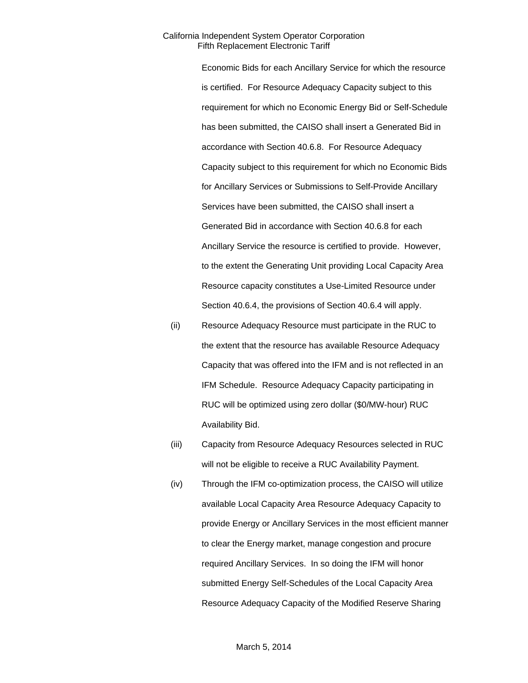Economic Bids for each Ancillary Service for which the resource is certified. For Resource Adequacy Capacity subject to this requirement for which no Economic Energy Bid or Self-Schedule has been submitted, the CAISO shall insert a Generated Bid in accordance with Section 40.6.8. For Resource Adequacy Capacity subject to this requirement for which no Economic Bids for Ancillary Services or Submissions to Self-Provide Ancillary Services have been submitted, the CAISO shall insert a Generated Bid in accordance with Section 40.6.8 for each Ancillary Service the resource is certified to provide. However, to the extent the Generating Unit providing Local Capacity Area Resource capacity constitutes a Use-Limited Resource under Section 40.6.4, the provisions of Section 40.6.4 will apply.

- (ii) Resource Adequacy Resource must participate in the RUC to the extent that the resource has available Resource Adequacy Capacity that was offered into the IFM and is not reflected in an IFM Schedule. Resource Adequacy Capacity participating in RUC will be optimized using zero dollar (\$0/MW-hour) RUC Availability Bid.
- (iii) Capacity from Resource Adequacy Resources selected in RUC will not be eligible to receive a RUC Availability Payment.
- (iv) Through the IFM co-optimization process, the CAISO will utilize available Local Capacity Area Resource Adequacy Capacity to provide Energy or Ancillary Services in the most efficient manner to clear the Energy market, manage congestion and procure required Ancillary Services. In so doing the IFM will honor submitted Energy Self-Schedules of the Local Capacity Area Resource Adequacy Capacity of the Modified Reserve Sharing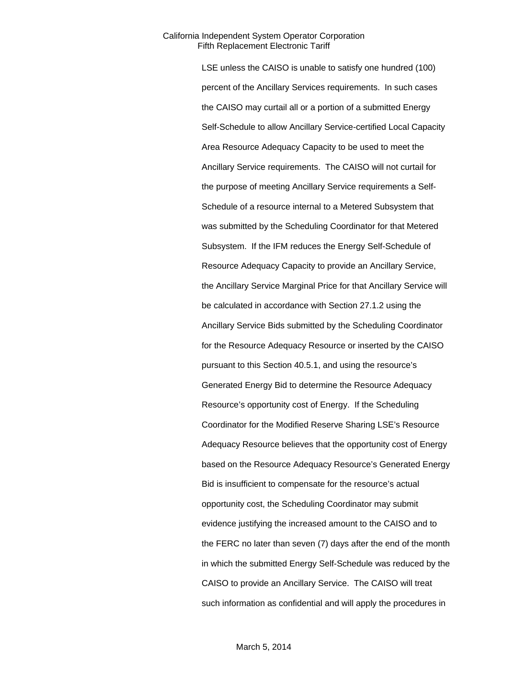LSE unless the CAISO is unable to satisfy one hundred (100) percent of the Ancillary Services requirements. In such cases the CAISO may curtail all or a portion of a submitted Energy Self-Schedule to allow Ancillary Service-certified Local Capacity Area Resource Adequacy Capacity to be used to meet the Ancillary Service requirements. The CAISO will not curtail for the purpose of meeting Ancillary Service requirements a Self-Schedule of a resource internal to a Metered Subsystem that was submitted by the Scheduling Coordinator for that Metered Subsystem. If the IFM reduces the Energy Self-Schedule of Resource Adequacy Capacity to provide an Ancillary Service, the Ancillary Service Marginal Price for that Ancillary Service will be calculated in accordance with Section 27.1.2 using the Ancillary Service Bids submitted by the Scheduling Coordinator for the Resource Adequacy Resource or inserted by the CAISO pursuant to this Section 40.5.1, and using the resource's Generated Energy Bid to determine the Resource Adequacy Resource's opportunity cost of Energy. If the Scheduling Coordinator for the Modified Reserve Sharing LSE's Resource Adequacy Resource believes that the opportunity cost of Energy based on the Resource Adequacy Resource's Generated Energy Bid is insufficient to compensate for the resource's actual opportunity cost, the Scheduling Coordinator may submit evidence justifying the increased amount to the CAISO and to the FERC no later than seven (7) days after the end of the month in which the submitted Energy Self-Schedule was reduced by the CAISO to provide an Ancillary Service. The CAISO will treat such information as confidential and will apply the procedures in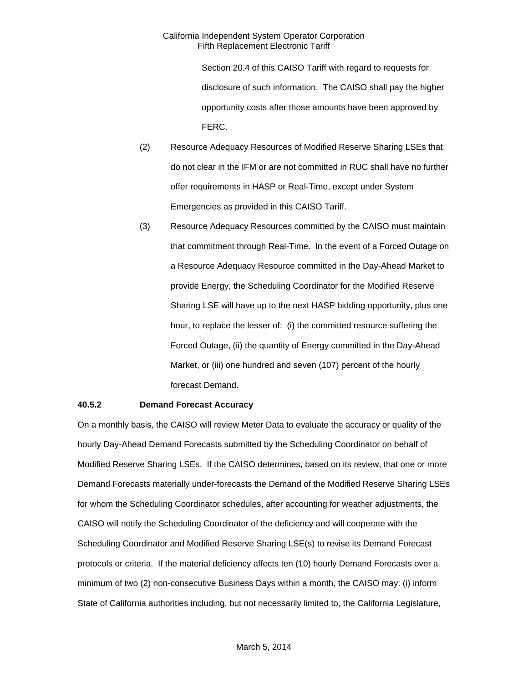Section 20.4 of this CAISO Tariff with regard to requests for disclosure of such information. The CAISO shall pay the higher opportunity costs after those amounts have been approved by FERC.

- (2) Resource Adequacy Resources of Modified Reserve Sharing LSEs that do not clear in the IFM or are not committed in RUC shall have no further offer requirements in HASP or Real-Time, except under System Emergencies as provided in this CAISO Tariff.
- (3) Resource Adequacy Resources committed by the CAISO must maintain that commitment through Real-Time. In the event of a Forced Outage on a Resource Adequacy Resource committed in the Day-Ahead Market to provide Energy, the Scheduling Coordinator for the Modified Reserve Sharing LSE will have up to the next HASP bidding opportunity, plus one hour, to replace the lesser of: (i) the committed resource suffering the Forced Outage, (ii) the quantity of Energy committed in the Day-Ahead Market, or (iii) one hundred and seven (107) percent of the hourly forecast Demand.

## **40.5.2 Demand Forecast Accuracy**

On a monthly basis, the CAISO will review Meter Data to evaluate the accuracy or quality of the hourly Day-Ahead Demand Forecasts submitted by the Scheduling Coordinator on behalf of Modified Reserve Sharing LSEs. If the CAISO determines, based on its review, that one or more Demand Forecasts materially under-forecasts the Demand of the Modified Reserve Sharing LSEs for whom the Scheduling Coordinator schedules, after accounting for weather adjustments, the CAISO will notify the Scheduling Coordinator of the deficiency and will cooperate with the Scheduling Coordinator and Modified Reserve Sharing LSE(s) to revise its Demand Forecast protocols or criteria. If the material deficiency affects ten (10) hourly Demand Forecasts over a minimum of two (2) non-consecutive Business Days within a month, the CAISO may: (i) inform State of California authorities including, but not necessarily limited to, the California Legislature,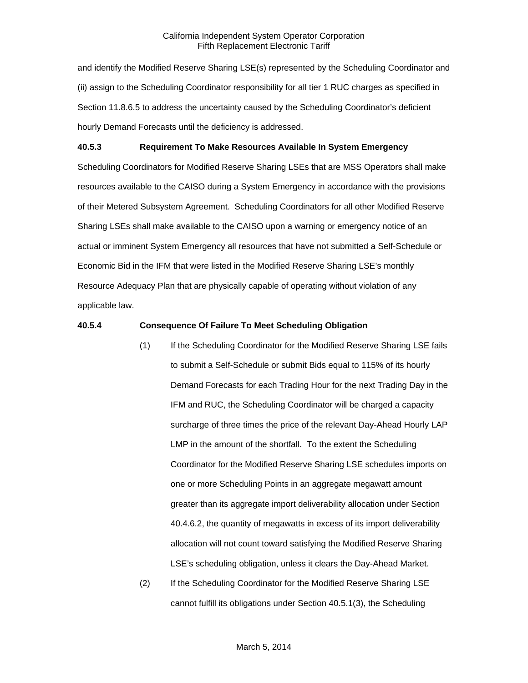and identify the Modified Reserve Sharing LSE(s) represented by the Scheduling Coordinator and (ii) assign to the Scheduling Coordinator responsibility for all tier 1 RUC charges as specified in Section 11.8.6.5 to address the uncertainty caused by the Scheduling Coordinator's deficient hourly Demand Forecasts until the deficiency is addressed.

## **40.5.3 Requirement To Make Resources Available In System Emergency**

Scheduling Coordinators for Modified Reserve Sharing LSEs that are MSS Operators shall make resources available to the CAISO during a System Emergency in accordance with the provisions of their Metered Subsystem Agreement. Scheduling Coordinators for all other Modified Reserve Sharing LSEs shall make available to the CAISO upon a warning or emergency notice of an actual or imminent System Emergency all resources that have not submitted a Self-Schedule or Economic Bid in the IFM that were listed in the Modified Reserve Sharing LSE's monthly Resource Adequacy Plan that are physically capable of operating without violation of any applicable law.

## **40.5.4 Consequence Of Failure To Meet Scheduling Obligation**

- (1) If the Scheduling Coordinator for the Modified Reserve Sharing LSE fails to submit a Self-Schedule or submit Bids equal to 115% of its hourly Demand Forecasts for each Trading Hour for the next Trading Day in the IFM and RUC, the Scheduling Coordinator will be charged a capacity surcharge of three times the price of the relevant Day-Ahead Hourly LAP LMP in the amount of the shortfall. To the extent the Scheduling Coordinator for the Modified Reserve Sharing LSE schedules imports on one or more Scheduling Points in an aggregate megawatt amount greater than its aggregate import deliverability allocation under Section 40.4.6.2, the quantity of megawatts in excess of its import deliverability allocation will not count toward satisfying the Modified Reserve Sharing LSE's scheduling obligation, unless it clears the Day-Ahead Market.
- (2) If the Scheduling Coordinator for the Modified Reserve Sharing LSE cannot fulfill its obligations under Section 40.5.1(3), the Scheduling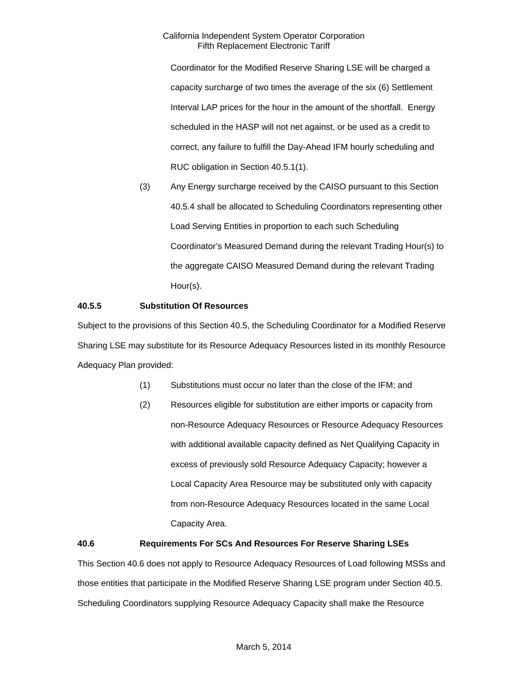Coordinator for the Modified Reserve Sharing LSE will be charged a capacity surcharge of two times the average of the six (6) Settlement Interval LAP prices for the hour in the amount of the shortfall. Energy scheduled in the HASP will not net against, or be used as a credit to correct, any failure to fulfill the Day-Ahead IFM hourly scheduling and RUC obligation in Section 40.5.1(1).

(3) Any Energy surcharge received by the CAISO pursuant to this Section 40.5.4 shall be allocated to Scheduling Coordinators representing other Load Serving Entities in proportion to each such Scheduling Coordinator's Measured Demand during the relevant Trading Hour(s) to the aggregate CAISO Measured Demand during the relevant Trading Hour(s).

## **40.5.5 Substitution Of Resources**

Subject to the provisions of this Section 40.5, the Scheduling Coordinator for a Modified Reserve Sharing LSE may substitute for its Resource Adequacy Resources listed in its monthly Resource Adequacy Plan provided:

- (1) Substitutions must occur no later than the close of the IFM; and
- (2) Resources eligible for substitution are either imports or capacity from non-Resource Adequacy Resources or Resource Adequacy Resources with additional available capacity defined as Net Qualifying Capacity in excess of previously sold Resource Adequacy Capacity; however a Local Capacity Area Resource may be substituted only with capacity from non-Resource Adequacy Resources located in the same Local Capacity Area.

## **40.6 Requirements For SCs And Resources For Reserve Sharing LSEs**

This Section 40.6 does not apply to Resource Adequacy Resources of Load following MSSs and those entities that participate in the Modified Reserve Sharing LSE program under Section 40.5. Scheduling Coordinators supplying Resource Adequacy Capacity shall make the Resource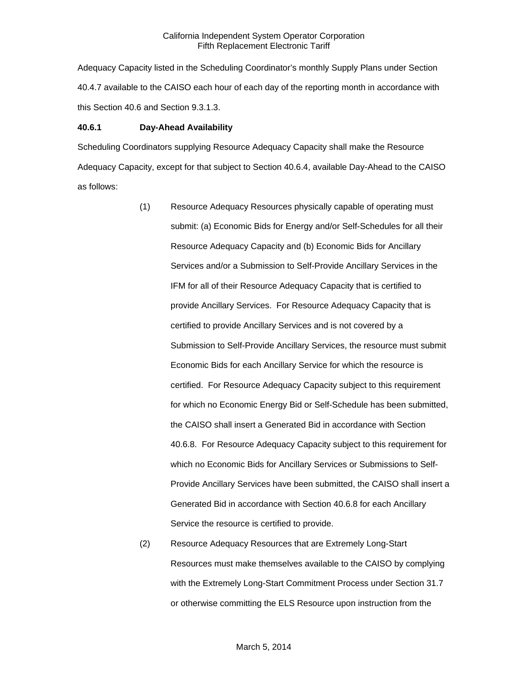Adequacy Capacity listed in the Scheduling Coordinator's monthly Supply Plans under Section 40.4.7 available to the CAISO each hour of each day of the reporting month in accordance with this Section 40.6 and Section 9.3.1.3.

## **40.6.1 Day-Ahead Availability**

Scheduling Coordinators supplying Resource Adequacy Capacity shall make the Resource Adequacy Capacity, except for that subject to Section 40.6.4, available Day-Ahead to the CAISO as follows:

- (1) Resource Adequacy Resources physically capable of operating must submit: (a) Economic Bids for Energy and/or Self-Schedules for all their Resource Adequacy Capacity and (b) Economic Bids for Ancillary Services and/or a Submission to Self-Provide Ancillary Services in the IFM for all of their Resource Adequacy Capacity that is certified to provide Ancillary Services. For Resource Adequacy Capacity that is certified to provide Ancillary Services and is not covered by a Submission to Self-Provide Ancillary Services, the resource must submit Economic Bids for each Ancillary Service for which the resource is certified. For Resource Adequacy Capacity subject to this requirement for which no Economic Energy Bid or Self-Schedule has been submitted, the CAISO shall insert a Generated Bid in accordance with Section 40.6.8. For Resource Adequacy Capacity subject to this requirement for which no Economic Bids for Ancillary Services or Submissions to Self-Provide Ancillary Services have been submitted, the CAISO shall insert a Generated Bid in accordance with Section 40.6.8 for each Ancillary Service the resource is certified to provide.
- (2) Resource Adequacy Resources that are Extremely Long-Start Resources must make themselves available to the CAISO by complying with the Extremely Long-Start Commitment Process under Section 31.7 or otherwise committing the ELS Resource upon instruction from the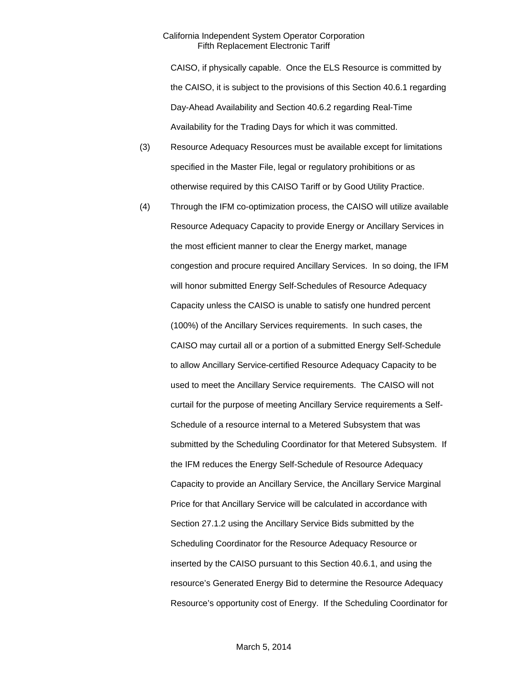CAISO, if physically capable. Once the ELS Resource is committed by the CAISO, it is subject to the provisions of this Section 40.6.1 regarding Day-Ahead Availability and Section 40.6.2 regarding Real-Time Availability for the Trading Days for which it was committed.

- (3) Resource Adequacy Resources must be available except for limitations specified in the Master File, legal or regulatory prohibitions or as otherwise required by this CAISO Tariff or by Good Utility Practice.
- (4) Through the IFM co-optimization process, the CAISO will utilize available Resource Adequacy Capacity to provide Energy or Ancillary Services in the most efficient manner to clear the Energy market, manage congestion and procure required Ancillary Services. In so doing, the IFM will honor submitted Energy Self-Schedules of Resource Adequacy Capacity unless the CAISO is unable to satisfy one hundred percent (100%) of the Ancillary Services requirements. In such cases, the CAISO may curtail all or a portion of a submitted Energy Self-Schedule to allow Ancillary Service-certified Resource Adequacy Capacity to be used to meet the Ancillary Service requirements. The CAISO will not curtail for the purpose of meeting Ancillary Service requirements a Self-Schedule of a resource internal to a Metered Subsystem that was submitted by the Scheduling Coordinator for that Metered Subsystem. If the IFM reduces the Energy Self-Schedule of Resource Adequacy Capacity to provide an Ancillary Service, the Ancillary Service Marginal Price for that Ancillary Service will be calculated in accordance with Section 27.1.2 using the Ancillary Service Bids submitted by the Scheduling Coordinator for the Resource Adequacy Resource or inserted by the CAISO pursuant to this Section 40.6.1, and using the resource's Generated Energy Bid to determine the Resource Adequacy Resource's opportunity cost of Energy. If the Scheduling Coordinator for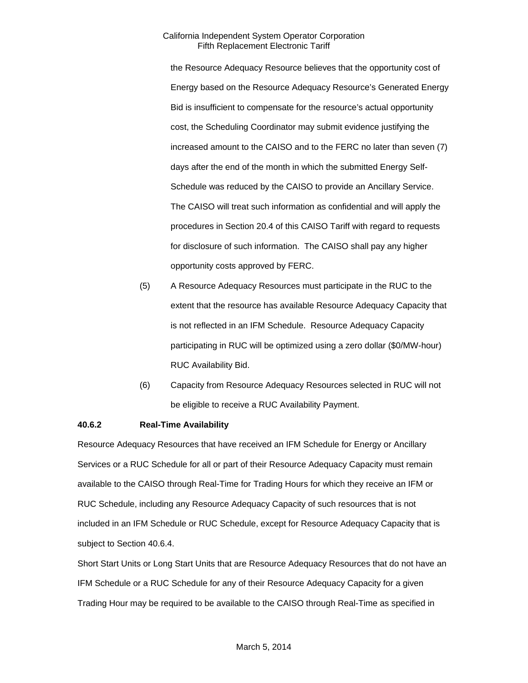the Resource Adequacy Resource believes that the opportunity cost of Energy based on the Resource Adequacy Resource's Generated Energy Bid is insufficient to compensate for the resource's actual opportunity cost, the Scheduling Coordinator may submit evidence justifying the increased amount to the CAISO and to the FERC no later than seven (7) days after the end of the month in which the submitted Energy Self-Schedule was reduced by the CAISO to provide an Ancillary Service. The CAISO will treat such information as confidential and will apply the procedures in Section 20.4 of this CAISO Tariff with regard to requests for disclosure of such information. The CAISO shall pay any higher opportunity costs approved by FERC.

- (5) A Resource Adequacy Resources must participate in the RUC to the extent that the resource has available Resource Adequacy Capacity that is not reflected in an IFM Schedule. Resource Adequacy Capacity participating in RUC will be optimized using a zero dollar (\$0/MW-hour) RUC Availability Bid.
- (6) Capacity from Resource Adequacy Resources selected in RUC will not be eligible to receive a RUC Availability Payment.

## **40.6.2 Real-Time Availability**

Resource Adequacy Resources that have received an IFM Schedule for Energy or Ancillary Services or a RUC Schedule for all or part of their Resource Adequacy Capacity must remain available to the CAISO through Real-Time for Trading Hours for which they receive an IFM or RUC Schedule, including any Resource Adequacy Capacity of such resources that is not included in an IFM Schedule or RUC Schedule, except for Resource Adequacy Capacity that is subject to Section 40.6.4.

Short Start Units or Long Start Units that are Resource Adequacy Resources that do not have an IFM Schedule or a RUC Schedule for any of their Resource Adequacy Capacity for a given Trading Hour may be required to be available to the CAISO through Real-Time as specified in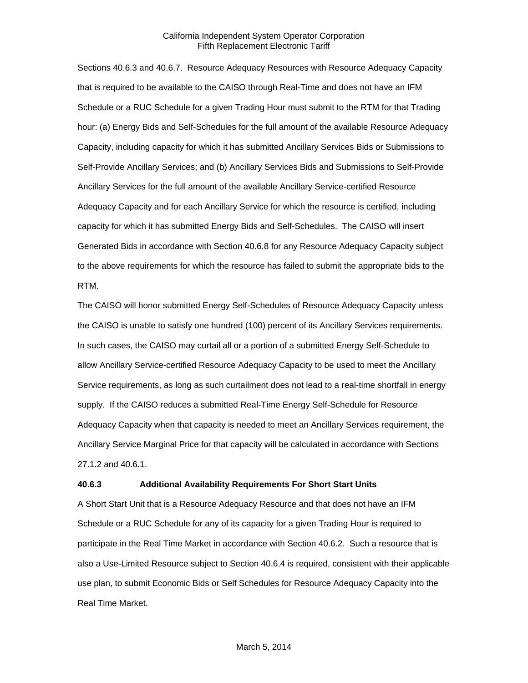Sections 40.6.3 and 40.6.7. Resource Adequacy Resources with Resource Adequacy Capacity that is required to be available to the CAISO through Real-Time and does not have an IFM Schedule or a RUC Schedule for a given Trading Hour must submit to the RTM for that Trading hour: (a) Energy Bids and Self-Schedules for the full amount of the available Resource Adequacy Capacity, including capacity for which it has submitted Ancillary Services Bids or Submissions to Self-Provide Ancillary Services; and (b) Ancillary Services Bids and Submissions to Self-Provide Ancillary Services for the full amount of the available Ancillary Service-certified Resource Adequacy Capacity and for each Ancillary Service for which the resource is certified, including capacity for which it has submitted Energy Bids and Self-Schedules. The CAISO will insert Generated Bids in accordance with Section 40.6.8 for any Resource Adequacy Capacity subject to the above requirements for which the resource has failed to submit the appropriate bids to the RTM.

The CAISO will honor submitted Energy Self-Schedules of Resource Adequacy Capacity unless the CAISO is unable to satisfy one hundred (100) percent of its Ancillary Services requirements. In such cases, the CAISO may curtail all or a portion of a submitted Energy Self-Schedule to allow Ancillary Service-certified Resource Adequacy Capacity to be used to meet the Ancillary Service requirements, as long as such curtailment does not lead to a real-time shortfall in energy supply. If the CAISO reduces a submitted Real-Time Energy Self-Schedule for Resource Adequacy Capacity when that capacity is needed to meet an Ancillary Services requirement, the Ancillary Service Marginal Price for that capacity will be calculated in accordance with Sections 27.1.2 and 40.6.1.

#### **40.6.3 Additional Availability Requirements For Short Start Units**

A Short Start Unit that is a Resource Adequacy Resource and that does not have an IFM Schedule or a RUC Schedule for any of its capacity for a given Trading Hour is required to participate in the Real Time Market in accordance with Section 40.6.2. Such a resource that is also a Use-Limited Resource subject to Section 40.6.4 is required, consistent with their applicable use plan, to submit Economic Bids or Self Schedules for Resource Adequacy Capacity into the Real Time Market.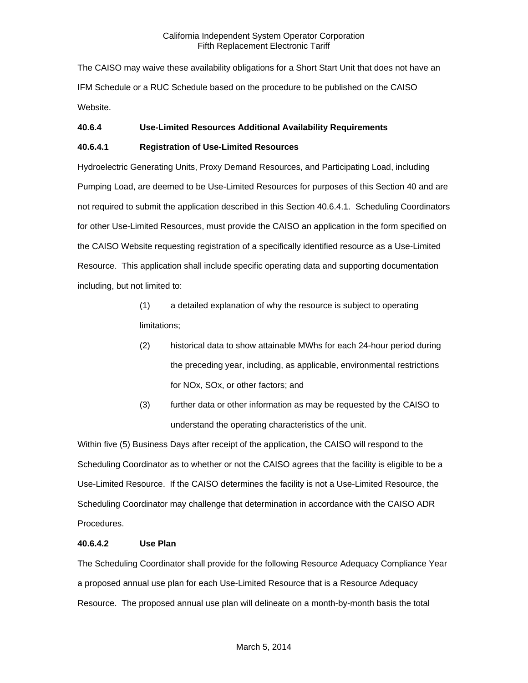The CAISO may waive these availability obligations for a Short Start Unit that does not have an IFM Schedule or a RUC Schedule based on the procedure to be published on the CAISO Website.

## **40.6.4 Use-Limited Resources Additional Availability Requirements**

## **40.6.4.1 Registration of Use-Limited Resources**

Hydroelectric Generating Units, Proxy Demand Resources, and Participating Load, including Pumping Load, are deemed to be Use-Limited Resources for purposes of this Section 40 and are not required to submit the application described in this Section 40.6.4.1. Scheduling Coordinators for other Use-Limited Resources, must provide the CAISO an application in the form specified on the CAISO Website requesting registration of a specifically identified resource as a Use-Limited Resource. This application shall include specific operating data and supporting documentation including, but not limited to:

- (1) a detailed explanation of why the resource is subject to operating limitations;
- (2) historical data to show attainable MWhs for each 24-hour period during the preceding year, including, as applicable, environmental restrictions for NOx, SOx, or other factors; and
- (3) further data or other information as may be requested by the CAISO to understand the operating characteristics of the unit.

Within five (5) Business Days after receipt of the application, the CAISO will respond to the Scheduling Coordinator as to whether or not the CAISO agrees that the facility is eligible to be a Use-Limited Resource. If the CAISO determines the facility is not a Use-Limited Resource, the Scheduling Coordinator may challenge that determination in accordance with the CAISO ADR Procedures.

## **40.6.4.2 Use Plan**

The Scheduling Coordinator shall provide for the following Resource Adequacy Compliance Year a proposed annual use plan for each Use-Limited Resource that is a Resource Adequacy Resource. The proposed annual use plan will delineate on a month-by-month basis the total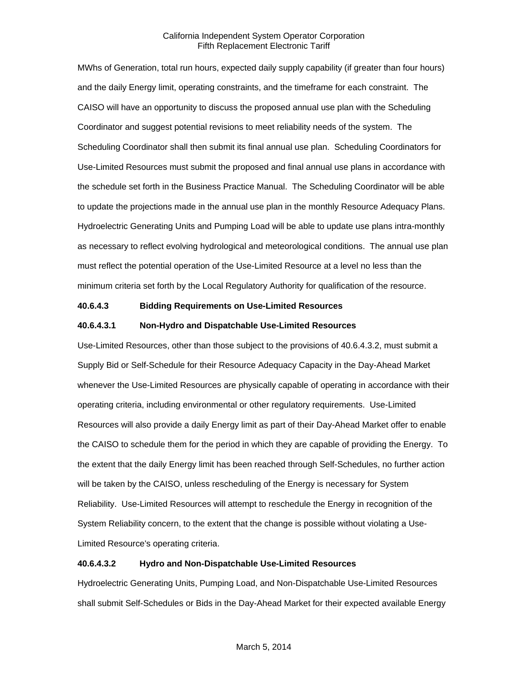MWhs of Generation, total run hours, expected daily supply capability (if greater than four hours) and the daily Energy limit, operating constraints, and the timeframe for each constraint. The CAISO will have an opportunity to discuss the proposed annual use plan with the Scheduling Coordinator and suggest potential revisions to meet reliability needs of the system. The Scheduling Coordinator shall then submit its final annual use plan. Scheduling Coordinators for Use-Limited Resources must submit the proposed and final annual use plans in accordance with the schedule set forth in the Business Practice Manual. The Scheduling Coordinator will be able to update the projections made in the annual use plan in the monthly Resource Adequacy Plans. Hydroelectric Generating Units and Pumping Load will be able to update use plans intra-monthly as necessary to reflect evolving hydrological and meteorological conditions. The annual use plan must reflect the potential operation of the Use-Limited Resource at a level no less than the minimum criteria set forth by the Local Regulatory Authority for qualification of the resource.

## **40.6.4.3 Bidding Requirements on Use-Limited Resources**

#### **40.6.4.3.1 Non-Hydro and Dispatchable Use-Limited Resources**

Use-Limited Resources, other than those subject to the provisions of 40.6.4.3.2, must submit a Supply Bid or Self-Schedule for their Resource Adequacy Capacity in the Day-Ahead Market whenever the Use-Limited Resources are physically capable of operating in accordance with their operating criteria, including environmental or other regulatory requirements. Use-Limited Resources will also provide a daily Energy limit as part of their Day-Ahead Market offer to enable the CAISO to schedule them for the period in which they are capable of providing the Energy. To the extent that the daily Energy limit has been reached through Self-Schedules, no further action will be taken by the CAISO, unless rescheduling of the Energy is necessary for System Reliability. Use-Limited Resources will attempt to reschedule the Energy in recognition of the System Reliability concern, to the extent that the change is possible without violating a Use-Limited Resource's operating criteria.

## **40.6.4.3.2 Hydro and Non-Dispatchable Use-Limited Resources**

Hydroelectric Generating Units, Pumping Load, and Non-Dispatchable Use-Limited Resources shall submit Self-Schedules or Bids in the Day-Ahead Market for their expected available Energy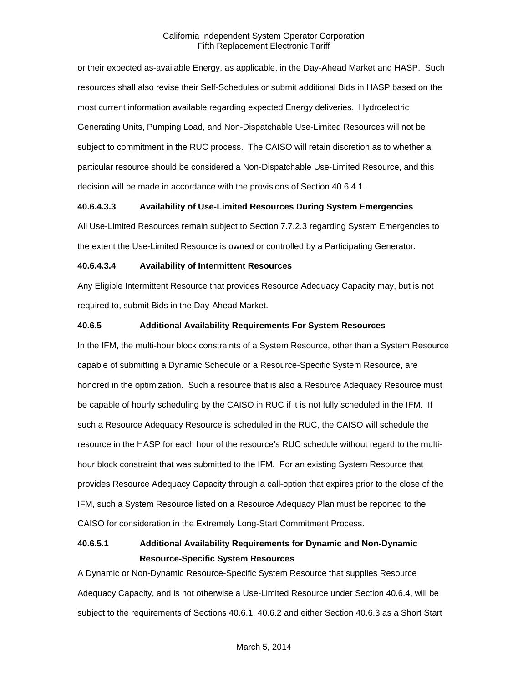or their expected as-available Energy, as applicable, in the Day-Ahead Market and HASP. Such resources shall also revise their Self-Schedules or submit additional Bids in HASP based on the most current information available regarding expected Energy deliveries. Hydroelectric Generating Units, Pumping Load, and Non-Dispatchable Use-Limited Resources will not be subject to commitment in the RUC process. The CAISO will retain discretion as to whether a particular resource should be considered a Non-Dispatchable Use-Limited Resource, and this decision will be made in accordance with the provisions of Section 40.6.4.1.

## **40.6.4.3.3 Availability of Use-Limited Resources During System Emergencies**

All Use-Limited Resources remain subject to Section 7.7.2.3 regarding System Emergencies to the extent the Use-Limited Resource is owned or controlled by a Participating Generator.

## **40.6.4.3.4 Availability of Intermittent Resources**

Any Eligible Intermittent Resource that provides Resource Adequacy Capacity may, but is not required to, submit Bids in the Day-Ahead Market.

## **40.6.5 Additional Availability Requirements For System Resources**

In the IFM, the multi-hour block constraints of a System Resource, other than a System Resource capable of submitting a Dynamic Schedule or a Resource-Specific System Resource, are honored in the optimization. Such a resource that is also a Resource Adequacy Resource must be capable of hourly scheduling by the CAISO in RUC if it is not fully scheduled in the IFM. If such a Resource Adequacy Resource is scheduled in the RUC, the CAISO will schedule the resource in the HASP for each hour of the resource's RUC schedule without regard to the multihour block constraint that was submitted to the IFM. For an existing System Resource that provides Resource Adequacy Capacity through a call-option that expires prior to the close of the IFM, such a System Resource listed on a Resource Adequacy Plan must be reported to the CAISO for consideration in the Extremely Long-Start Commitment Process.

## **40.6.5.1 Additional Availability Requirements for Dynamic and Non-Dynamic Resource-Specific System Resources**

A Dynamic or Non-Dynamic Resource-Specific System Resource that supplies Resource Adequacy Capacity, and is not otherwise a Use-Limited Resource under Section 40.6.4, will be subject to the requirements of Sections 40.6.1, 40.6.2 and either Section 40.6.3 as a Short Start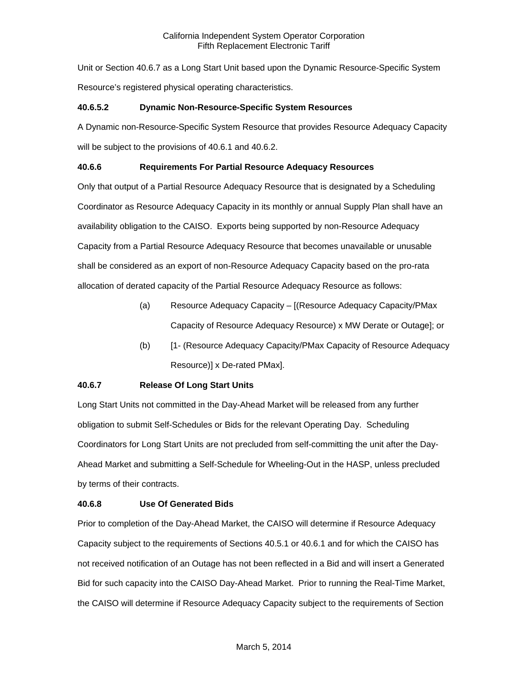Unit or Section 40.6.7 as a Long Start Unit based upon the Dynamic Resource-Specific System Resource's registered physical operating characteristics.

## **40.6.5.2 Dynamic Non-Resource-Specific System Resources**

A Dynamic non-Resource-Specific System Resource that provides Resource Adequacy Capacity will be subject to the provisions of 40.6.1 and 40.6.2.

## **40.6.6 Requirements For Partial Resource Adequacy Resources**

Only that output of a Partial Resource Adequacy Resource that is designated by a Scheduling Coordinator as Resource Adequacy Capacity in its monthly or annual Supply Plan shall have an availability obligation to the CAISO. Exports being supported by non-Resource Adequacy Capacity from a Partial Resource Adequacy Resource that becomes unavailable or unusable shall be considered as an export of non-Resource Adequacy Capacity based on the pro-rata allocation of derated capacity of the Partial Resource Adequacy Resource as follows:

- (a) Resource Adequacy Capacity [(Resource Adequacy Capacity/PMax Capacity of Resource Adequacy Resource) x MW Derate or Outage]; or
- (b) [1- (Resource Adequacy Capacity/PMax Capacity of Resource Adequacy Resource)] x De-rated PMax].

## **40.6.7 Release Of Long Start Units**

Long Start Units not committed in the Day-Ahead Market will be released from any further obligation to submit Self-Schedules or Bids for the relevant Operating Day. Scheduling Coordinators for Long Start Units are not precluded from self-committing the unit after the Day-Ahead Market and submitting a Self-Schedule for Wheeling-Out in the HASP, unless precluded by terms of their contracts.

## **40.6.8 Use Of Generated Bids**

Prior to completion of the Day-Ahead Market, the CAISO will determine if Resource Adequacy Capacity subject to the requirements of Sections 40.5.1 or 40.6.1 and for which the CAISO has not received notification of an Outage has not been reflected in a Bid and will insert a Generated Bid for such capacity into the CAISO Day-Ahead Market. Prior to running the Real-Time Market, the CAISO will determine if Resource Adequacy Capacity subject to the requirements of Section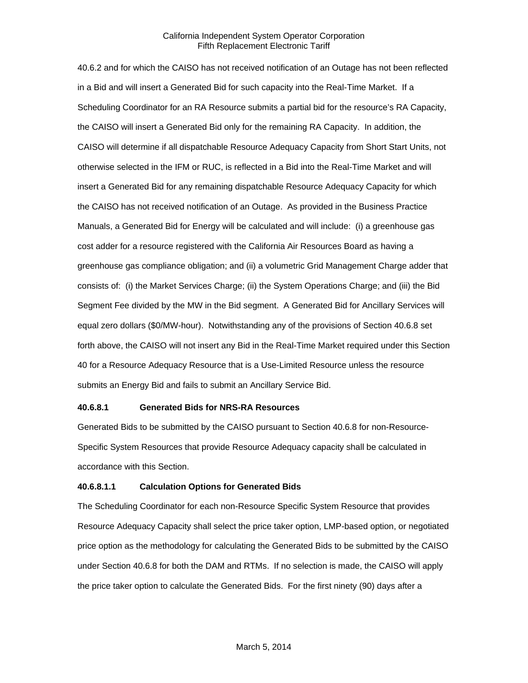40.6.2 and for which the CAISO has not received notification of an Outage has not been reflected in a Bid and will insert a Generated Bid for such capacity into the Real-Time Market. If a Scheduling Coordinator for an RA Resource submits a partial bid for the resource's RA Capacity, the CAISO will insert a Generated Bid only for the remaining RA Capacity. In addition, the CAISO will determine if all dispatchable Resource Adequacy Capacity from Short Start Units, not otherwise selected in the IFM or RUC, is reflected in a Bid into the Real-Time Market and will insert a Generated Bid for any remaining dispatchable Resource Adequacy Capacity for which the CAISO has not received notification of an Outage. As provided in the Business Practice Manuals, a Generated Bid for Energy will be calculated and will include: (i) a greenhouse gas cost adder for a resource registered with the California Air Resources Board as having a greenhouse gas compliance obligation; and (ii) a volumetric Grid Management Charge adder that consists of: (i) the Market Services Charge; (ii) the System Operations Charge; and (iii) the Bid Segment Fee divided by the MW in the Bid segment. A Generated Bid for Ancillary Services will equal zero dollars (\$0/MW-hour). Notwithstanding any of the provisions of Section 40.6.8 set forth above, the CAISO will not insert any Bid in the Real-Time Market required under this Section 40 for a Resource Adequacy Resource that is a Use-Limited Resource unless the resource submits an Energy Bid and fails to submit an Ancillary Service Bid.

#### **40.6.8.1 Generated Bids for NRS-RA Resources**

Generated Bids to be submitted by the CAISO pursuant to Section 40.6.8 for non-Resource-Specific System Resources that provide Resource Adequacy capacity shall be calculated in accordance with this Section.

#### **40.6.8.1.1 Calculation Options for Generated Bids**

The Scheduling Coordinator for each non-Resource Specific System Resource that provides Resource Adequacy Capacity shall select the price taker option, LMP-based option, or negotiated price option as the methodology for calculating the Generated Bids to be submitted by the CAISO under Section 40.6.8 for both the DAM and RTMs. If no selection is made, the CAISO will apply the price taker option to calculate the Generated Bids. For the first ninety (90) days after a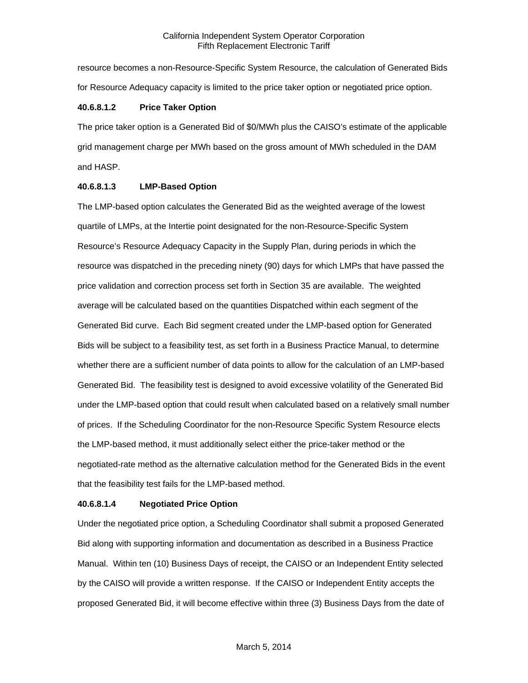resource becomes a non-Resource-Specific System Resource, the calculation of Generated Bids for Resource Adequacy capacity is limited to the price taker option or negotiated price option.

#### **40.6.8.1.2 Price Taker Option**

The price taker option is a Generated Bid of \$0/MWh plus the CAISO's estimate of the applicable grid management charge per MWh based on the gross amount of MWh scheduled in the DAM and HASP.

#### **40.6.8.1.3 LMP-Based Option**

The LMP-based option calculates the Generated Bid as the weighted average of the lowest quartile of LMPs, at the Intertie point designated for the non-Resource-Specific System Resource's Resource Adequacy Capacity in the Supply Plan, during periods in which the resource was dispatched in the preceding ninety (90) days for which LMPs that have passed the price validation and correction process set forth in Section 35 are available. The weighted average will be calculated based on the quantities Dispatched within each segment of the Generated Bid curve. Each Bid segment created under the LMP-based option for Generated Bids will be subject to a feasibility test, as set forth in a Business Practice Manual, to determine whether there are a sufficient number of data points to allow for the calculation of an LMP-based Generated Bid. The feasibility test is designed to avoid excessive volatility of the Generated Bid under the LMP-based option that could result when calculated based on a relatively small number of prices. If the Scheduling Coordinator for the non-Resource Specific System Resource elects the LMP-based method, it must additionally select either the price-taker method or the negotiated-rate method as the alternative calculation method for the Generated Bids in the event that the feasibility test fails for the LMP-based method.

## **40.6.8.1.4 Negotiated Price Option**

Under the negotiated price option, a Scheduling Coordinator shall submit a proposed Generated Bid along with supporting information and documentation as described in a Business Practice Manual. Within ten (10) Business Days of receipt, the CAISO or an Independent Entity selected by the CAISO will provide a written response. If the CAISO or Independent Entity accepts the proposed Generated Bid, it will become effective within three (3) Business Days from the date of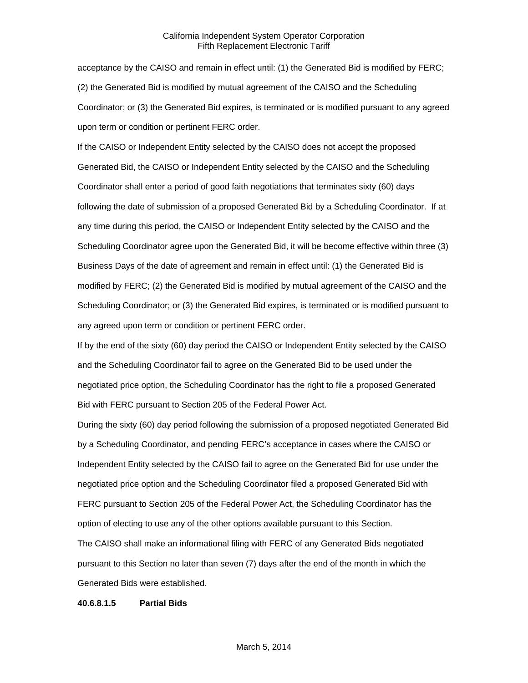acceptance by the CAISO and remain in effect until: (1) the Generated Bid is modified by FERC; (2) the Generated Bid is modified by mutual agreement of the CAISO and the Scheduling Coordinator; or (3) the Generated Bid expires, is terminated or is modified pursuant to any agreed upon term or condition or pertinent FERC order.

If the CAISO or Independent Entity selected by the CAISO does not accept the proposed Generated Bid, the CAISO or Independent Entity selected by the CAISO and the Scheduling Coordinator shall enter a period of good faith negotiations that terminates sixty (60) days following the date of submission of a proposed Generated Bid by a Scheduling Coordinator. If at any time during this period, the CAISO or Independent Entity selected by the CAISO and the Scheduling Coordinator agree upon the Generated Bid, it will be become effective within three (3) Business Days of the date of agreement and remain in effect until: (1) the Generated Bid is modified by FERC; (2) the Generated Bid is modified by mutual agreement of the CAISO and the Scheduling Coordinator; or (3) the Generated Bid expires, is terminated or is modified pursuant to any agreed upon term or condition or pertinent FERC order.

If by the end of the sixty (60) day period the CAISO or Independent Entity selected by the CAISO and the Scheduling Coordinator fail to agree on the Generated Bid to be used under the negotiated price option, the Scheduling Coordinator has the right to file a proposed Generated Bid with FERC pursuant to Section 205 of the Federal Power Act.

During the sixty (60) day period following the submission of a proposed negotiated Generated Bid by a Scheduling Coordinator, and pending FERC's acceptance in cases where the CAISO or Independent Entity selected by the CAISO fail to agree on the Generated Bid for use under the negotiated price option and the Scheduling Coordinator filed a proposed Generated Bid with FERC pursuant to Section 205 of the Federal Power Act, the Scheduling Coordinator has the option of electing to use any of the other options available pursuant to this Section.

The CAISO shall make an informational filing with FERC of any Generated Bids negotiated pursuant to this Section no later than seven (7) days after the end of the month in which the Generated Bids were established.

#### **40.6.8.1.5 Partial Bids**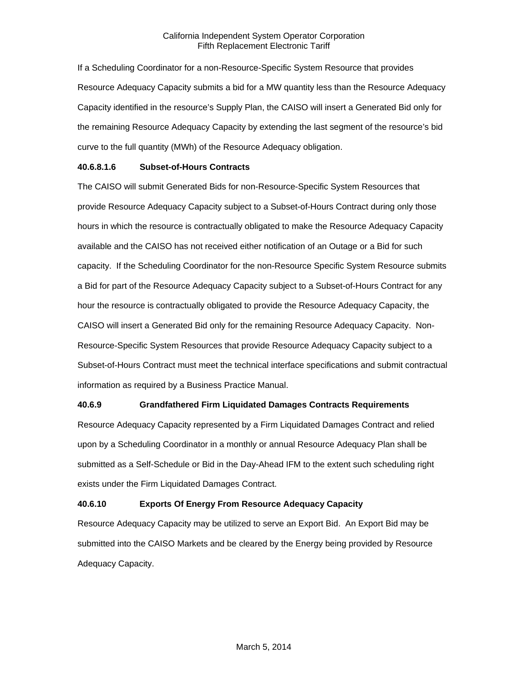If a Scheduling Coordinator for a non-Resource-Specific System Resource that provides Resource Adequacy Capacity submits a bid for a MW quantity less than the Resource Adequacy Capacity identified in the resource's Supply Plan, the CAISO will insert a Generated Bid only for the remaining Resource Adequacy Capacity by extending the last segment of the resource's bid curve to the full quantity (MWh) of the Resource Adequacy obligation.

## **40.6.8.1.6 Subset-of-Hours Contracts**

The CAISO will submit Generated Bids for non-Resource-Specific System Resources that provide Resource Adequacy Capacity subject to a Subset-of-Hours Contract during only those hours in which the resource is contractually obligated to make the Resource Adequacy Capacity available and the CAISO has not received either notification of an Outage or a Bid for such capacity. If the Scheduling Coordinator for the non-Resource Specific System Resource submits a Bid for part of the Resource Adequacy Capacity subject to a Subset-of-Hours Contract for any hour the resource is contractually obligated to provide the Resource Adequacy Capacity, the CAISO will insert a Generated Bid only for the remaining Resource Adequacy Capacity. Non-Resource-Specific System Resources that provide Resource Adequacy Capacity subject to a Subset-of-Hours Contract must meet the technical interface specifications and submit contractual information as required by a Business Practice Manual.

## **40.6.9 Grandfathered Firm Liquidated Damages Contracts Requirements**

Resource Adequacy Capacity represented by a Firm Liquidated Damages Contract and relied upon by a Scheduling Coordinator in a monthly or annual Resource Adequacy Plan shall be submitted as a Self-Schedule or Bid in the Day-Ahead IFM to the extent such scheduling right exists under the Firm Liquidated Damages Contract.

## **40.6.10 Exports Of Energy From Resource Adequacy Capacity**

Resource Adequacy Capacity may be utilized to serve an Export Bid. An Export Bid may be submitted into the CAISO Markets and be cleared by the Energy being provided by Resource Adequacy Capacity.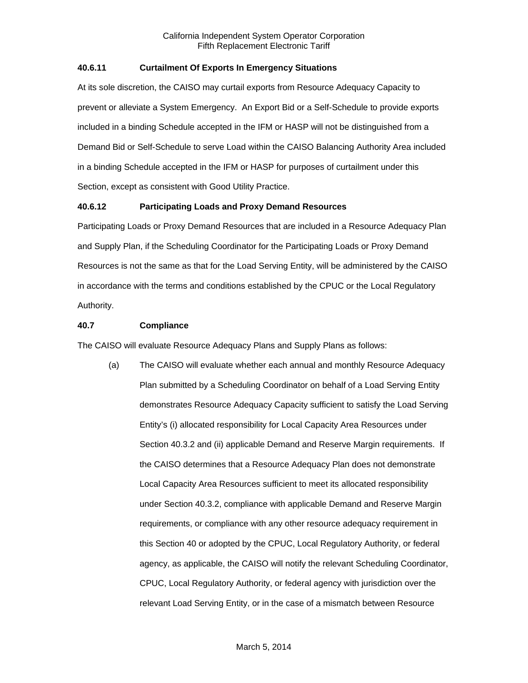## **40.6.11 Curtailment Of Exports In Emergency Situations**

At its sole discretion, the CAISO may curtail exports from Resource Adequacy Capacity to prevent or alleviate a System Emergency. An Export Bid or a Self-Schedule to provide exports included in a binding Schedule accepted in the IFM or HASP will not be distinguished from a Demand Bid or Self-Schedule to serve Load within the CAISO Balancing Authority Area included in a binding Schedule accepted in the IFM or HASP for purposes of curtailment under this Section, except as consistent with Good Utility Practice.

## **40.6.12 Participating Loads and Proxy Demand Resources**

Participating Loads or Proxy Demand Resources that are included in a Resource Adequacy Plan and Supply Plan, if the Scheduling Coordinator for the Participating Loads or Proxy Demand Resources is not the same as that for the Load Serving Entity, will be administered by the CAISO in accordance with the terms and conditions established by the CPUC or the Local Regulatory Authority.

## **40.7 Compliance**

The CAISO will evaluate Resource Adequacy Plans and Supply Plans as follows:

(a) The CAISO will evaluate whether each annual and monthly Resource Adequacy Plan submitted by a Scheduling Coordinator on behalf of a Load Serving Entity demonstrates Resource Adequacy Capacity sufficient to satisfy the Load Serving Entity's (i) allocated responsibility for Local Capacity Area Resources under Section 40.3.2 and (ii) applicable Demand and Reserve Margin requirements. If the CAISO determines that a Resource Adequacy Plan does not demonstrate Local Capacity Area Resources sufficient to meet its allocated responsibility under Section 40.3.2, compliance with applicable Demand and Reserve Margin requirements, or compliance with any other resource adequacy requirement in this Section 40 or adopted by the CPUC, Local Regulatory Authority, or federal agency, as applicable, the CAISO will notify the relevant Scheduling Coordinator, CPUC, Local Regulatory Authority, or federal agency with jurisdiction over the relevant Load Serving Entity, or in the case of a mismatch between Resource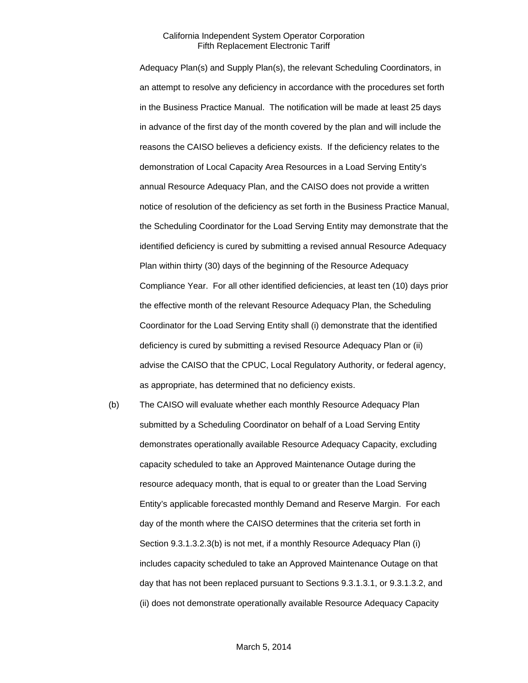Adequacy Plan(s) and Supply Plan(s), the relevant Scheduling Coordinators, in an attempt to resolve any deficiency in accordance with the procedures set forth in the Business Practice Manual. The notification will be made at least 25 days in advance of the first day of the month covered by the plan and will include the reasons the CAISO believes a deficiency exists. If the deficiency relates to the demonstration of Local Capacity Area Resources in a Load Serving Entity's annual Resource Adequacy Plan, and the CAISO does not provide a written notice of resolution of the deficiency as set forth in the Business Practice Manual, the Scheduling Coordinator for the Load Serving Entity may demonstrate that the identified deficiency is cured by submitting a revised annual Resource Adequacy Plan within thirty (30) days of the beginning of the Resource Adequacy Compliance Year. For all other identified deficiencies, at least ten (10) days prior the effective month of the relevant Resource Adequacy Plan, the Scheduling Coordinator for the Load Serving Entity shall (i) demonstrate that the identified deficiency is cured by submitting a revised Resource Adequacy Plan or (ii) advise the CAISO that the CPUC, Local Regulatory Authority, or federal agency, as appropriate, has determined that no deficiency exists.

(b) The CAISO will evaluate whether each monthly Resource Adequacy Plan submitted by a Scheduling Coordinator on behalf of a Load Serving Entity demonstrates operationally available Resource Adequacy Capacity, excluding capacity scheduled to take an Approved Maintenance Outage during the resource adequacy month, that is equal to or greater than the Load Serving Entity's applicable forecasted monthly Demand and Reserve Margin. For each day of the month where the CAISO determines that the criteria set forth in Section 9.3.1.3.2.3(b) is not met, if a monthly Resource Adequacy Plan (i) includes capacity scheduled to take an Approved Maintenance Outage on that day that has not been replaced pursuant to Sections 9.3.1.3.1, or 9.3.1.3.2, and (ii) does not demonstrate operationally available Resource Adequacy Capacity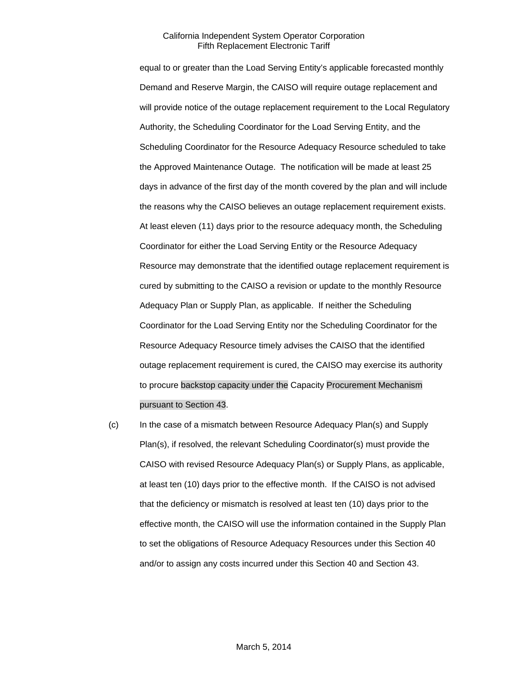equal to or greater than the Load Serving Entity's applicable forecasted monthly Demand and Reserve Margin, the CAISO will require outage replacement and will provide notice of the outage replacement requirement to the Local Regulatory Authority, the Scheduling Coordinator for the Load Serving Entity, and the Scheduling Coordinator for the Resource Adequacy Resource scheduled to take the Approved Maintenance Outage. The notification will be made at least 25 days in advance of the first day of the month covered by the plan and will include the reasons why the CAISO believes an outage replacement requirement exists. At least eleven (11) days prior to the resource adequacy month, the Scheduling Coordinator for either the Load Serving Entity or the Resource Adequacy Resource may demonstrate that the identified outage replacement requirement is cured by submitting to the CAISO a revision or update to the monthly Resource Adequacy Plan or Supply Plan, as applicable. If neither the Scheduling Coordinator for the Load Serving Entity nor the Scheduling Coordinator for the Resource Adequacy Resource timely advises the CAISO that the identified outage replacement requirement is cured, the CAISO may exercise its authority to procure backstop capacity under the Capacity Procurement Mechanism pursuant to Section 43.

(c) In the case of a mismatch between Resource Adequacy Plan(s) and Supply Plan(s), if resolved, the relevant Scheduling Coordinator(s) must provide the CAISO with revised Resource Adequacy Plan(s) or Supply Plans, as applicable, at least ten (10) days prior to the effective month. If the CAISO is not advised that the deficiency or mismatch is resolved at least ten (10) days prior to the effective month, the CAISO will use the information contained in the Supply Plan to set the obligations of Resource Adequacy Resources under this Section 40 and/or to assign any costs incurred under this Section 40 and Section 43.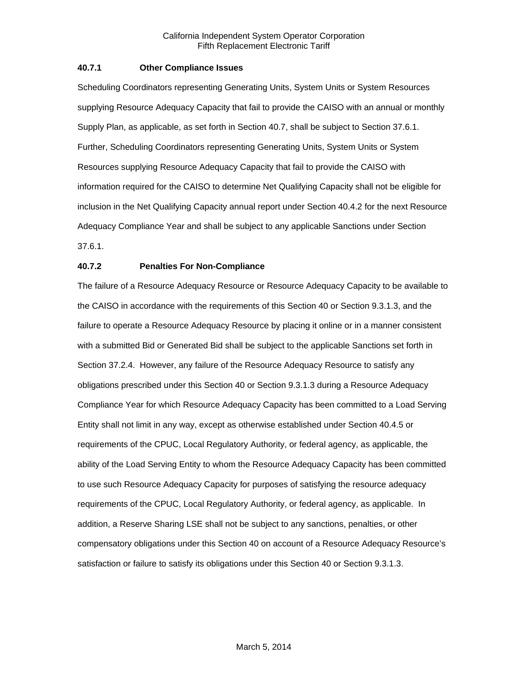## **40.7.1 Other Compliance Issues**

Scheduling Coordinators representing Generating Units, System Units or System Resources supplying Resource Adequacy Capacity that fail to provide the CAISO with an annual or monthly Supply Plan, as applicable, as set forth in Section 40.7, shall be subject to Section 37.6.1. Further, Scheduling Coordinators representing Generating Units, System Units or System Resources supplying Resource Adequacy Capacity that fail to provide the CAISO with information required for the CAISO to determine Net Qualifying Capacity shall not be eligible for inclusion in the Net Qualifying Capacity annual report under Section 40.4.2 for the next Resource Adequacy Compliance Year and shall be subject to any applicable Sanctions under Section 37.6.1.

## **40.7.2 Penalties For Non-Compliance**

The failure of a Resource Adequacy Resource or Resource Adequacy Capacity to be available to the CAISO in accordance with the requirements of this Section 40 or Section 9.3.1.3, and the failure to operate a Resource Adequacy Resource by placing it online or in a manner consistent with a submitted Bid or Generated Bid shall be subject to the applicable Sanctions set forth in Section 37.2.4. However, any failure of the Resource Adequacy Resource to satisfy any obligations prescribed under this Section 40 or Section 9.3.1.3 during a Resource Adequacy Compliance Year for which Resource Adequacy Capacity has been committed to a Load Serving Entity shall not limit in any way, except as otherwise established under Section 40.4.5 or requirements of the CPUC, Local Regulatory Authority, or federal agency, as applicable, the ability of the Load Serving Entity to whom the Resource Adequacy Capacity has been committed to use such Resource Adequacy Capacity for purposes of satisfying the resource adequacy requirements of the CPUC, Local Regulatory Authority, or federal agency, as applicable. In addition, a Reserve Sharing LSE shall not be subject to any sanctions, penalties, or other compensatory obligations under this Section 40 on account of a Resource Adequacy Resource's satisfaction or failure to satisfy its obligations under this Section 40 or Section 9.3.1.3.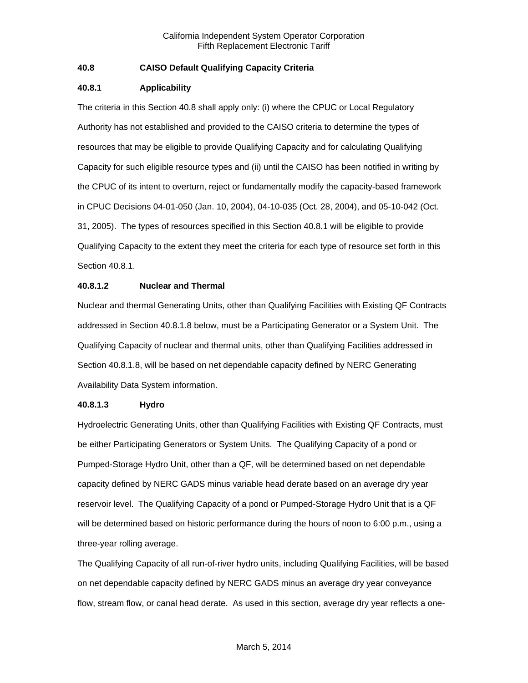## **40.8 CAISO Default Qualifying Capacity Criteria**

## **40.8.1 Applicability**

The criteria in this Section 40.8 shall apply only: (i) where the CPUC or Local Regulatory Authority has not established and provided to the CAISO criteria to determine the types of resources that may be eligible to provide Qualifying Capacity and for calculating Qualifying Capacity for such eligible resource types and (ii) until the CAISO has been notified in writing by the CPUC of its intent to overturn, reject or fundamentally modify the capacity-based framework in CPUC Decisions 04-01-050 (Jan. 10, 2004), 04-10-035 (Oct. 28, 2004), and 05-10-042 (Oct. 31, 2005). The types of resources specified in this Section 40.8.1 will be eligible to provide Qualifying Capacity to the extent they meet the criteria for each type of resource set forth in this Section 40.8.1.

## **40.8.1.2 Nuclear and Thermal**

Nuclear and thermal Generating Units, other than Qualifying Facilities with Existing QF Contracts addressed in Section 40.8.1.8 below, must be a Participating Generator or a System Unit. The Qualifying Capacity of nuclear and thermal units, other than Qualifying Facilities addressed in Section 40.8.1.8, will be based on net dependable capacity defined by NERC Generating Availability Data System information.

## **40.8.1.3 Hydro**

Hydroelectric Generating Units, other than Qualifying Facilities with Existing QF Contracts, must be either Participating Generators or System Units. The Qualifying Capacity of a pond or Pumped-Storage Hydro Unit, other than a QF, will be determined based on net dependable capacity defined by NERC GADS minus variable head derate based on an average dry year reservoir level. The Qualifying Capacity of a pond or Pumped-Storage Hydro Unit that is a QF will be determined based on historic performance during the hours of noon to 6:00 p.m., using a three-year rolling average.

The Qualifying Capacity of all run-of-river hydro units, including Qualifying Facilities, will be based on net dependable capacity defined by NERC GADS minus an average dry year conveyance flow, stream flow, or canal head derate. As used in this section, average dry year reflects a one-

## March 5, 2014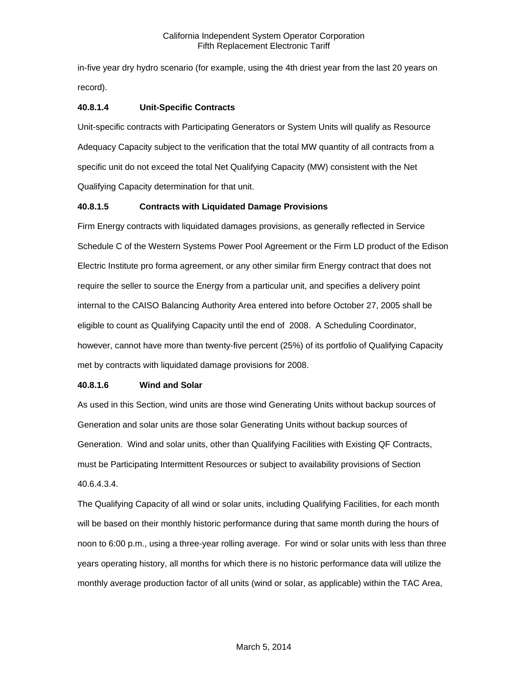in-five year dry hydro scenario (for example, using the 4th driest year from the last 20 years on record).

## **40.8.1.4 Unit-Specific Contracts**

Unit-specific contracts with Participating Generators or System Units will qualify as Resource Adequacy Capacity subject to the verification that the total MW quantity of all contracts from a specific unit do not exceed the total Net Qualifying Capacity (MW) consistent with the Net Qualifying Capacity determination for that unit.

## **40.8.1.5 Contracts with Liquidated Damage Provisions**

Firm Energy contracts with liquidated damages provisions, as generally reflected in Service Schedule C of the Western Systems Power Pool Agreement or the Firm LD product of the Edison Electric Institute pro forma agreement, or any other similar firm Energy contract that does not require the seller to source the Energy from a particular unit, and specifies a delivery point internal to the CAISO Balancing Authority Area entered into before October 27, 2005 shall be eligible to count as Qualifying Capacity until the end of 2008. A Scheduling Coordinator, however, cannot have more than twenty-five percent (25%) of its portfolio of Qualifying Capacity met by contracts with liquidated damage provisions for 2008.

## **40.8.1.6 Wind and Solar**

As used in this Section, wind units are those wind Generating Units without backup sources of Generation and solar units are those solar Generating Units without backup sources of Generation. Wind and solar units, other than Qualifying Facilities with Existing QF Contracts, must be Participating Intermittent Resources or subject to availability provisions of Section 40.6.4.3.4.

The Qualifying Capacity of all wind or solar units, including Qualifying Facilities, for each month will be based on their monthly historic performance during that same month during the hours of noon to 6:00 p.m., using a three-year rolling average. For wind or solar units with less than three years operating history, all months for which there is no historic performance data will utilize the monthly average production factor of all units (wind or solar, as applicable) within the TAC Area,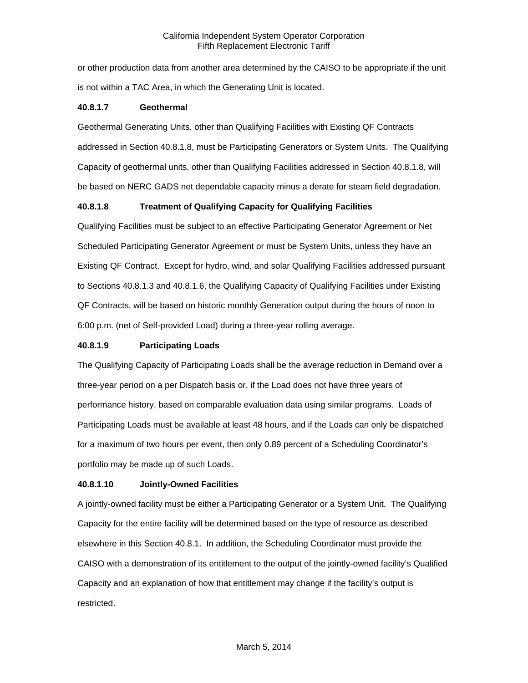or other production data from another area determined by the CAISO to be appropriate if the unit is not within a TAC Area, in which the Generating Unit is located.

## **40.8.1.7 Geothermal**

Geothermal Generating Units, other than Qualifying Facilities with Existing QF Contracts addressed in Section 40.8.1.8, must be Participating Generators or System Units. The Qualifying Capacity of geothermal units, other than Qualifying Facilities addressed in Section 40.8.1.8, will be based on NERC GADS net dependable capacity minus a derate for steam field degradation.

## **40.8.1.8 Treatment of Qualifying Capacity for Qualifying Facilities**

Qualifying Facilities must be subject to an effective Participating Generator Agreement or Net Scheduled Participating Generator Agreement or must be System Units, unless they have an Existing QF Contract. Except for hydro, wind, and solar Qualifying Facilities addressed pursuant to Sections 40.8.1.3 and 40.8.1.6, the Qualifying Capacity of Qualifying Facilities under Existing QF Contracts, will be based on historic monthly Generation output during the hours of noon to 6:00 p.m. (net of Self-provided Load) during a three-year rolling average.

## **40.8.1.9 Participating Loads**

The Qualifying Capacity of Participating Loads shall be the average reduction in Demand over a three-year period on a per Dispatch basis or, if the Load does not have three years of performance history, based on comparable evaluation data using similar programs. Loads of Participating Loads must be available at least 48 hours, and if the Loads can only be dispatched for a maximum of two hours per event, then only 0.89 percent of a Scheduling Coordinator's portfolio may be made up of such Loads.

## **40.8.1.10 Jointly-Owned Facilities**

A jointly-owned facility must be either a Participating Generator or a System Unit. The Qualifying Capacity for the entire facility will be determined based on the type of resource as described elsewhere in this Section 40.8.1. In addition, the Scheduling Coordinator must provide the CAISO with a demonstration of its entitlement to the output of the jointly-owned facility's Qualified Capacity and an explanation of how that entitlement may change if the facility's output is restricted.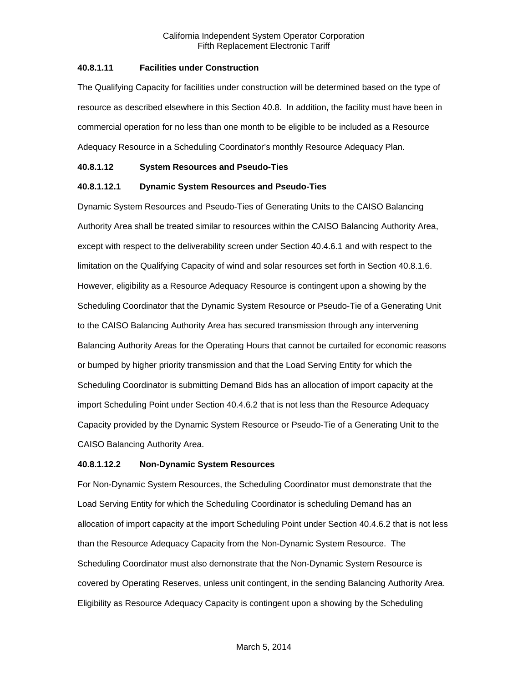## **40.8.1.11 Facilities under Construction**

The Qualifying Capacity for facilities under construction will be determined based on the type of resource as described elsewhere in this Section 40.8. In addition, the facility must have been in commercial operation for no less than one month to be eligible to be included as a Resource Adequacy Resource in a Scheduling Coordinator's monthly Resource Adequacy Plan.

#### **40.8.1.12 System Resources and Pseudo-Ties**

## **40.8.1.12.1 Dynamic System Resources and Pseudo-Ties**

Dynamic System Resources and Pseudo-Ties of Generating Units to the CAISO Balancing Authority Area shall be treated similar to resources within the CAISO Balancing Authority Area, except with respect to the deliverability screen under Section 40.4.6.1 and with respect to the limitation on the Qualifying Capacity of wind and solar resources set forth in Section 40.8.1.6. However, eligibility as a Resource Adequacy Resource is contingent upon a showing by the Scheduling Coordinator that the Dynamic System Resource or Pseudo-Tie of a Generating Unit to the CAISO Balancing Authority Area has secured transmission through any intervening Balancing Authority Areas for the Operating Hours that cannot be curtailed for economic reasons or bumped by higher priority transmission and that the Load Serving Entity for which the Scheduling Coordinator is submitting Demand Bids has an allocation of import capacity at the import Scheduling Point under Section 40.4.6.2 that is not less than the Resource Adequacy Capacity provided by the Dynamic System Resource or Pseudo-Tie of a Generating Unit to the CAISO Balancing Authority Area.

## **40.8.1.12.2 Non-Dynamic System Resources**

For Non-Dynamic System Resources, the Scheduling Coordinator must demonstrate that the Load Serving Entity for which the Scheduling Coordinator is scheduling Demand has an allocation of import capacity at the import Scheduling Point under Section 40.4.6.2 that is not less than the Resource Adequacy Capacity from the Non-Dynamic System Resource. The Scheduling Coordinator must also demonstrate that the Non-Dynamic System Resource is covered by Operating Reserves, unless unit contingent, in the sending Balancing Authority Area. Eligibility as Resource Adequacy Capacity is contingent upon a showing by the Scheduling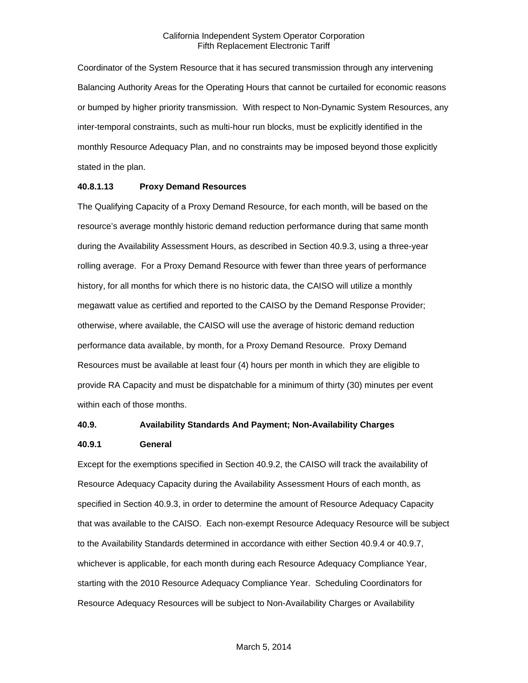Coordinator of the System Resource that it has secured transmission through any intervening Balancing Authority Areas for the Operating Hours that cannot be curtailed for economic reasons or bumped by higher priority transmission. With respect to Non-Dynamic System Resources, any inter-temporal constraints, such as multi-hour run blocks, must be explicitly identified in the monthly Resource Adequacy Plan, and no constraints may be imposed beyond those explicitly stated in the plan.

#### **40.8.1.13 Proxy Demand Resources**

The Qualifying Capacity of a Proxy Demand Resource, for each month, will be based on the resource's average monthly historic demand reduction performance during that same month during the Availability Assessment Hours, as described in Section 40.9.3, using a three-year rolling average. For a Proxy Demand Resource with fewer than three years of performance history, for all months for which there is no historic data, the CAISO will utilize a monthly megawatt value as certified and reported to the CAISO by the Demand Response Provider; otherwise, where available, the CAISO will use the average of historic demand reduction performance data available, by month, for a Proxy Demand Resource. Proxy Demand Resources must be available at least four (4) hours per month in which they are eligible to provide RA Capacity and must be dispatchable for a minimum of thirty (30) minutes per event within each of those months.

#### **40.9. Availability Standards And Payment; Non-Availability Charges**

#### **40.9.1 General**

Except for the exemptions specified in Section 40.9.2, the CAISO will track the availability of Resource Adequacy Capacity during the Availability Assessment Hours of each month, as specified in Section 40.9.3, in order to determine the amount of Resource Adequacy Capacity that was available to the CAISO. Each non-exempt Resource Adequacy Resource will be subject to the Availability Standards determined in accordance with either Section 40.9.4 or 40.9.7, whichever is applicable, for each month during each Resource Adequacy Compliance Year, starting with the 2010 Resource Adequacy Compliance Year. Scheduling Coordinators for Resource Adequacy Resources will be subject to Non-Availability Charges or Availability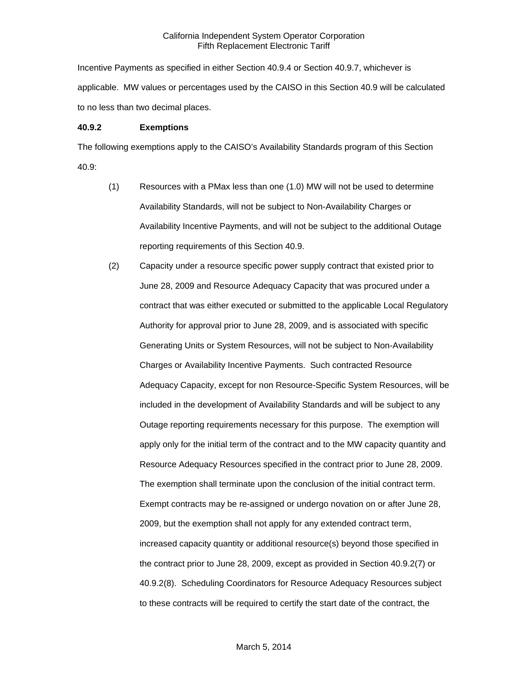Incentive Payments as specified in either Section 40.9.4 or Section 40.9.7, whichever is applicable. MW values or percentages used by the CAISO in this Section 40.9 will be calculated to no less than two decimal places.

#### **40.9.2 Exemptions**

The following exemptions apply to the CAISO's Availability Standards program of this Section 40.9:

- (1) Resources with a PMax less than one (1.0) MW will not be used to determine Availability Standards, will not be subject to Non-Availability Charges or Availability Incentive Payments, and will not be subject to the additional Outage reporting requirements of this Section 40.9.
- (2) Capacity under a resource specific power supply contract that existed prior to June 28, 2009 and Resource Adequacy Capacity that was procured under a contract that was either executed or submitted to the applicable Local Regulatory Authority for approval prior to June 28, 2009, and is associated with specific Generating Units or System Resources, will not be subject to Non-Availability Charges or Availability Incentive Payments. Such contracted Resource Adequacy Capacity, except for non Resource-Specific System Resources, will be included in the development of Availability Standards and will be subject to any Outage reporting requirements necessary for this purpose. The exemption will apply only for the initial term of the contract and to the MW capacity quantity and Resource Adequacy Resources specified in the contract prior to June 28, 2009. The exemption shall terminate upon the conclusion of the initial contract term. Exempt contracts may be re-assigned or undergo novation on or after June 28, 2009, but the exemption shall not apply for any extended contract term, increased capacity quantity or additional resource(s) beyond those specified in the contract prior to June 28, 2009, except as provided in Section 40.9.2(7) or 40.9.2(8). Scheduling Coordinators for Resource Adequacy Resources subject to these contracts will be required to certify the start date of the contract, the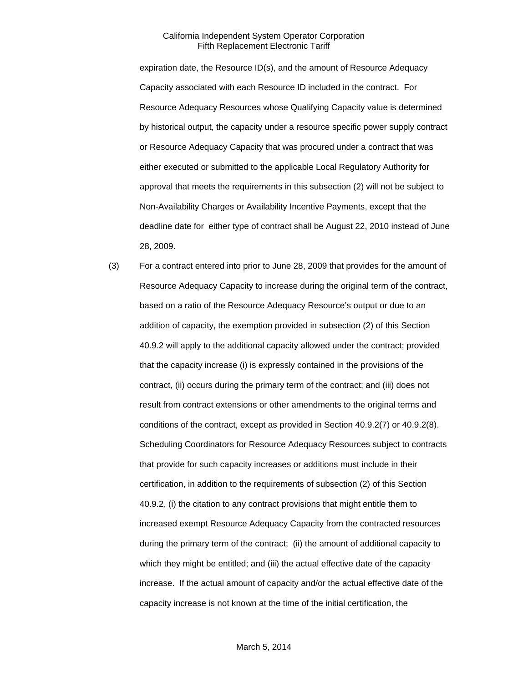expiration date, the Resource ID(s), and the amount of Resource Adequacy Capacity associated with each Resource ID included in the contract. For Resource Adequacy Resources whose Qualifying Capacity value is determined by historical output, the capacity under a resource specific power supply contract or Resource Adequacy Capacity that was procured under a contract that was either executed or submitted to the applicable Local Regulatory Authority for approval that meets the requirements in this subsection (2) will not be subject to Non-Availability Charges or Availability Incentive Payments, except that the deadline date for either type of contract shall be August 22, 2010 instead of June 28, 2009.

(3) For a contract entered into prior to June 28, 2009 that provides for the amount of Resource Adequacy Capacity to increase during the original term of the contract, based on a ratio of the Resource Adequacy Resource's output or due to an addition of capacity, the exemption provided in subsection (2) of this Section 40.9.2 will apply to the additional capacity allowed under the contract; provided that the capacity increase (i) is expressly contained in the provisions of the contract, (ii) occurs during the primary term of the contract; and (iii) does not result from contract extensions or other amendments to the original terms and conditions of the contract, except as provided in Section 40.9.2(7) or 40.9.2(8). Scheduling Coordinators for Resource Adequacy Resources subject to contracts that provide for such capacity increases or additions must include in their certification, in addition to the requirements of subsection (2) of this Section 40.9.2, (i) the citation to any contract provisions that might entitle them to increased exempt Resource Adequacy Capacity from the contracted resources during the primary term of the contract; (ii) the amount of additional capacity to which they might be entitled; and (iii) the actual effective date of the capacity increase. If the actual amount of capacity and/or the actual effective date of the capacity increase is not known at the time of the initial certification, the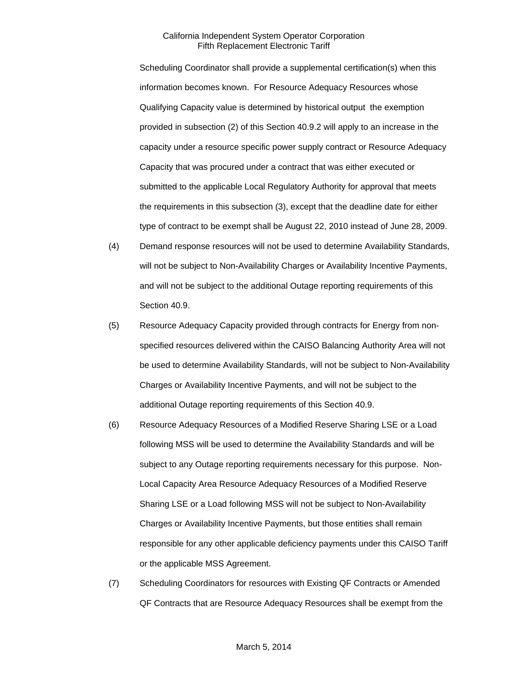Scheduling Coordinator shall provide a supplemental certification(s) when this information becomes known. For Resource Adequacy Resources whose Qualifying Capacity value is determined by historical output the exemption provided in subsection (2) of this Section 40.9.2 will apply to an increase in the capacity under a resource specific power supply contract or Resource Adequacy Capacity that was procured under a contract that was either executed or submitted to the applicable Local Regulatory Authority for approval that meets the requirements in this subsection (3), except that the deadline date for either type of contract to be exempt shall be August 22, 2010 instead of June 28, 2009.

- (4) Demand response resources will not be used to determine Availability Standards, will not be subject to Non-Availability Charges or Availability Incentive Payments, and will not be subject to the additional Outage reporting requirements of this Section 40.9.
- (5) Resource Adequacy Capacity provided through contracts for Energy from nonspecified resources delivered within the CAISO Balancing Authority Area will not be used to determine Availability Standards, will not be subject to Non-Availability Charges or Availability Incentive Payments, and will not be subject to the additional Outage reporting requirements of this Section 40.9.
- (6) Resource Adequacy Resources of a Modified Reserve Sharing LSE or a Load following MSS will be used to determine the Availability Standards and will be subject to any Outage reporting requirements necessary for this purpose. Non-Local Capacity Area Resource Adequacy Resources of a Modified Reserve Sharing LSE or a Load following MSS will not be subject to Non-Availability Charges or Availability Incentive Payments, but those entities shall remain responsible for any other applicable deficiency payments under this CAISO Tariff or the applicable MSS Agreement.
- (7) Scheduling Coordinators for resources with Existing QF Contracts or Amended QF Contracts that are Resource Adequacy Resources shall be exempt from the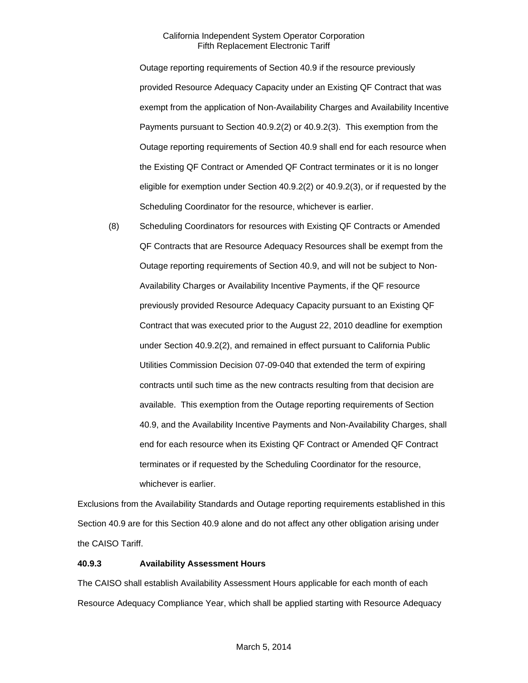Outage reporting requirements of Section 40.9 if the resource previously provided Resource Adequacy Capacity under an Existing QF Contract that was exempt from the application of Non-Availability Charges and Availability Incentive Payments pursuant to Section 40.9.2(2) or 40.9.2(3). This exemption from the Outage reporting requirements of Section 40.9 shall end for each resource when the Existing QF Contract or Amended QF Contract terminates or it is no longer eligible for exemption under Section 40.9.2(2) or 40.9.2(3), or if requested by the Scheduling Coordinator for the resource, whichever is earlier.

(8) Scheduling Coordinators for resources with Existing QF Contracts or Amended QF Contracts that are Resource Adequacy Resources shall be exempt from the Outage reporting requirements of Section 40.9, and will not be subject to Non-Availability Charges or Availability Incentive Payments, if the QF resource previously provided Resource Adequacy Capacity pursuant to an Existing QF Contract that was executed prior to the August 22, 2010 deadline for exemption under Section 40.9.2(2), and remained in effect pursuant to California Public Utilities Commission Decision 07-09-040 that extended the term of expiring contracts until such time as the new contracts resulting from that decision are available. This exemption from the Outage reporting requirements of Section 40.9, and the Availability Incentive Payments and Non-Availability Charges, shall end for each resource when its Existing QF Contract or Amended QF Contract terminates or if requested by the Scheduling Coordinator for the resource, whichever is earlier.

Exclusions from the Availability Standards and Outage reporting requirements established in this Section 40.9 are for this Section 40.9 alone and do not affect any other obligation arising under the CAISO Tariff.

# **40.9.3 Availability Assessment Hours**

The CAISO shall establish Availability Assessment Hours applicable for each month of each Resource Adequacy Compliance Year, which shall be applied starting with Resource Adequacy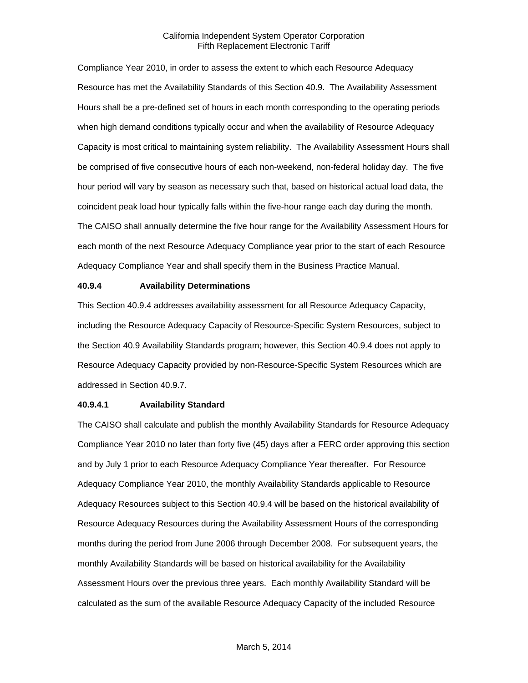Compliance Year 2010, in order to assess the extent to which each Resource Adequacy Resource has met the Availability Standards of this Section 40.9. The Availability Assessment Hours shall be a pre-defined set of hours in each month corresponding to the operating periods when high demand conditions typically occur and when the availability of Resource Adequacy Capacity is most critical to maintaining system reliability. The Availability Assessment Hours shall be comprised of five consecutive hours of each non-weekend, non-federal holiday day. The five hour period will vary by season as necessary such that, based on historical actual load data, the coincident peak load hour typically falls within the five-hour range each day during the month. The CAISO shall annually determine the five hour range for the Availability Assessment Hours for each month of the next Resource Adequacy Compliance year prior to the start of each Resource Adequacy Compliance Year and shall specify them in the Business Practice Manual.

### **40.9.4 Availability Determinations**

This Section 40.9.4 addresses availability assessment for all Resource Adequacy Capacity, including the Resource Adequacy Capacity of Resource-Specific System Resources, subject to the Section 40.9 Availability Standards program; however, this Section 40.9.4 does not apply to Resource Adequacy Capacity provided by non-Resource-Specific System Resources which are addressed in Section 40.9.7.

# **40.9.4.1 Availability Standard**

The CAISO shall calculate and publish the monthly Availability Standards for Resource Adequacy Compliance Year 2010 no later than forty five (45) days after a FERC order approving this section and by July 1 prior to each Resource Adequacy Compliance Year thereafter. For Resource Adequacy Compliance Year 2010, the monthly Availability Standards applicable to Resource Adequacy Resources subject to this Section 40.9.4 will be based on the historical availability of Resource Adequacy Resources during the Availability Assessment Hours of the corresponding months during the period from June 2006 through December 2008. For subsequent years, the monthly Availability Standards will be based on historical availability for the Availability Assessment Hours over the previous three years. Each monthly Availability Standard will be calculated as the sum of the available Resource Adequacy Capacity of the included Resource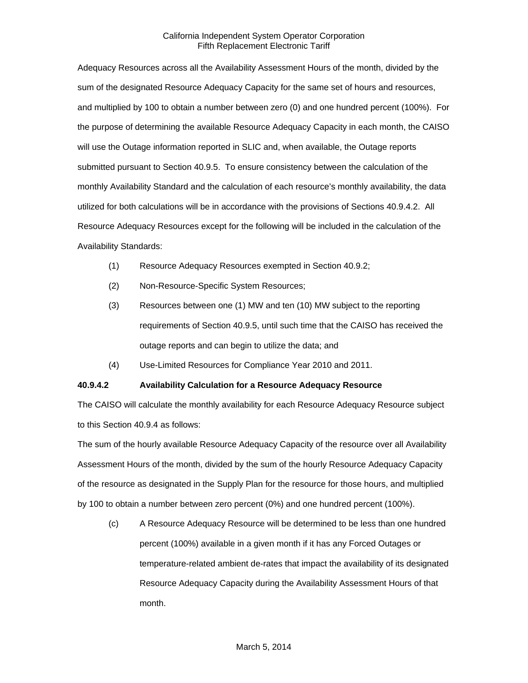Adequacy Resources across all the Availability Assessment Hours of the month, divided by the sum of the designated Resource Adequacy Capacity for the same set of hours and resources, and multiplied by 100 to obtain a number between zero (0) and one hundred percent (100%). For the purpose of determining the available Resource Adequacy Capacity in each month, the CAISO will use the Outage information reported in SLIC and, when available, the Outage reports submitted pursuant to Section 40.9.5. To ensure consistency between the calculation of the monthly Availability Standard and the calculation of each resource's monthly availability, the data utilized for both calculations will be in accordance with the provisions of Sections 40.9.4.2. All Resource Adequacy Resources except for the following will be included in the calculation of the Availability Standards:

- (1) Resource Adequacy Resources exempted in Section 40.9.2;
- (2) Non-Resource-Specific System Resources;
- (3) Resources between one (1) MW and ten (10) MW subject to the reporting requirements of Section 40.9.5, until such time that the CAISO has received the outage reports and can begin to utilize the data; and
- (4) Use-Limited Resources for Compliance Year 2010 and 2011.

# **40.9.4.2 Availability Calculation for a Resource Adequacy Resource**

The CAISO will calculate the monthly availability for each Resource Adequacy Resource subject to this Section 40.9.4 as follows:

The sum of the hourly available Resource Adequacy Capacity of the resource over all Availability Assessment Hours of the month, divided by the sum of the hourly Resource Adequacy Capacity of the resource as designated in the Supply Plan for the resource for those hours, and multiplied by 100 to obtain a number between zero percent (0%) and one hundred percent (100%).

(c) A Resource Adequacy Resource will be determined to be less than one hundred percent (100%) available in a given month if it has any Forced Outages or temperature-related ambient de-rates that impact the availability of its designated Resource Adequacy Capacity during the Availability Assessment Hours of that month.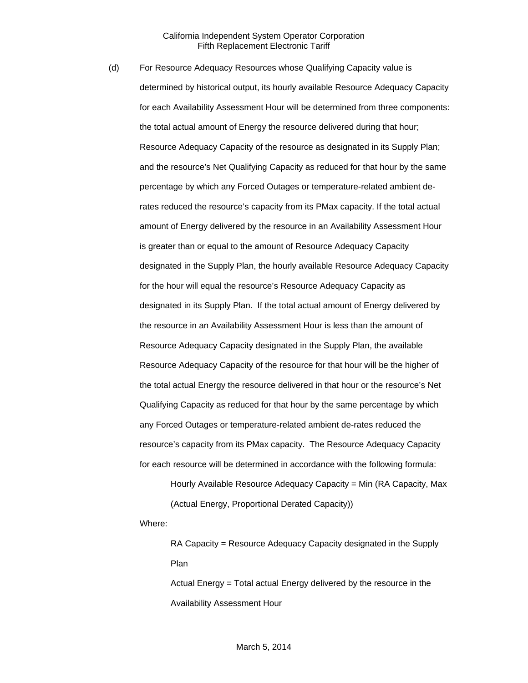(d) For Resource Adequacy Resources whose Qualifying Capacity value is determined by historical output, its hourly available Resource Adequacy Capacity for each Availability Assessment Hour will be determined from three components: the total actual amount of Energy the resource delivered during that hour; Resource Adequacy Capacity of the resource as designated in its Supply Plan; and the resource's Net Qualifying Capacity as reduced for that hour by the same percentage by which any Forced Outages or temperature-related ambient derates reduced the resource's capacity from its PMax capacity. If the total actual amount of Energy delivered by the resource in an Availability Assessment Hour is greater than or equal to the amount of Resource Adequacy Capacity designated in the Supply Plan, the hourly available Resource Adequacy Capacity for the hour will equal the resource's Resource Adequacy Capacity as designated in its Supply Plan. If the total actual amount of Energy delivered by the resource in an Availability Assessment Hour is less than the amount of Resource Adequacy Capacity designated in the Supply Plan, the available Resource Adequacy Capacity of the resource for that hour will be the higher of the total actual Energy the resource delivered in that hour or the resource's Net Qualifying Capacity as reduced for that hour by the same percentage by which any Forced Outages or temperature-related ambient de-rates reduced the resource's capacity from its PMax capacity. The Resource Adequacy Capacity for each resource will be determined in accordance with the following formula:

> Hourly Available Resource Adequacy Capacity = Min (RA Capacity, Max (Actual Energy, Proportional Derated Capacity))

Where:

RA Capacity = Resource Adequacy Capacity designated in the Supply Plan

Actual Energy = Total actual Energy delivered by the resource in the Availability Assessment Hour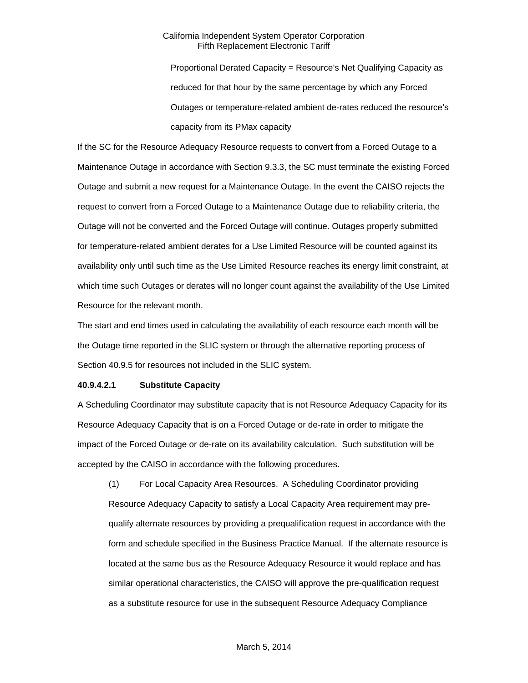Proportional Derated Capacity = Resource's Net Qualifying Capacity as reduced for that hour by the same percentage by which any Forced Outages or temperature-related ambient de-rates reduced the resource's capacity from its PMax capacity

If the SC for the Resource Adequacy Resource requests to convert from a Forced Outage to a Maintenance Outage in accordance with Section 9.3.3, the SC must terminate the existing Forced Outage and submit a new request for a Maintenance Outage. In the event the CAISO rejects the request to convert from a Forced Outage to a Maintenance Outage due to reliability criteria, the Outage will not be converted and the Forced Outage will continue. Outages properly submitted for temperature-related ambient derates for a Use Limited Resource will be counted against its availability only until such time as the Use Limited Resource reaches its energy limit constraint, at which time such Outages or derates will no longer count against the availability of the Use Limited Resource for the relevant month.

The start and end times used in calculating the availability of each resource each month will be the Outage time reported in the SLIC system or through the alternative reporting process of Section 40.9.5 for resources not included in the SLIC system.

# **40.9.4.2.1 Substitute Capacity**

A Scheduling Coordinator may substitute capacity that is not Resource Adequacy Capacity for its Resource Adequacy Capacity that is on a Forced Outage or de-rate in order to mitigate the impact of the Forced Outage or de-rate on its availability calculation. Such substitution will be accepted by the CAISO in accordance with the following procedures.

(1) For Local Capacity Area Resources. A Scheduling Coordinator providing Resource Adequacy Capacity to satisfy a Local Capacity Area requirement may prequalify alternate resources by providing a prequalification request in accordance with the form and schedule specified in the Business Practice Manual. If the alternate resource is located at the same bus as the Resource Adequacy Resource it would replace and has similar operational characteristics, the CAISO will approve the pre-qualification request as a substitute resource for use in the subsequent Resource Adequacy Compliance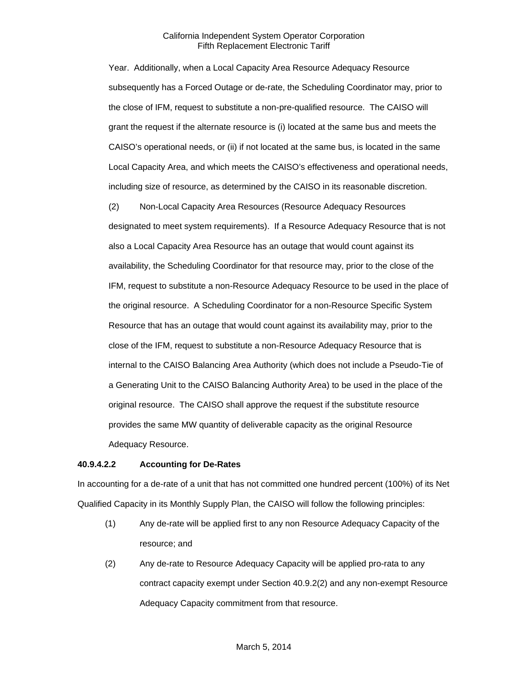Year. Additionally, when a Local Capacity Area Resource Adequacy Resource subsequently has a Forced Outage or de-rate, the Scheduling Coordinator may, prior to the close of IFM, request to substitute a non-pre-qualified resource. The CAISO will grant the request if the alternate resource is (i) located at the same bus and meets the CAISO's operational needs, or (ii) if not located at the same bus, is located in the same Local Capacity Area, and which meets the CAISO's effectiveness and operational needs, including size of resource, as determined by the CAISO in its reasonable discretion.

(2) Non-Local Capacity Area Resources (Resource Adequacy Resources designated to meet system requirements). If a Resource Adequacy Resource that is not also a Local Capacity Area Resource has an outage that would count against its availability, the Scheduling Coordinator for that resource may, prior to the close of the IFM, request to substitute a non-Resource Adequacy Resource to be used in the place of the original resource. A Scheduling Coordinator for a non-Resource Specific System Resource that has an outage that would count against its availability may, prior to the close of the IFM, request to substitute a non-Resource Adequacy Resource that is internal to the CAISO Balancing Area Authority (which does not include a Pseudo-Tie of a Generating Unit to the CAISO Balancing Authority Area) to be used in the place of the original resource. The CAISO shall approve the request if the substitute resource provides the same MW quantity of deliverable capacity as the original Resource Adequacy Resource.

# **40.9.4.2.2 Accounting for De-Rates**

In accounting for a de-rate of a unit that has not committed one hundred percent (100%) of its Net Qualified Capacity in its Monthly Supply Plan, the CAISO will follow the following principles:

- (1) Any de-rate will be applied first to any non Resource Adequacy Capacity of the resource; and
- (2) Any de-rate to Resource Adequacy Capacity will be applied pro-rata to any contract capacity exempt under Section 40.9.2(2) and any non-exempt Resource Adequacy Capacity commitment from that resource.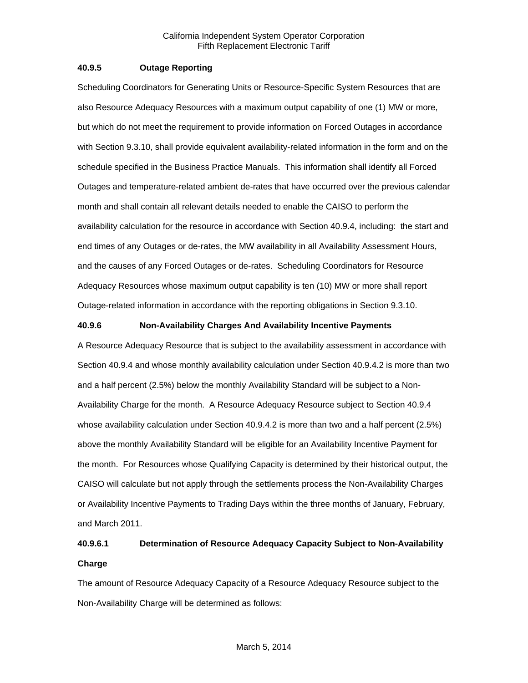# **40.9.5 Outage Reporting**

Scheduling Coordinators for Generating Units or Resource-Specific System Resources that are also Resource Adequacy Resources with a maximum output capability of one (1) MW or more, but which do not meet the requirement to provide information on Forced Outages in accordance with Section 9.3.10, shall provide equivalent availability-related information in the form and on the schedule specified in the Business Practice Manuals. This information shall identify all Forced Outages and temperature-related ambient de-rates that have occurred over the previous calendar month and shall contain all relevant details needed to enable the CAISO to perform the availability calculation for the resource in accordance with Section 40.9.4, including: the start and end times of any Outages or de-rates, the MW availability in all Availability Assessment Hours, and the causes of any Forced Outages or de-rates. Scheduling Coordinators for Resource Adequacy Resources whose maximum output capability is ten (10) MW or more shall report Outage-related information in accordance with the reporting obligations in Section 9.3.10.

# **40.9.6 Non-Availability Charges And Availability Incentive Payments**

A Resource Adequacy Resource that is subject to the availability assessment in accordance with Section 40.9.4 and whose monthly availability calculation under Section 40.9.4.2 is more than two and a half percent (2.5%) below the monthly Availability Standard will be subject to a Non-Availability Charge for the month. A Resource Adequacy Resource subject to Section 40.9.4 whose availability calculation under Section 40.9.4.2 is more than two and a half percent (2.5%) above the monthly Availability Standard will be eligible for an Availability Incentive Payment for the month. For Resources whose Qualifying Capacity is determined by their historical output, the CAISO will calculate but not apply through the settlements process the Non-Availability Charges or Availability Incentive Payments to Trading Days within the three months of January, February, and March 2011.

# **40.9.6.1 Determination of Resource Adequacy Capacity Subject to Non-Availability Charge**

The amount of Resource Adequacy Capacity of a Resource Adequacy Resource subject to the Non-Availability Charge will be determined as follows: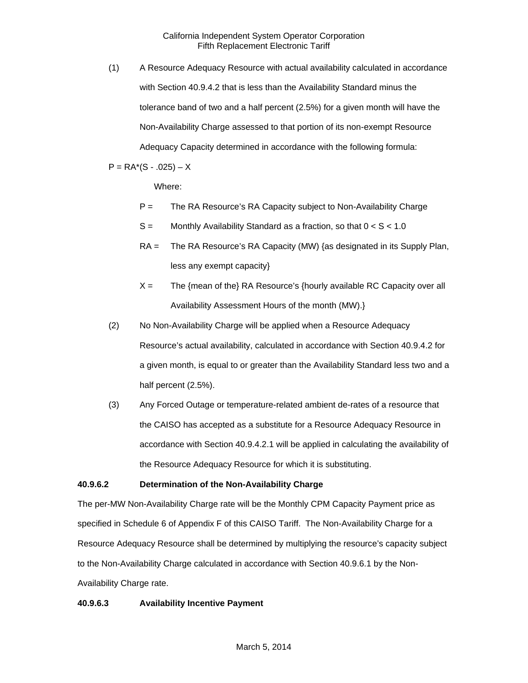(1) A Resource Adequacy Resource with actual availability calculated in accordance with Section 40.9.4.2 that is less than the Availability Standard minus the tolerance band of two and a half percent (2.5%) for a given month will have the Non-Availability Charge assessed to that portion of its non-exempt Resource Adequacy Capacity determined in accordance with the following formula:

 $P = RA<sup>*</sup>(S - .025) - X$ 

Where:

- P = The RA Resource's RA Capacity subject to Non-Availability Charge
- $S =$  Monthly Availability Standard as a fraction, so that  $0 < S < 1.0$
- RA = The RA Resource's RA Capacity (MW) {as designated in its Supply Plan, less any exempt capacity}
- $X =$  The {mean of the} RA Resource's {hourly available RC Capacity over all Availability Assessment Hours of the month (MW).}
- (2) No Non-Availability Charge will be applied when a Resource Adequacy Resource's actual availability, calculated in accordance with Section 40.9.4.2 for a given month, is equal to or greater than the Availability Standard less two and a half percent (2.5%).
- (3) Any Forced Outage or temperature-related ambient de-rates of a resource that the CAISO has accepted as a substitute for a Resource Adequacy Resource in accordance with Section 40.9.4.2.1 will be applied in calculating the availability of the Resource Adequacy Resource for which it is substituting.

# **40.9.6.2 Determination of the Non-Availability Charge**

The per-MW Non-Availability Charge rate will be the Monthly CPM Capacity Payment price as specified in Schedule 6 of Appendix F of this CAISO Tariff. The Non-Availability Charge for a Resource Adequacy Resource shall be determined by multiplying the resource's capacity subject to the Non-Availability Charge calculated in accordance with Section 40.9.6.1 by the Non-Availability Charge rate.

# **40.9.6.3 Availability Incentive Payment**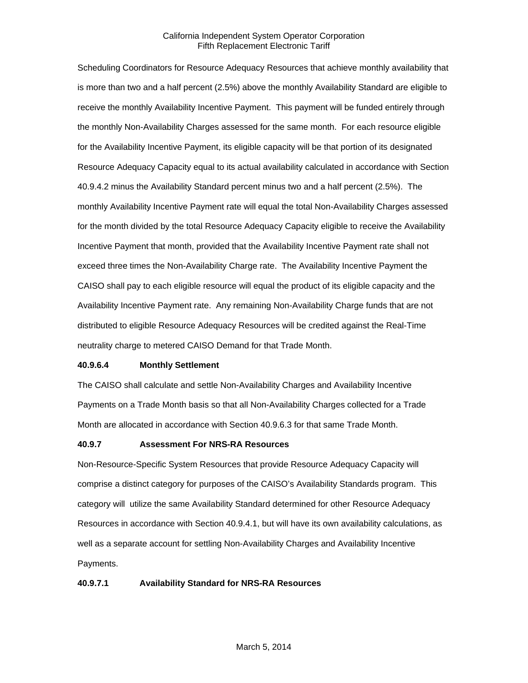Scheduling Coordinators for Resource Adequacy Resources that achieve monthly availability that is more than two and a half percent (2.5%) above the monthly Availability Standard are eligible to receive the monthly Availability Incentive Payment. This payment will be funded entirely through the monthly Non-Availability Charges assessed for the same month. For each resource eligible for the Availability Incentive Payment, its eligible capacity will be that portion of its designated Resource Adequacy Capacity equal to its actual availability calculated in accordance with Section 40.9.4.2 minus the Availability Standard percent minus two and a half percent (2.5%). The monthly Availability Incentive Payment rate will equal the total Non-Availability Charges assessed for the month divided by the total Resource Adequacy Capacity eligible to receive the Availability Incentive Payment that month, provided that the Availability Incentive Payment rate shall not exceed three times the Non-Availability Charge rate. The Availability Incentive Payment the CAISO shall pay to each eligible resource will equal the product of its eligible capacity and the Availability Incentive Payment rate. Any remaining Non-Availability Charge funds that are not distributed to eligible Resource Adequacy Resources will be credited against the Real-Time neutrality charge to metered CAISO Demand for that Trade Month.

#### **40.9.6.4 Monthly Settlement**

The CAISO shall calculate and settle Non-Availability Charges and Availability Incentive Payments on a Trade Month basis so that all Non-Availability Charges collected for a Trade Month are allocated in accordance with Section 40.9.6.3 for that same Trade Month.

### **40.9.7 Assessment For NRS-RA Resources**

Non-Resource-Specific System Resources that provide Resource Adequacy Capacity will comprise a distinct category for purposes of the CAISO's Availability Standards program. This category will utilize the same Availability Standard determined for other Resource Adequacy Resources in accordance with Section 40.9.4.1, but will have its own availability calculations, as well as a separate account for settling Non-Availability Charges and Availability Incentive Payments.

# **40.9.7.1 Availability Standard for NRS-RA Resources**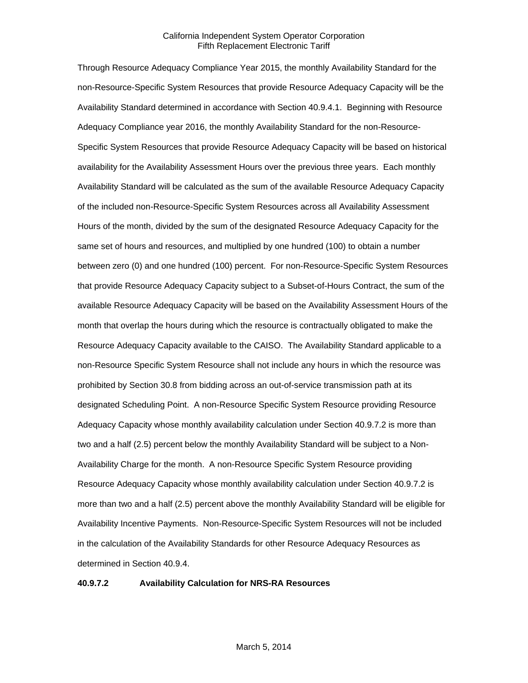Through Resource Adequacy Compliance Year 2015, the monthly Availability Standard for the non-Resource-Specific System Resources that provide Resource Adequacy Capacity will be the Availability Standard determined in accordance with Section 40.9.4.1. Beginning with Resource Adequacy Compliance year 2016, the monthly Availability Standard for the non-Resource-Specific System Resources that provide Resource Adequacy Capacity will be based on historical availability for the Availability Assessment Hours over the previous three years. Each monthly Availability Standard will be calculated as the sum of the available Resource Adequacy Capacity of the included non-Resource-Specific System Resources across all Availability Assessment Hours of the month, divided by the sum of the designated Resource Adequacy Capacity for the same set of hours and resources, and multiplied by one hundred (100) to obtain a number between zero (0) and one hundred (100) percent. For non-Resource-Specific System Resources that provide Resource Adequacy Capacity subject to a Subset-of-Hours Contract, the sum of the available Resource Adequacy Capacity will be based on the Availability Assessment Hours of the month that overlap the hours during which the resource is contractually obligated to make the Resource Adequacy Capacity available to the CAISO. The Availability Standard applicable to a non-Resource Specific System Resource shall not include any hours in which the resource was prohibited by Section 30.8 from bidding across an out-of-service transmission path at its designated Scheduling Point. A non-Resource Specific System Resource providing Resource Adequacy Capacity whose monthly availability calculation under Section 40.9.7.2 is more than two and a half (2.5) percent below the monthly Availability Standard will be subject to a Non-Availability Charge for the month. A non-Resource Specific System Resource providing Resource Adequacy Capacity whose monthly availability calculation under Section 40.9.7.2 is more than two and a half (2.5) percent above the monthly Availability Standard will be eligible for Availability Incentive Payments. Non-Resource-Specific System Resources will not be included in the calculation of the Availability Standards for other Resource Adequacy Resources as determined in Section 40.9.4.

### **40.9.7.2 Availability Calculation for NRS-RA Resources**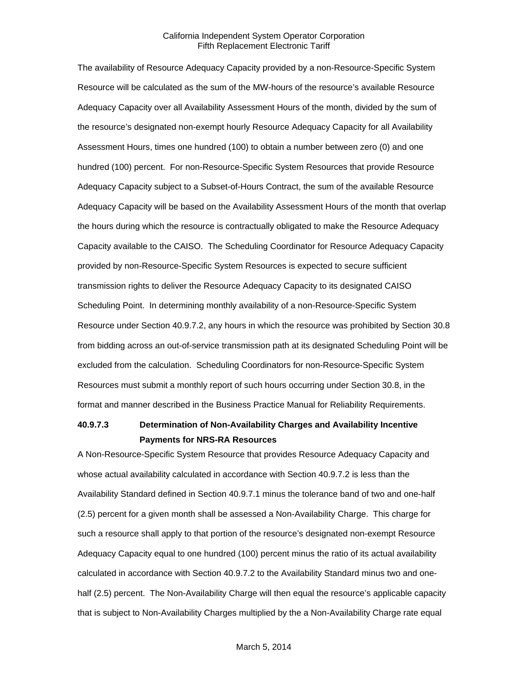The availability of Resource Adequacy Capacity provided by a non-Resource-Specific System Resource will be calculated as the sum of the MW-hours of the resource's available Resource Adequacy Capacity over all Availability Assessment Hours of the month, divided by the sum of the resource's designated non-exempt hourly Resource Adequacy Capacity for all Availability Assessment Hours, times one hundred (100) to obtain a number between zero (0) and one hundred (100) percent. For non-Resource-Specific System Resources that provide Resource Adequacy Capacity subject to a Subset-of-Hours Contract, the sum of the available Resource Adequacy Capacity will be based on the Availability Assessment Hours of the month that overlap the hours during which the resource is contractually obligated to make the Resource Adequacy Capacity available to the CAISO. The Scheduling Coordinator for Resource Adequacy Capacity provided by non-Resource-Specific System Resources is expected to secure sufficient transmission rights to deliver the Resource Adequacy Capacity to its designated CAISO Scheduling Point. In determining monthly availability of a non-Resource-Specific System Resource under Section 40.9.7.2, any hours in which the resource was prohibited by Section 30.8 from bidding across an out-of-service transmission path at its designated Scheduling Point will be excluded from the calculation. Scheduling Coordinators for non-Resource-Specific System Resources must submit a monthly report of such hours occurring under Section 30.8, in the format and manner described in the Business Practice Manual for Reliability Requirements.

# **40.9.7.3 Determination of Non-Availability Charges and Availability Incentive Payments for NRS-RA Resources**

A Non-Resource-Specific System Resource that provides Resource Adequacy Capacity and whose actual availability calculated in accordance with Section 40.9.7.2 is less than the Availability Standard defined in Section 40.9.7.1 minus the tolerance band of two and one-half (2.5) percent for a given month shall be assessed a Non-Availability Charge. This charge for such a resource shall apply to that portion of the resource's designated non-exempt Resource Adequacy Capacity equal to one hundred (100) percent minus the ratio of its actual availability calculated in accordance with Section 40.9.7.2 to the Availability Standard minus two and onehalf (2.5) percent. The Non-Availability Charge will then equal the resource's applicable capacity that is subject to Non-Availability Charges multiplied by the a Non-Availability Charge rate equal